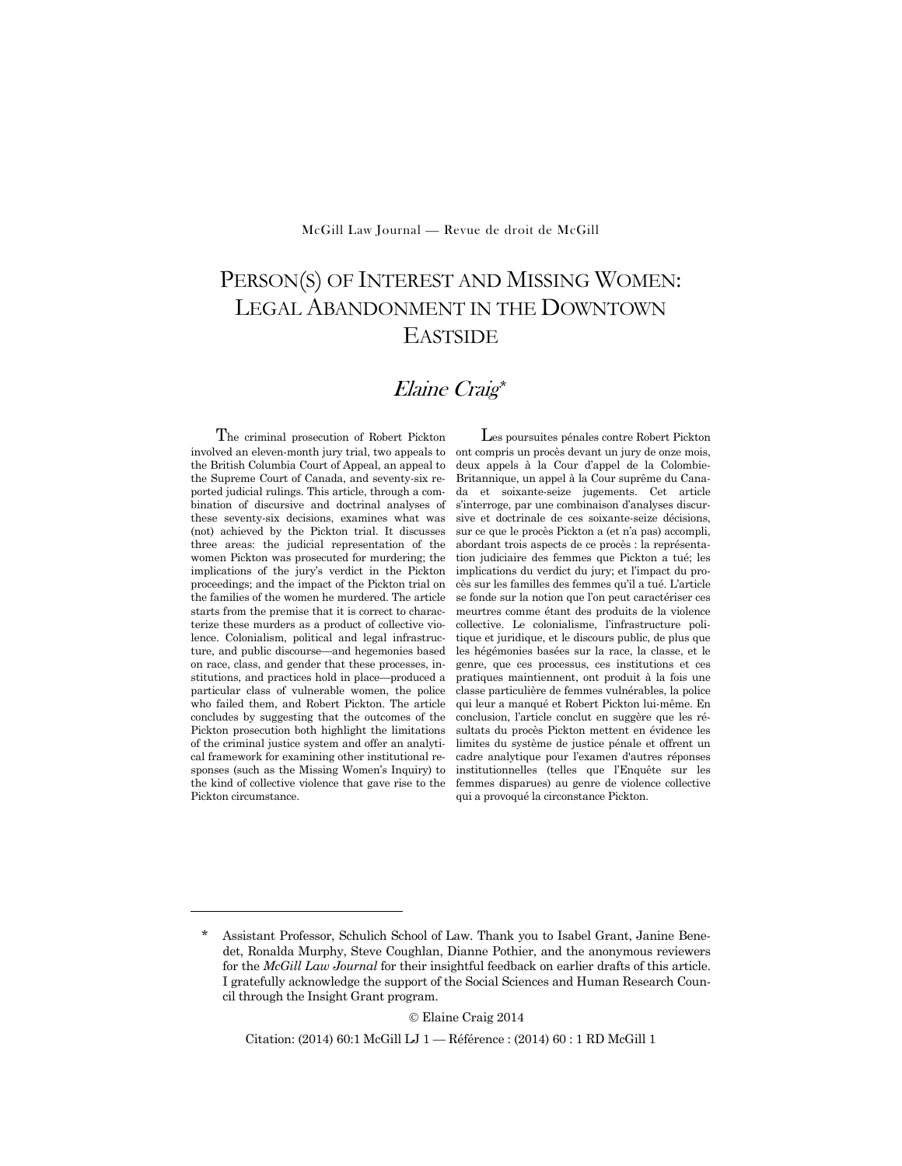McGill Law Journal — Revue de droit de McGill

# PERSON(S) OF INTEREST AND MISSING WOMEN: LEGAL ABANDONMENT IN THE DOWNTOWN EASTSIDE

## Elaine Craig\*

The criminal prosecution of Robert Pickton involved an eleven-month jury trial, two appeals to the British Columbia Court of Appeal, an appeal to the Supreme Court of Canada, and seventy-six reported judicial rulings. This article, through a combination of discursive and doctrinal analyses of these seventy-six decisions, examines what was (not) achieved by the Pickton trial. It discusses three areas: the judicial representation of the women Pickton was prosecuted for murdering; the implications of the jury's verdict in the Pickton proceedings; and the impact of the Pickton trial on the families of the women he murdered. The article starts from the premise that it is correct to characterize these murders as a product of collective violence. Colonialism, political and legal infrastructure, and public discourse—and hegemonies based on race, class, and gender that these processes, institutions, and practices hold in place—produced a particular class of vulnerable women, the police who failed them, and Robert Pickton. The article concludes by suggesting that the outcomes of the Pickton prosecution both highlight the limitations of the criminal justice system and offer an analytical framework for examining other institutional responses (such as the Missing Women's Inquiry) to the kind of collective violence that gave rise to the Pickton circumstance.

-

Les poursuites pénales contre Robert Pickton ont compris un procès devant un jury de onze mois, deux appels à la Cour d'appel de la Colombie-Britannique, un appel à la Cour suprême du Canada et soixante-seize jugements. Cet article s'interroge, par une combinaison d'analyses discursive et doctrinale de ces soixante-seize décisions, sur ce que le procès Pickton a (et n'a pas) accompli, abordant trois aspects de ce procès : la représentation judiciaire des femmes que Pickton a tué; les implications du verdict du jury; et l'impact du procès sur les familles des femmes qu'il a tué. L'article se fonde sur la notion que l'on peut caractériser ces meurtres comme étant des produits de la violence collective. Le colonialisme, l'infrastructure politique et juridique, et le discours public, de plus que les hégémonies basées sur la race, la classe, et le genre, que ces processus, ces institutions et ces pratiques maintiennent, ont produit à la fois une classe particulière de femmes vulnérables, la police qui leur a manqué et Robert Pickton lui-même. En conclusion, l'article conclut en suggère que les résultats du procès Pickton mettent en évidence les limites du système de justice pénale et offrent un cadre analytique pour l'examen d'autres réponses institutionnelles (telles que l'Enquête sur les femmes disparues) au genre de violence collective qui a provoqué la circonstance Pickton.

Elaine Craig 2014

Citation: (2014) 60:1 McGill LJ 1 — Référence : (2014) 60 : 1 RD McGill 1

Assistant Professor, Schulich School of Law. Thank you to Isabel Grant, Janine Benedet, Ronalda Murphy, Steve Coughlan, Dianne Pothier, and the anonymous reviewers for the *McGill Law Journal* for their insightful feedback on earlier drafts of this article. I gratefully acknowledge the support of the Social Sciences and Human Research Council through the Insight Grant program.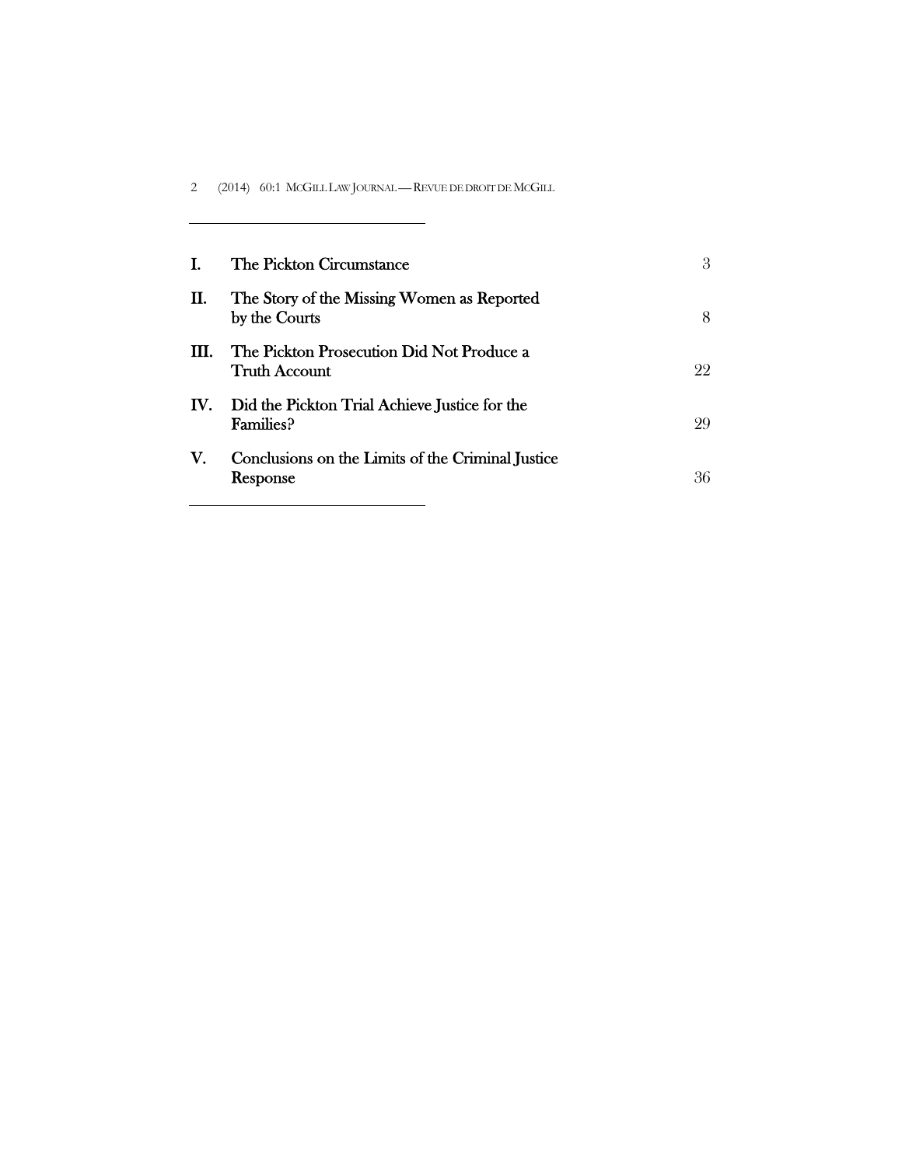2 (2014) 60:1 MCGILL LAW JOURNAL — REVUE DE DROIT DE MCGILL

|     | The Pickton Circumstance                                          | 3   |
|-----|-------------------------------------------------------------------|-----|
| П.  | The Story of the Missing Women as Reported<br>by the Courts       | 8   |
| HL. | The Pickton Prosecution Did Not Produce a<br><b>Truth Account</b> | 99. |
| IV. | Did the Pickton Trial Achieve Justice for the<br><b>Families?</b> | 99  |
| V.  | Conclusions on the Limits of the Criminal Justice<br>Response     | 36  |

 $\overline{\phantom{0}}$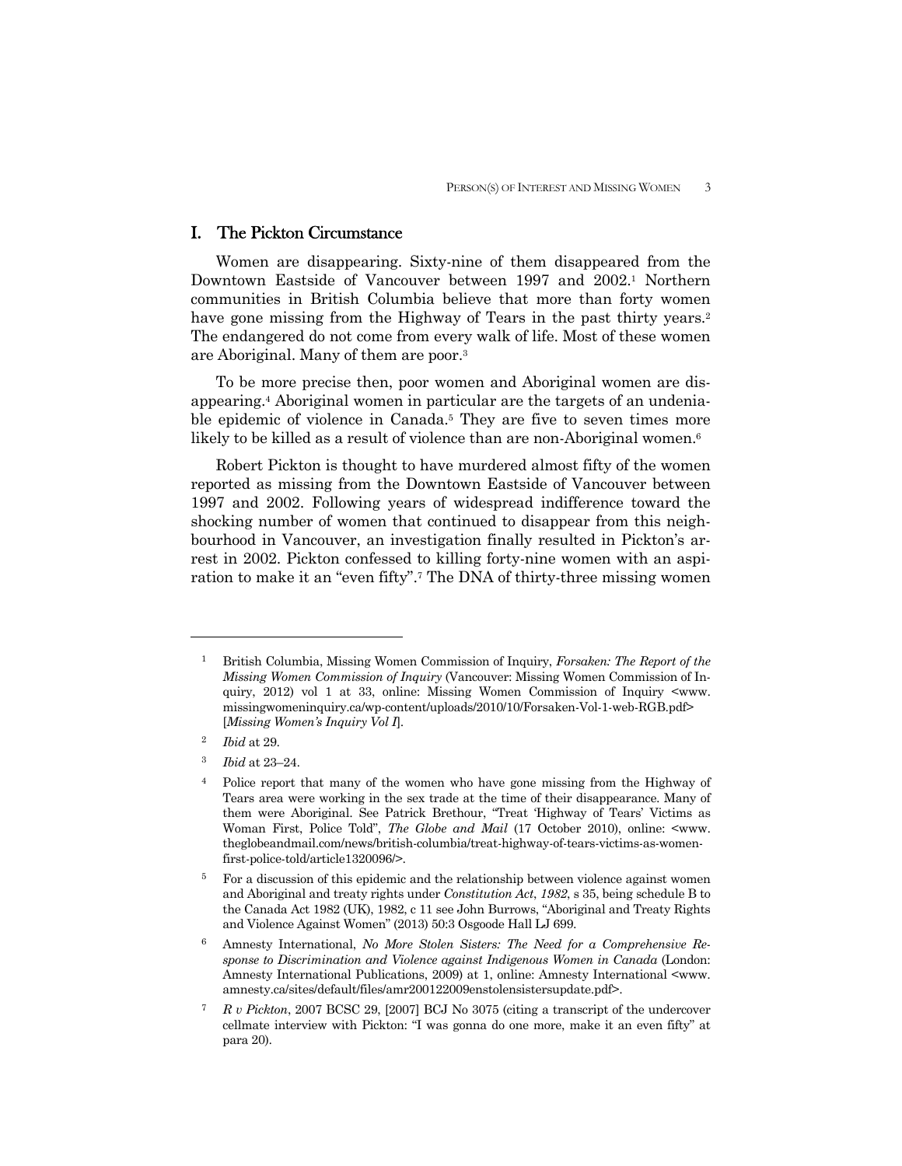## I. The Pickton Circumstance

 Women are disappearing. Sixty-nine of them disappeared from the Downtown Eastside of Vancouver between 1997 and 2002.<sup>1</sup> Northern communities in British Columbia believe that more than forty women have gone missing from the Highway of Tears in the past thirty years.<sup>2</sup> The endangered do not come from every walk of life. Most of these women are Aboriginal. Many of them are poor.3

 To be more precise then, poor women and Aboriginal women are disappearing.4 Aboriginal women in particular are the targets of an undeniable epidemic of violence in Canada.<sup>5</sup> They are five to seven times more likely to be killed as a result of violence than are non-Aboriginal women.<sup>6</sup>

 Robert Pickton is thought to have murdered almost fifty of the women reported as missing from the Downtown Eastside of Vancouver between 1997 and 2002. Following years of widespread indifference toward the shocking number of women that continued to disappear from this neighbourhood in Vancouver, an investigation finally resulted in Pickton's arrest in 2002. Pickton confessed to killing forty-nine women with an aspiration to make it an "even fifty".7 The DNA of thirty-three missing women

<sup>1</sup> British Columbia, Missing Women Commission of Inquiry, *Forsaken: The Report of the Missing Women Commission of Inquiry* (Vancouver: Missing Women Commission of Inquiry, 2012) vol 1 at 33, online: Missing Women Commission of Inquiry <www. missingwomeninquiry.ca/wp-content/uploads/2010/10/Forsaken-Vol-1-web-RGB.pdf> [*Missing Women's Inquiry Vol I*].

<sup>2</sup> *Ibid* at 29.

<sup>3</sup> *Ibid* at 23–24.

<sup>4</sup> Police report that many of the women who have gone missing from the Highway of Tears area were working in the sex trade at the time of their disappearance. Many of them were Aboriginal. See Patrick Brethour, "Treat 'Highway of Tears' Victims as Woman First, Police Told", *The Globe and Mail* (17 October 2010), online: <www. theglobeandmail.com/news/british-columbia/treat-highway-of-tears-victims-as-womenfirst-police-told/article1320096/>.

<sup>&</sup>lt;sup>5</sup> For a discussion of this epidemic and the relationship between violence against women and Aboriginal and treaty rights under *Constitution Act*, *1982*, s 35, being schedule B to the Canada Act 1982 (UK), 1982, c 11 see John Burrows, "Aboriginal and Treaty Rights and Violence Against Women" (2013) 50:3 Osgoode Hall LJ 699.

<sup>6</sup> Amnesty International, *No More Stolen Sisters: The Need for a Comprehensive Response to Discrimination and Violence against Indigenous Women in Canada* (London: Amnesty International Publications, 2009) at 1, online: Amnesty International <www. amnesty.ca/sites/default/files/amr200122009enstolensistersupdate.pdf>.

<sup>7</sup> *R v Pickton*, 2007 BCSC 29, [2007] BCJ No 3075 (citing a transcript of the undercover cellmate interview with Pickton: "I was gonna do one more, make it an even fifty" at para 20).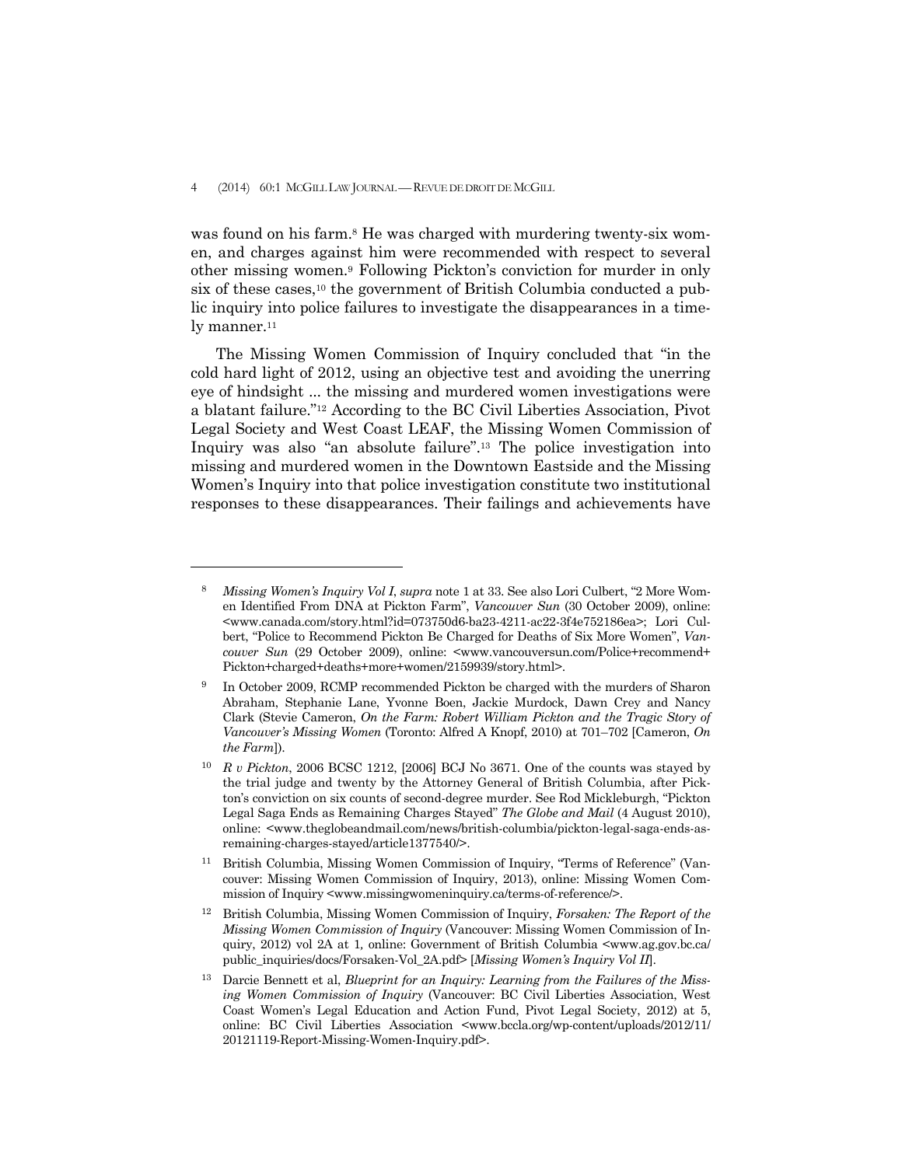-

was found on his farm.<sup>8</sup> He was charged with murdering twenty-six women, and charges against him were recommended with respect to several other missing women.9 Following Pickton's conviction for murder in only six of these cases,<sup>10</sup> the government of British Columbia conducted a public inquiry into police failures to investigate the disappearances in a timely manner. $11$ 

 The Missing Women Commission of Inquiry concluded that "in the cold hard light of 2012, using an objective test and avoiding the unerring eye of hindsight ... the missing and murdered women investigations were a blatant failure."12 According to the BC Civil Liberties Association, Pivot Legal Society and West Coast LEAF, the Missing Women Commission of Inquiry was also "an absolute failure".13 The police investigation into missing and murdered women in the Downtown Eastside and the Missing Women's Inquiry into that police investigation constitute two institutional responses to these disappearances. Their failings and achievements have

<sup>8</sup> *Missing Women's Inquiry Vol I*, *supra* note 1 at 33. See also Lori Culbert, "2 More Women Identified From DNA at Pickton Farm", *Vancouver Sun* (30 October 2009), online: <www.canada.com/story.html?id=073750d6-ba23-4211-ac22-3f4e752186ea>; Lori Culbert, "Police to Recommend Pickton Be Charged for Deaths of Six More Women", *Vancouver Sun* (29 October 2009), online: <www.vancouversun.com/Police+recommend+ Pickton+charged+deaths+more+women/2159939/story.html>.

<sup>9</sup> In October 2009, RCMP recommended Pickton be charged with the murders of Sharon Abraham, Stephanie Lane, Yvonne Boen, Jackie Murdock, Dawn Crey and Nancy Clark (Stevie Cameron, *On the Farm: Robert William Pickton and the Tragic Story of Vancouver's Missing Women* (Toronto: Alfred A Knopf, 2010) at 701–702 [Cameron, *On the Farm*]).

<sup>10</sup> *R v Pickton*, 2006 BCSC 1212, [2006] BCJ No 3671*.* One of the counts was stayed by the trial judge and twenty by the Attorney General of British Columbia, after Pickton's conviction on six counts of second-degree murder. See Rod Mickleburgh, "Pickton Legal Saga Ends as Remaining Charges Stayed" *The Globe and Mail* (4 August 2010), online: <www.theglobeandmail.com/news/british-columbia/pickton-legal-saga-ends-asremaining-charges-stayed/article1377540/>.

<sup>11</sup> British Columbia, Missing Women Commission of Inquiry, "Terms of Reference" (Vancouver: Missing Women Commission of Inquiry, 2013), online: Missing Women Commission of Inquiry <www.missingwomeninquiry.ca/terms-of-reference/>.

<sup>12</sup> British Columbia, Missing Women Commission of Inquiry, *Forsaken: The Report of the Missing Women Commission of Inquiry* (Vancouver: Missing Women Commission of Inquiry, 2012) vol 2A at 1*,* online: Government of British Columbia <www.ag.gov.bc.ca/ public\_inquiries/docs/Forsaken-Vol\_2A.pdf> [*Missing Women's Inquiry Vol II*].

<sup>13</sup> Darcie Bennett et al, *Blueprint for an Inquiry: Learning from the Failures of the Missing Women Commission of Inquiry* (Vancouver: BC Civil Liberties Association, West Coast Women's Legal Education and Action Fund, Pivot Legal Society, 2012) at 5, online: BC Civil Liberties Association <www.bccla.org/wp-content/uploads/2012/11/ 20121119-Report-Missing-Women-Inquiry.pdf>.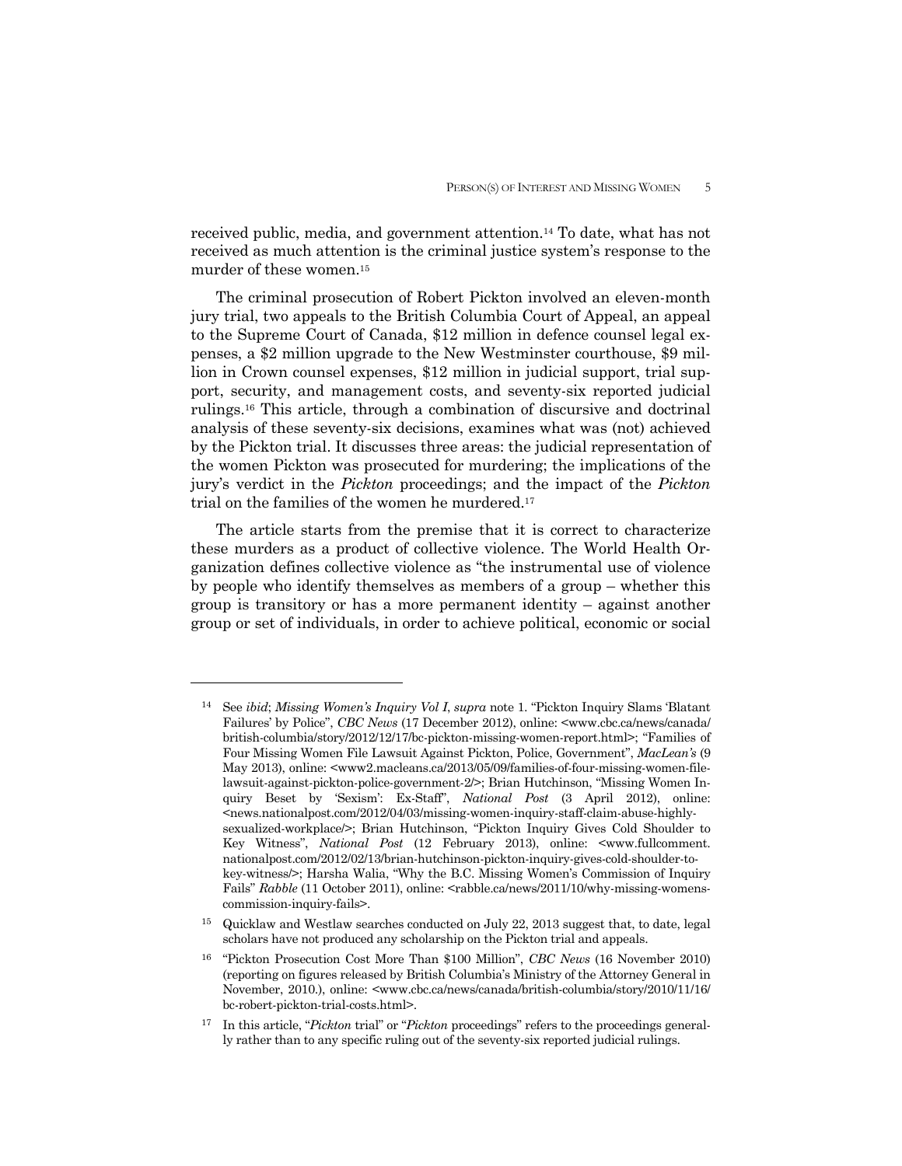received public, media, and government attention.14 To date, what has not received as much attention is the criminal justice system's response to the murder of these women.15

 The criminal prosecution of Robert Pickton involved an eleven-month jury trial, two appeals to the British Columbia Court of Appeal, an appeal to the Supreme Court of Canada, \$12 million in defence counsel legal expenses, a \$2 million upgrade to the New Westminster courthouse, \$9 million in Crown counsel expenses, \$12 million in judicial support, trial support, security, and management costs, and seventy-six reported judicial rulings.16 This article, through a combination of discursive and doctrinal analysis of these seventy-six decisions, examines what was (not) achieved by the Pickton trial. It discusses three areas: the judicial representation of the women Pickton was prosecuted for murdering; the implications of the jury's verdict in the *Pickton* proceedings; and the impact of the *Pickton*  trial on the families of the women he murdered.17

 The article starts from the premise that it is correct to characterize these murders as a product of collective violence. The World Health Organization defines collective violence as "the instrumental use of violence by people who identify themselves as members of a group – whether this group is transitory or has a more permanent identity – against another group or set of individuals, in order to achieve political, economic or social

<sup>14</sup>See *ibid*; *Missing Women's Inquiry Vol I*, *supra* note 1. "Pickton Inquiry Slams 'Blatant Failures' by Police", *CBC News* (17 December 2012), online: <www.cbc.ca/news/canada/ british-columbia/story/2012/12/17/bc-pickton-missing-women-report.html>; "Families of Four Missing Women File Lawsuit Against Pickton, Police, Government", *MacLean's* (9 May 2013), online: <www2.macleans.ca/2013/05/09/families-of-four-missing-women-filelawsuit-against-pickton-police-government-2/>; Brian Hutchinson, "Missing Women Inquiry Beset by 'Sexism': Ex-Staff", *National Post* (3 April 2012), online:  $\le$ news.nationalpost.com/2012/04/03/missing-women-inquiry-staff-claim-abuse-highlysexualized-workplace/>; Brian Hutchinson, "Pickton Inquiry Gives Cold Shoulder to Key Witness", *National Post* (12 February 2013), online: <www.fullcomment. nationalpost.com/2012/02/13/brian-hutchinson-pickton-inquiry-gives-cold-shoulder-tokey-witness/>; Harsha Walia, "Why the B.C. Missing Women's Commission of Inquiry Fails" *Rabble* (11 October 2011), online: <rabble.ca/news/2011/10/why-missing-womenscommission-inquiry-fails>.

<sup>&</sup>lt;sup>15</sup> Quicklaw and Westlaw searches conducted on July 22, 2013 suggest that, to date, legal scholars have not produced any scholarship on the Pickton trial and appeals.

<sup>16 &</sup>quot;Pickton Prosecution Cost More Than \$100 Million", *CBC News* (16 November 2010) (reporting on figures released by British Columbia's Ministry of the Attorney General in November, 2010.), online: <www.cbc.ca/news/canada/british-columbia/story/2010/11/16/ bc-robert-pickton-trial-costs.html>.

<sup>17</sup> In this article, "*Pickton* trial" or "*Pickton* proceedings" refers to the proceedings generally rather than to any specific ruling out of the seventy-six reported judicial rulings.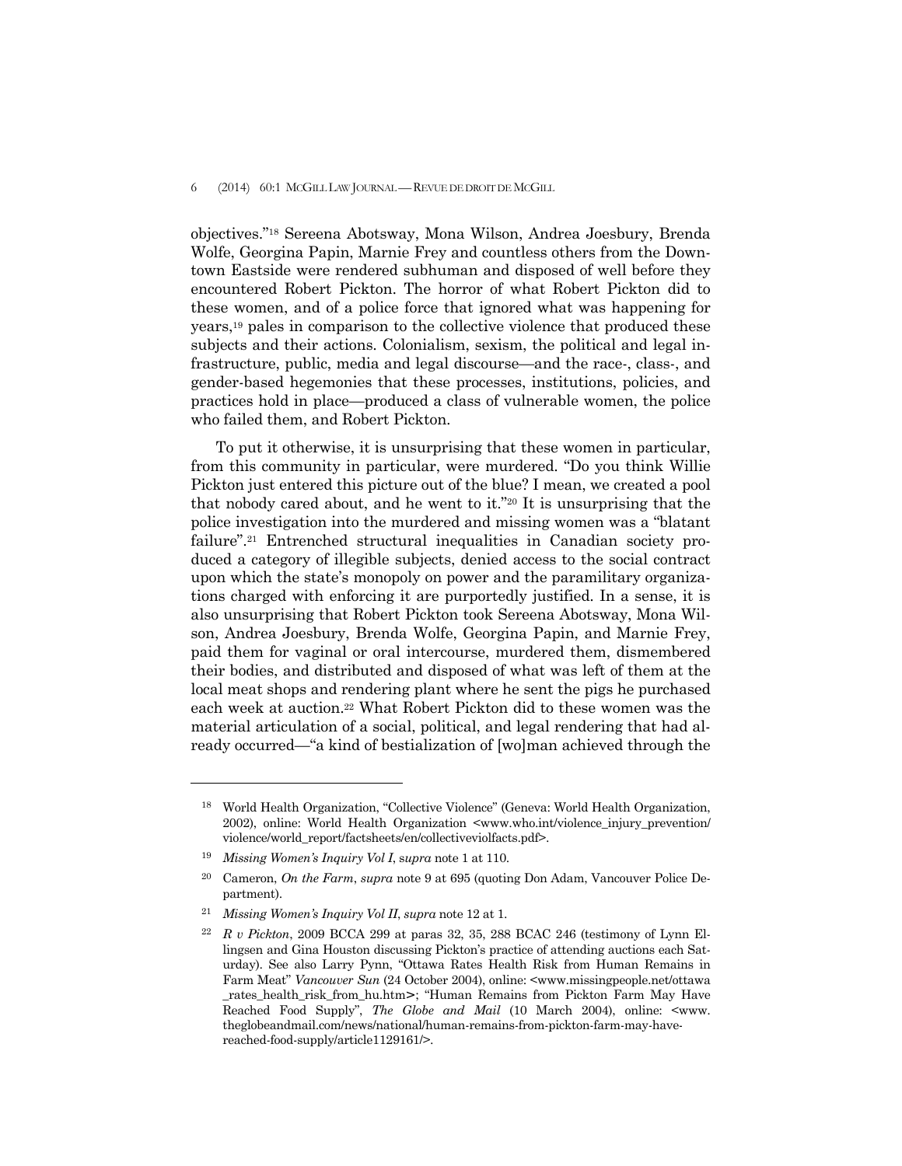## 6 (2014) 60:1 MCGILL LAW JOURNAL —REVUE DE DROIT DE MCGILL

objectives."18 Sereena Abotsway, Mona Wilson, Andrea Joesbury, Brenda Wolfe, Georgina Papin, Marnie Frey and countless others from the Downtown Eastside were rendered subhuman and disposed of well before they encountered Robert Pickton. The horror of what Robert Pickton did to these women, and of a police force that ignored what was happening for years,19 pales in comparison to the collective violence that produced these subjects and their actions. Colonialism, sexism, the political and legal infrastructure, public, media and legal discourse—and the race-, class-, and gender-based hegemonies that these processes, institutions, policies, and practices hold in place—produced a class of vulnerable women, the police who failed them, and Robert Pickton.

 To put it otherwise, it is unsurprising that these women in particular, from this community in particular, were murdered. "Do you think Willie Pickton just entered this picture out of the blue? I mean, we created a pool that nobody cared about, and he went to it."20 It is unsurprising that the police investigation into the murdered and missing women was a "blatant failure".21 Entrenched structural inequalities in Canadian society produced a category of illegible subjects, denied access to the social contract upon which the state's monopoly on power and the paramilitary organizations charged with enforcing it are purportedly justified. In a sense, it is also unsurprising that Robert Pickton took Sereena Abotsway, Mona Wilson, Andrea Joesbury, Brenda Wolfe, Georgina Papin, and Marnie Frey, paid them for vaginal or oral intercourse, murdered them, dismembered their bodies, and distributed and disposed of what was left of them at the local meat shops and rendering plant where he sent the pigs he purchased each week at auction.22 What Robert Pickton did to these women was the material articulation of a social, political, and legal rendering that had already occurred—"a kind of bestialization of [wo]man achieved through the

<sup>18</sup> World Health Organization, "Collective Violence" (Geneva: World Health Organization, 2002), online: World Health Organization <www.who.int/violence\_injury\_prevention/ violence/world\_report/factsheets/en/collectiveviolfacts.pdf>.

<sup>19</sup> *Missing Women's Inquiry Vol I*, s*upra* note 1 at 110.

<sup>20</sup> Cameron, *On the Farm*, *supra* note 9 at 695 (quoting Don Adam, Vancouver Police Department).

<sup>21</sup> *Missing Women's Inquiry Vol II*, *supra* note 12 at 1.

<sup>22</sup> *R v Pickton*, 2009 BCCA 299 at paras 32, 35, 288 BCAC 246 (testimony of Lynn Ellingsen and Gina Houston discussing Pickton's practice of attending auctions each Saturday). See also Larry Pynn, "Ottawa Rates Health Risk from Human Remains in Farm Meat" *Vancouver Sun* (24 October 2004), online: <www.missingpeople.net/ottawa rates\_health\_risk\_from\_hu.htm>; "Human Remains from Pickton Farm May Have Reached Food Supply", *The Globe and Mail* (10 March 2004), online: <www. theglobeandmail.com/news/national/human-remains-from-pickton-farm-may-havereached-food-supply/article1129161/>.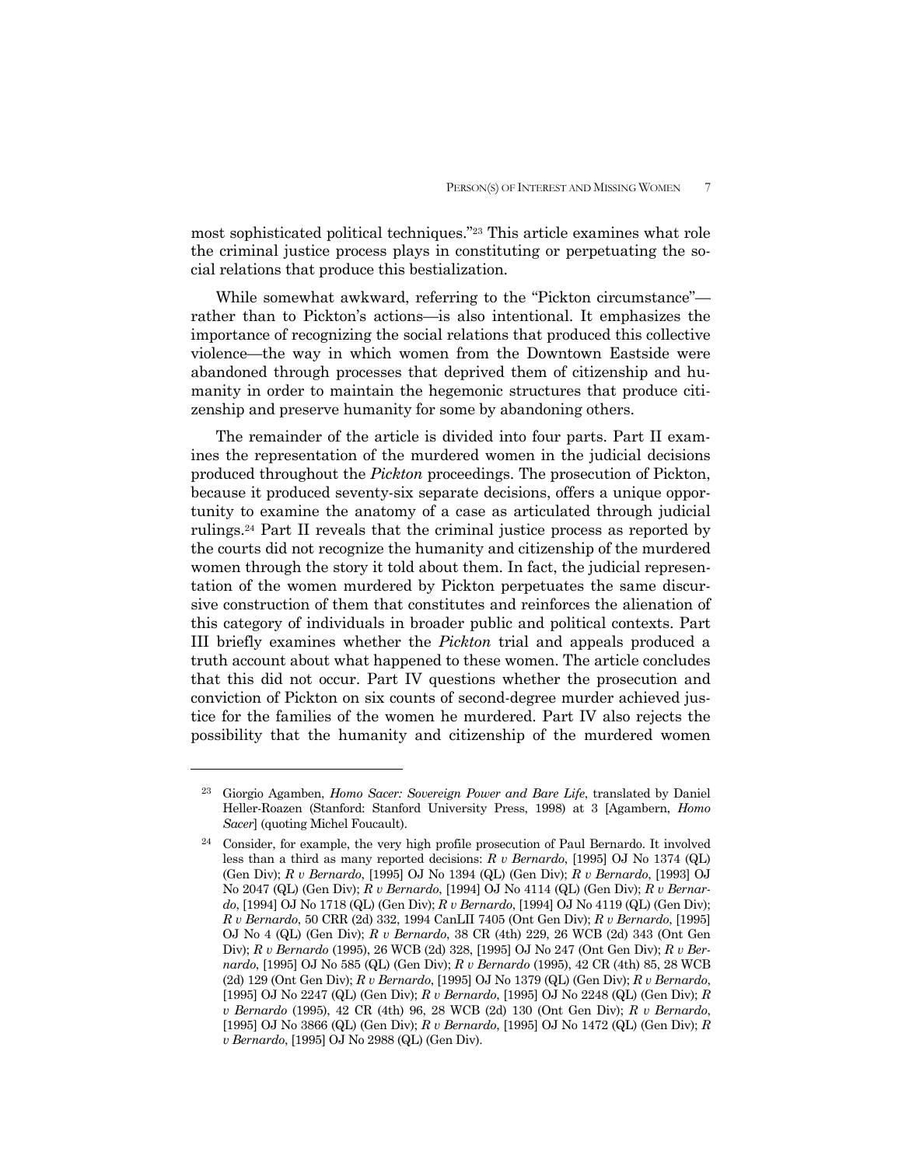most sophisticated political techniques."23 This article examines what role the criminal justice process plays in constituting or perpetuating the social relations that produce this bestialization.

 While somewhat awkward, referring to the "Pickton circumstance" rather than to Pickton's actions—is also intentional. It emphasizes the importance of recognizing the social relations that produced this collective violence—the way in which women from the Downtown Eastside were abandoned through processes that deprived them of citizenship and humanity in order to maintain the hegemonic structures that produce citizenship and preserve humanity for some by abandoning others.

 The remainder of the article is divided into four parts. Part II examines the representation of the murdered women in the judicial decisions produced throughout the *Pickton* proceedings. The prosecution of Pickton, because it produced seventy-six separate decisions, offers a unique opportunity to examine the anatomy of a case as articulated through judicial rulings.24 Part II reveals that the criminal justice process as reported by the courts did not recognize the humanity and citizenship of the murdered women through the story it told about them. In fact, the judicial representation of the women murdered by Pickton perpetuates the same discursive construction of them that constitutes and reinforces the alienation of this category of individuals in broader public and political contexts. Part III briefly examines whether the *Pickton* trial and appeals produced a truth account about what happened to these women. The article concludes that this did not occur. Part IV questions whether the prosecution and conviction of Pickton on six counts of second-degree murder achieved justice for the families of the women he murdered. Part IV also rejects the possibility that the humanity and citizenship of the murdered women

<sup>23</sup> Giorgio Agamben, *Homo Sacer: Sovereign Power and Bare Life*, translated by Daniel Heller-Roazen (Stanford: Stanford University Press, 1998) at 3 [Agambern, *Homo Sacer*] (quoting Michel Foucault).

<sup>24</sup> Consider, for example, the very high profile prosecution of Paul Bernardo. It involved less than a third as many reported decisions: *R v Bernardo*, [1995] OJ No 1374 (QL) (Gen Div); *R v Bernardo*, [1995] OJ No 1394 (QL) (Gen Div); *R v Bernardo*, [1993] OJ No 2047 (QL) (Gen Div); *R v Bernardo*, [1994] OJ No 4114 (QL) (Gen Div); *R v Bernardo*, [1994] OJ No 1718 (QL) (Gen Div); *R v Bernardo*, [1994] OJ No 4119 (QL) (Gen Div); *R v Bernardo*, 50 CRR (2d) 332, 1994 CanLII 7405 (Ont Gen Div); *R v Bernardo*, [1995] OJ No 4 (QL) (Gen Div); *R v Bernardo*, 38 CR (4th) 229, 26 WCB (2d) 343 (Ont Gen Div); *R v Bernardo* (1995), 26 WCB (2d) 328, [1995] OJ No 247 (Ont Gen Div); *R v Bernardo*, [1995] OJ No 585 (QL) (Gen Div); *R v Bernardo* (1995), 42 CR (4th) 85, 28 WCB (2d) 129 (Ont Gen Div); *R v Bernardo*, [1995] OJ No 1379 (QL) (Gen Div); *R v Bernardo*, [1995] OJ No 2247 (QL) (Gen Div); *R v Bernardo*, [1995] OJ No 2248 (QL) (Gen Div); *R v Bernardo* (1995), 42 CR (4th) 96, 28 WCB (2d) 130 (Ont Gen Div); *R v Bernardo*, [1995] OJ No 3866 (QL) (Gen Div); *R v Bernardo*, [1995] OJ No 1472 (QL) (Gen Div); *R v Bernardo*, [1995] OJ No 2988 (QL) (Gen Div).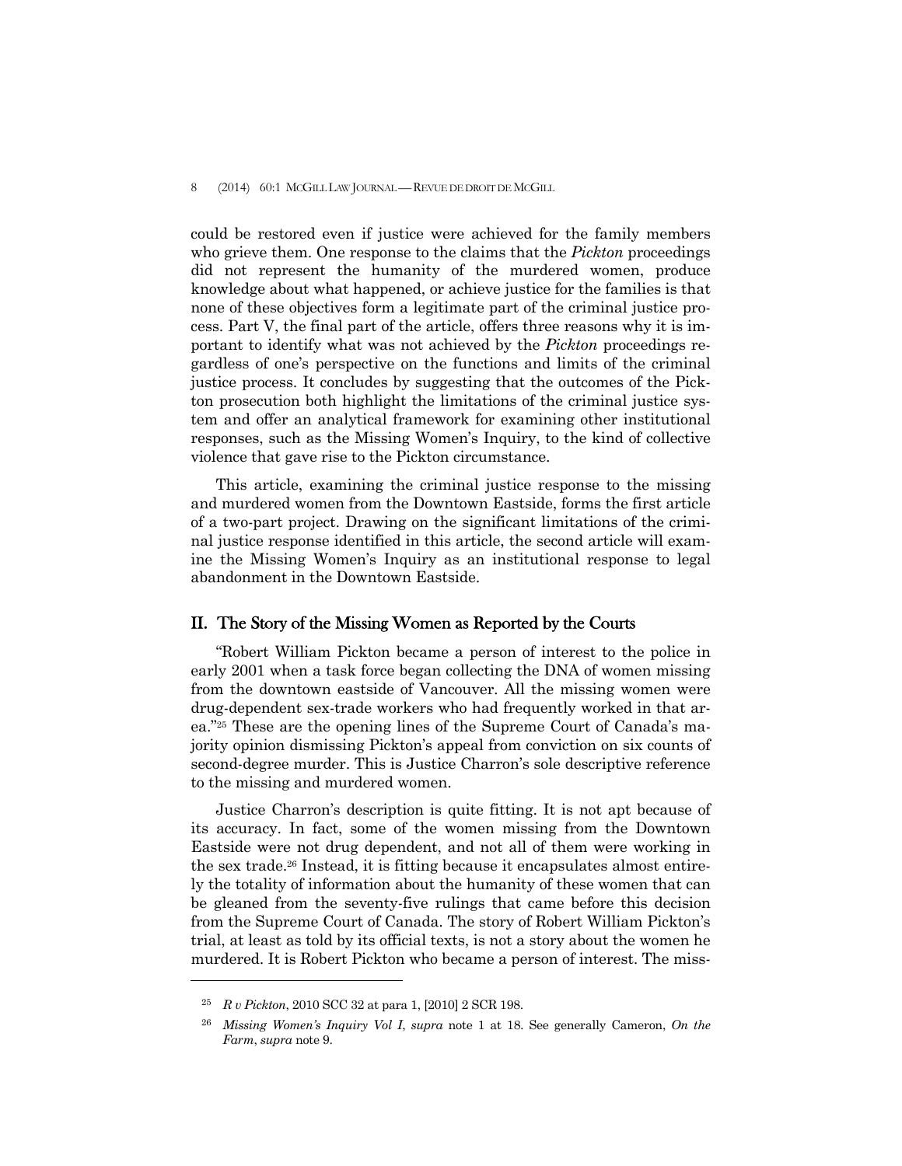could be restored even if justice were achieved for the family members who grieve them. One response to the claims that the *Pickton* proceedings did not represent the humanity of the murdered women, produce knowledge about what happened, or achieve justice for the families is that none of these objectives form a legitimate part of the criminal justice process. Part V, the final part of the article, offers three reasons why it is important to identify what was not achieved by the *Pickton* proceedings regardless of one's perspective on the functions and limits of the criminal justice process. It concludes by suggesting that the outcomes of the Pickton prosecution both highlight the limitations of the criminal justice system and offer an analytical framework for examining other institutional responses, such as the Missing Women's Inquiry, to the kind of collective violence that gave rise to the Pickton circumstance.

 This article, examining the criminal justice response to the missing and murdered women from the Downtown Eastside, forms the first article of a two-part project. Drawing on the significant limitations of the criminal justice response identified in this article, the second article will examine the Missing Women's Inquiry as an institutional response to legal abandonment in the Downtown Eastside.

## II. The Story of the Missing Women as Reported by the Courts

 "Robert William Pickton became a person of interest to the police in early 2001 when a task force began collecting the DNA of women missing from the downtown eastside of Vancouver. All the missing women were drug-dependent sex-trade workers who had frequently worked in that area."25 These are the opening lines of the Supreme Court of Canada's majority opinion dismissing Pickton's appeal from conviction on six counts of second-degree murder. This is Justice Charron's sole descriptive reference to the missing and murdered women.

 Justice Charron's description is quite fitting. It is not apt because of its accuracy. In fact, some of the women missing from the Downtown Eastside were not drug dependent, and not all of them were working in the sex trade.26 Instead, it is fitting because it encapsulates almost entirely the totality of information about the humanity of these women that can be gleaned from the seventy-five rulings that came before this decision from the Supreme Court of Canada. The story of Robert William Pickton's trial, at least as told by its official texts, is not a story about the women he murdered. It is Robert Pickton who became a person of interest. The miss-

<sup>25</sup> *R v Pickton*, 2010 SCC 32 at para 1, [2010] 2 SCR 198.

<sup>26</sup> *Missing Women's Inquiry Vol I*, *supra* note 1 at 18. See generally Cameron, *On the Farm*, *supra* note 9.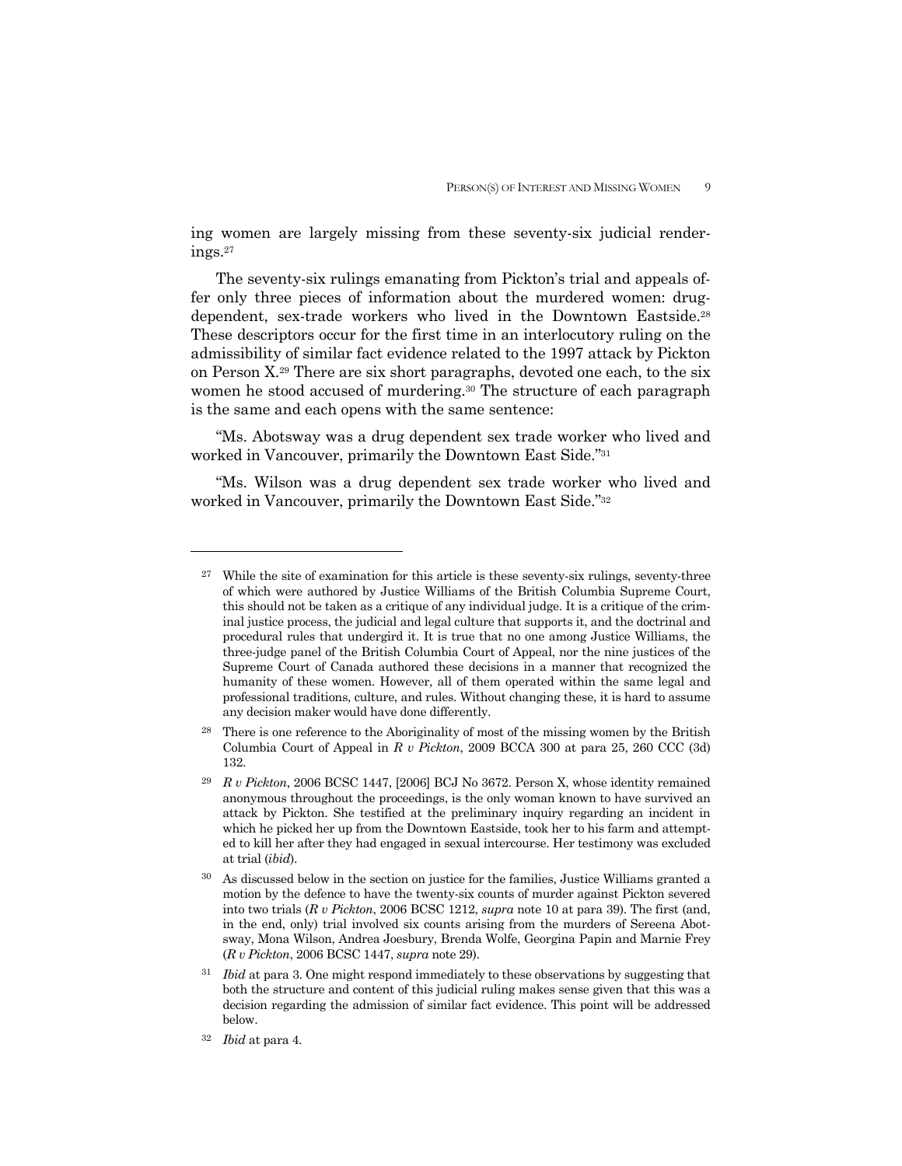ing women are largely missing from these seventy-six judicial renderings.27

 The seventy-six rulings emanating from Pickton's trial and appeals offer only three pieces of information about the murdered women: drugdependent, sex-trade workers who lived in the Downtown Eastside.28 These descriptors occur for the first time in an interlocutory ruling on the admissibility of similar fact evidence related to the 1997 attack by Pickton on Person X.29 There are six short paragraphs, devoted one each, to the six women he stood accused of murdering.<sup>30</sup> The structure of each paragraph is the same and each opens with the same sentence:

 "Ms. Abotsway was a drug dependent sex trade worker who lived and worked in Vancouver, primarily the Downtown East Side."31

 "Ms. Wilson was a drug dependent sex trade worker who lived and worked in Vancouver, primarily the Downtown East Side."32

 $27$  While the site of examination for this article is these seventy-six rulings, seventy-three of which were authored by Justice Williams of the British Columbia Supreme Court, this should not be taken as a critique of any individual judge. It is a critique of the criminal justice process, the judicial and legal culture that supports it, and the doctrinal and procedural rules that undergird it. It is true that no one among Justice Williams, the three-judge panel of the British Columbia Court of Appeal, nor the nine justices of the Supreme Court of Canada authored these decisions in a manner that recognized the humanity of these women. However, all of them operated within the same legal and professional traditions, culture, and rules. Without changing these, it is hard to assume any decision maker would have done differently.

<sup>&</sup>lt;sup>28</sup> There is one reference to the Aboriginality of most of the missing women by the British Columbia Court of Appeal in *R v Pickton*, 2009 BCCA 300 at para 25, 260 CCC (3d) 132.

<sup>29</sup> *R v Pickton*, 2006 BCSC 1447, [2006] BCJ No 3672. Person X, whose identity remained anonymous throughout the proceedings, is the only woman known to have survived an attack by Pickton. She testified at the preliminary inquiry regarding an incident in which he picked her up from the Downtown Eastside, took her to his farm and attempted to kill her after they had engaged in sexual intercourse. Her testimony was excluded at trial (*ibid*).

<sup>&</sup>lt;sup>30</sup> As discussed below in the section on justice for the families, Justice Williams granted a motion by the defence to have the twenty-six counts of murder against Pickton severed into two trials (*R v Pickton*, 2006 BCSC 1212, *supra* note 10 at para 39). The first (and, in the end, only) trial involved six counts arising from the murders of Sereena Abotsway, Mona Wilson, Andrea Joesbury, Brenda Wolfe, Georgina Papin and Marnie Frey (*R v Pickton*, 2006 BCSC 1447, *supra* note 29).

<sup>&</sup>lt;sup>31</sup> *Ibid* at para 3. One might respond immediately to these observations by suggesting that both the structure and content of this judicial ruling makes sense given that this was a decision regarding the admission of similar fact evidence. This point will be addressed below.

<sup>32</sup> *Ibid* at para 4.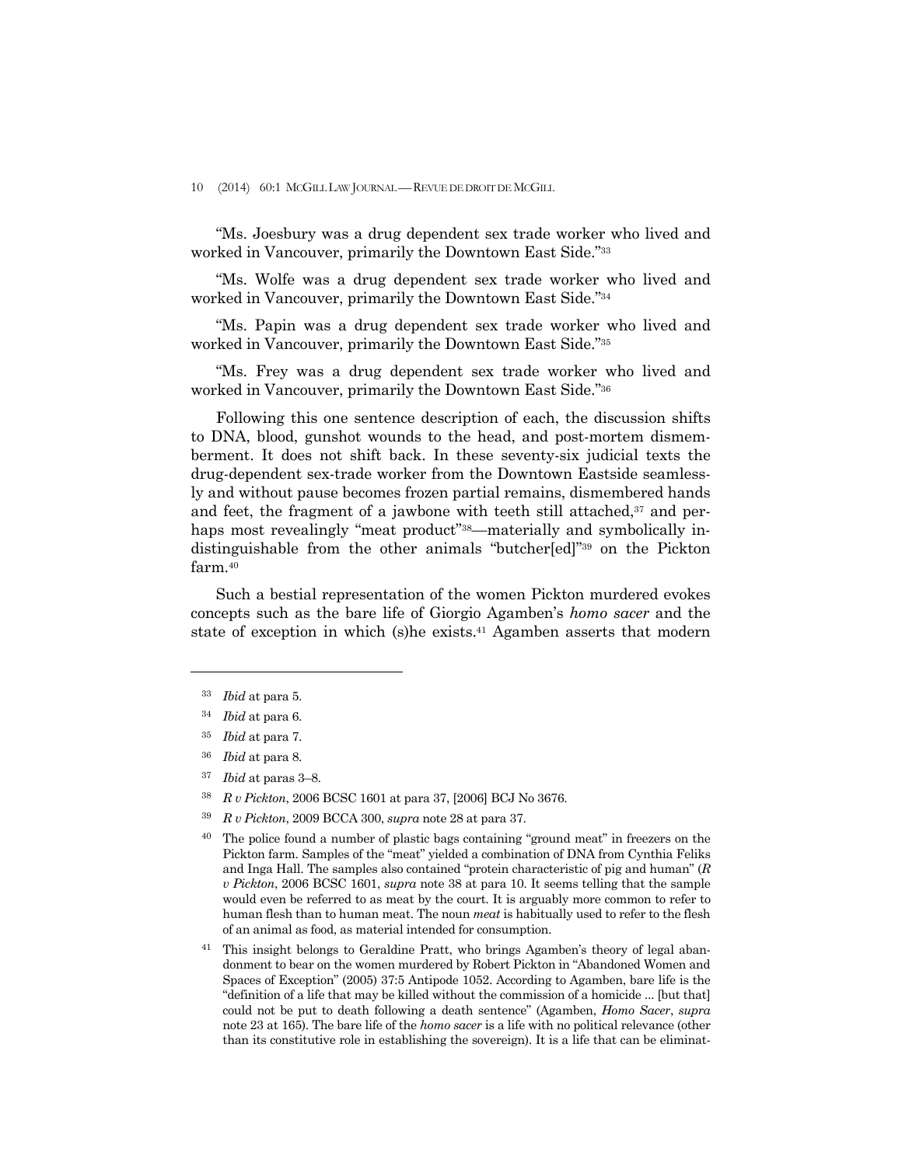10 (2014) 60:1 MCGILL LAW JOURNAL —REVUE DE DROIT DE MCGILL

 "Ms. Joesbury was a drug dependent sex trade worker who lived and worked in Vancouver, primarily the Downtown East Side."33

 "Ms. Wolfe was a drug dependent sex trade worker who lived and worked in Vancouver, primarily the Downtown East Side."34

 "Ms. Papin was a drug dependent sex trade worker who lived and worked in Vancouver, primarily the Downtown East Side."35

 "Ms. Frey was a drug dependent sex trade worker who lived and worked in Vancouver, primarily the Downtown East Side."36

 Following this one sentence description of each, the discussion shifts to DNA, blood, gunshot wounds to the head, and post-mortem dismemberment. It does not shift back. In these seventy-six judicial texts the drug-dependent sex-trade worker from the Downtown Eastside seamlessly and without pause becomes frozen partial remains, dismembered hands and feet, the fragment of a jawbone with teeth still attached, $37$  and perhaps most revealingly "meat product"<sup>38</sup>—materially and symbolically indistinguishable from the other animals "butcher[ed]"39 on the Pickton farm.40

 Such a bestial representation of the women Pickton murdered evokes concepts such as the bare life of Giorgio Agamben's *homo sacer* and the state of exception in which (s)he exists.<sup>41</sup> Agamben asserts that modern

- <sup>35</sup> *Ibid* at para 7.
- <sup>36</sup> *Ibid* at para 8.
- <sup>37</sup> *Ibid* at paras 3–8.
- <sup>38</sup> *R v Pickton*, 2006 BCSC 1601 at para 37, [2006] BCJ No 3676.
- <sup>39</sup> *R v Pickton*, 2009 BCCA 300, *supra* note 28 at para 37.

<sup>33</sup> *Ibid* at para 5.

<sup>34</sup> *Ibid* at para 6.

<sup>&</sup>lt;sup>40</sup> The police found a number of plastic bags containing "ground meat" in freezers on the Pickton farm. Samples of the "meat" yielded a combination of DNA from Cynthia Feliks and Inga Hall. The samples also contained "protein characteristic of pig and human" (*R v Pickton*, 2006 BCSC 1601, *supra* note 38 at para 10. It seems telling that the sample would even be referred to as meat by the court. It is arguably more common to refer to human flesh than to human meat. The noun *meat* is habitually used to refer to the flesh of an animal as food, as material intended for consumption.

<sup>41</sup> This insight belongs to Geraldine Pratt, who brings Agamben's theory of legal abandonment to bear on the women murdered by Robert Pickton in "Abandoned Women and Spaces of Exception" (2005) 37:5 Antipode 1052. According to Agamben, bare life is the "definition of a life that may be killed without the commission of a homicide ... [but that] could not be put to death following a death sentence" (Agamben, *Homo Sacer*, *supra* note 23 at 165). The bare life of the *homo sacer* is a life with no political relevance (other than its constitutive role in establishing the sovereign). It is a life that can be eliminat-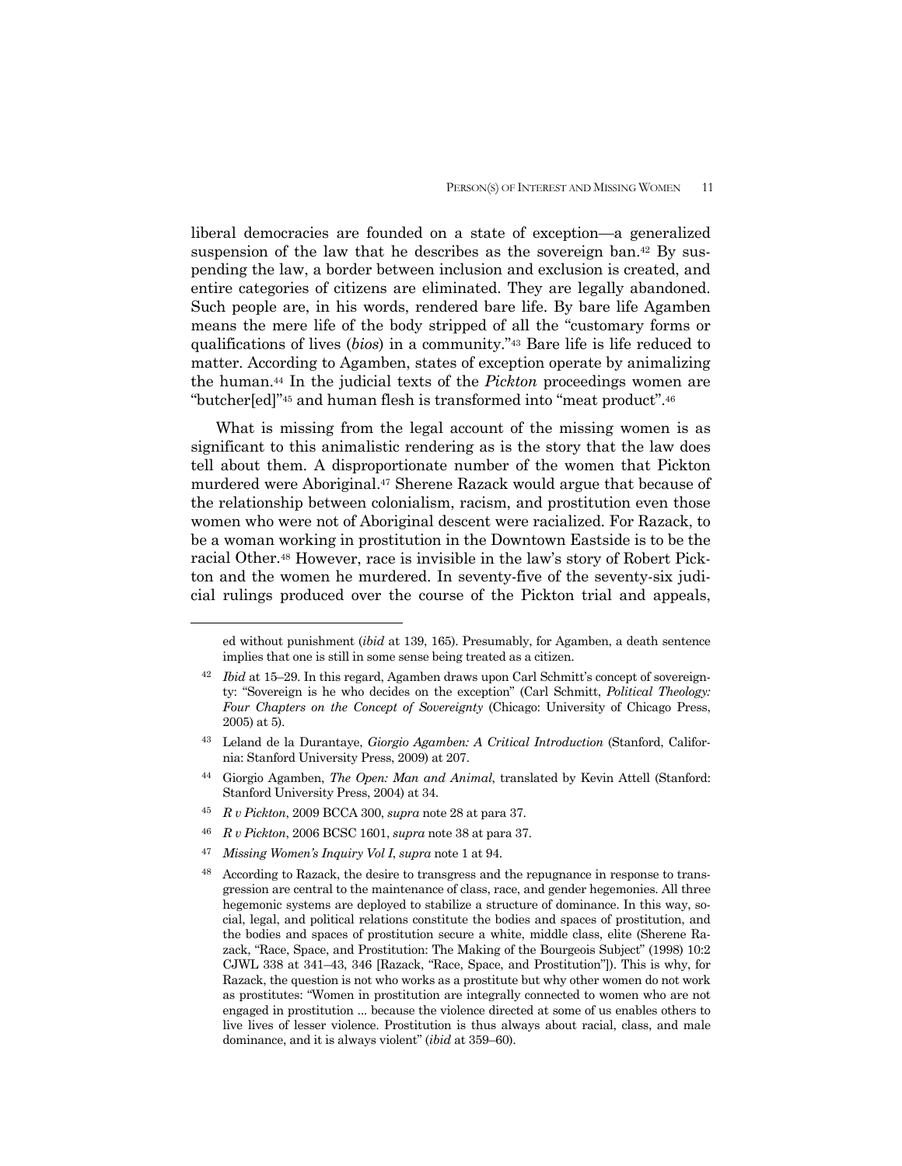liberal democracies are founded on a state of exception—a generalized suspension of the law that he describes as the sovereign ban.<sup>42</sup> By suspending the law, a border between inclusion and exclusion is created, and entire categories of citizens are eliminated. They are legally abandoned. Such people are, in his words, rendered bare life. By bare life Agamben means the mere life of the body stripped of all the "customary forms or qualifications of lives (*bios*) in a community."43 Bare life is life reduced to matter. According to Agamben, states of exception operate by animalizing the human.44 In the judicial texts of the *Pickton* proceedings women are "butcher[ed]"45 and human flesh is transformed into "meat product".46

 What is missing from the legal account of the missing women is as significant to this animalistic rendering as is the story that the law does tell about them. A disproportionate number of the women that Pickton murdered were Aboriginal.47 Sherene Razack would argue that because of the relationship between colonialism, racism, and prostitution even those women who were not of Aboriginal descent were racialized. For Razack, to be a woman working in prostitution in the Downtown Eastside is to be the racial Other.48 However, race is invisible in the law's story of Robert Pickton and the women he murdered. In seventy-five of the seventy-six judicial rulings produced over the course of the Pickton trial and appeals,

- <sup>45</sup> *R v Pickton*, 2009 BCCA 300, *supra* note 28 at para 37.
- <sup>46</sup> *R v Pickton*, 2006 BCSC 1601, *supra* note 38 at para 37.
- <sup>47</sup> *Missing Women's Inquiry Vol I*, *supra* note 1 at 94.

 $\overline{a}$ 

48 According to Razack, the desire to transgress and the repugnance in response to transgression are central to the maintenance of class, race, and gender hegemonies. All three hegemonic systems are deployed to stabilize a structure of dominance. In this way, social, legal, and political relations constitute the bodies and spaces of prostitution, and the bodies and spaces of prostitution secure a white, middle class, elite (Sherene Razack, "Race, Space, and Prostitution: The Making of the Bourgeois Subject" (1998) 10:2 CJWL 338 at 341–43, 346 [Razack, "Race, Space, and Prostitution"]). This is why, for Razack, the question is not who works as a prostitute but why other women do not work as prostitutes: "Women in prostitution are integrally connected to women who are not engaged in prostitution ... because the violence directed at some of us enables others to live lives of lesser violence. Prostitution is thus always about racial, class, and male dominance, and it is always violent" (*ibid* at 359–60).

ed without punishment (*ibid* at 139, 165). Presumably, for Agamben, a death sentence implies that one is still in some sense being treated as a citizen.

*Ibid* at 15–29. In this regard, Agamben draws upon Carl Schmitt's concept of sovereignty: "Sovereign is he who decides on the exception" (Carl Schmitt, *Political Theology: Four Chapters on the Concept of Sovereignty* (Chicago: University of Chicago Press, 2005) at 5).

<sup>43</sup> Leland de la Durantaye, *Giorgio Agamben: A Critical Introduction* (Stanford, California: Stanford University Press, 2009) at 207.

<sup>44</sup> Giorgio Agamben, *The Open: Man and Animal*, translated by Kevin Attell (Stanford: Stanford University Press, 2004) at 34.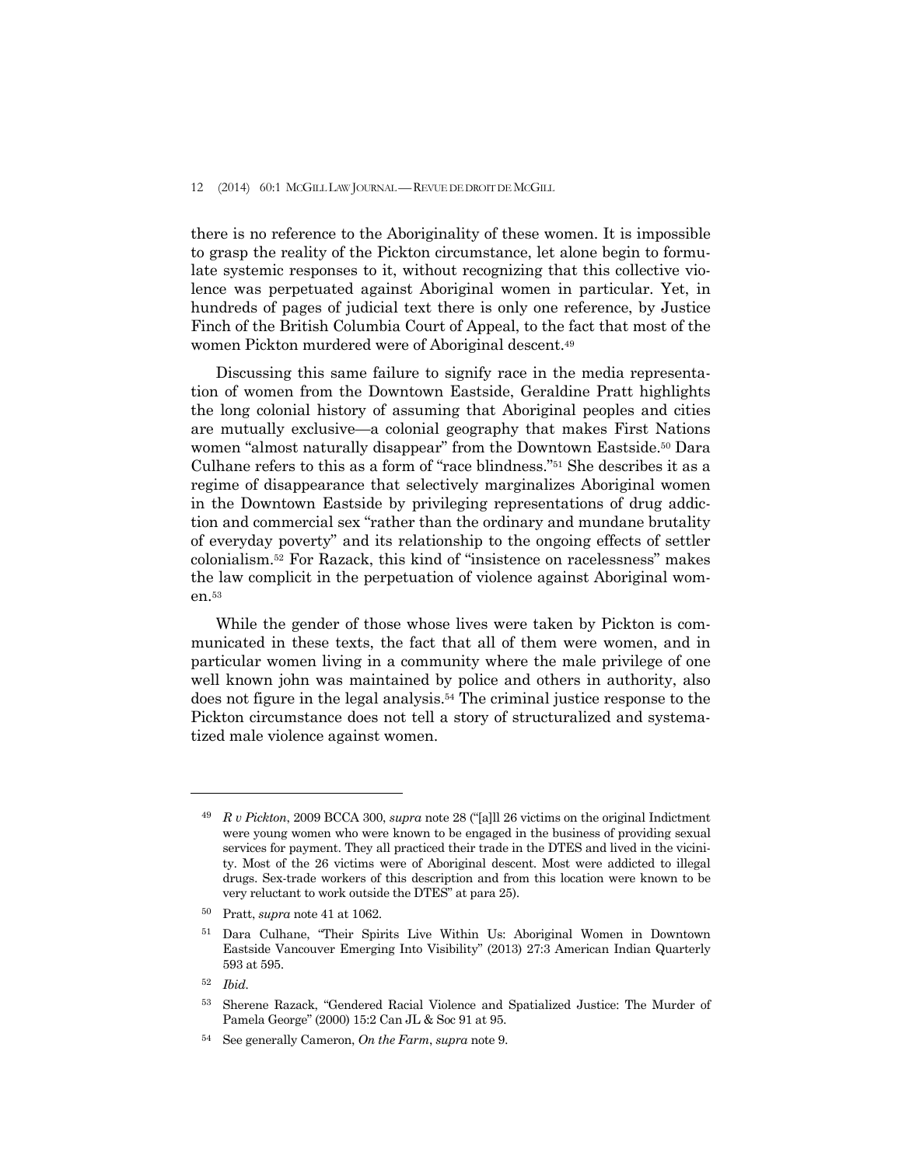there is no reference to the Aboriginality of these women. It is impossible to grasp the reality of the Pickton circumstance, let alone begin to formulate systemic responses to it, without recognizing that this collective violence was perpetuated against Aboriginal women in particular. Yet, in hundreds of pages of judicial text there is only one reference, by Justice Finch of the British Columbia Court of Appeal, to the fact that most of the women Pickton murdered were of Aboriginal descent.49

 Discussing this same failure to signify race in the media representation of women from the Downtown Eastside, Geraldine Pratt highlights the long colonial history of assuming that Aboriginal peoples and cities are mutually exclusive—a colonial geography that makes First Nations women "almost naturally disappear" from the Downtown Eastside.<sup>50</sup> Dara Culhane refers to this as a form of "race blindness."51 She describes it as a regime of disappearance that selectively marginalizes Aboriginal women in the Downtown Eastside by privileging representations of drug addiction and commercial sex "rather than the ordinary and mundane brutality of everyday poverty" and its relationship to the ongoing effects of settler colonialism.52 For Razack, this kind of "insistence on racelessness" makes the law complicit in the perpetuation of violence against Aboriginal women.53

 While the gender of those whose lives were taken by Pickton is communicated in these texts, the fact that all of them were women, and in particular women living in a community where the male privilege of one well known john was maintained by police and others in authority, also does not figure in the legal analysis.54 The criminal justice response to the Pickton circumstance does not tell a story of structuralized and systematized male violence against women.

<sup>49</sup> *R v Pickton*, 2009 BCCA 300, *supra* note 28 ("[a]ll 26 victims on the original Indictment were young women who were known to be engaged in the business of providing sexual services for payment. They all practiced their trade in the DTES and lived in the vicinity. Most of the 26 victims were of Aboriginal descent. Most were addicted to illegal drugs. Sex-trade workers of this description and from this location were known to be very reluctant to work outside the DTES" at para 25).

<sup>50</sup> Pratt, *supra* note 41 at 1062.

<sup>51</sup> Dara Culhane, "Their Spirits Live Within Us: Aboriginal Women in Downtown Eastside Vancouver Emerging Into Visibility" (2013) 27:3 American Indian Quarterly 593 at 595.

<sup>52</sup> *Ibid.*

<sup>53</sup> Sherene Razack, "Gendered Racial Violence and Spatialized Justice: The Murder of Pamela George" (2000) 15:2 Can JL & Soc 91 at 95.

<sup>54</sup> See generally Cameron, *On the Farm*, *supra* note 9.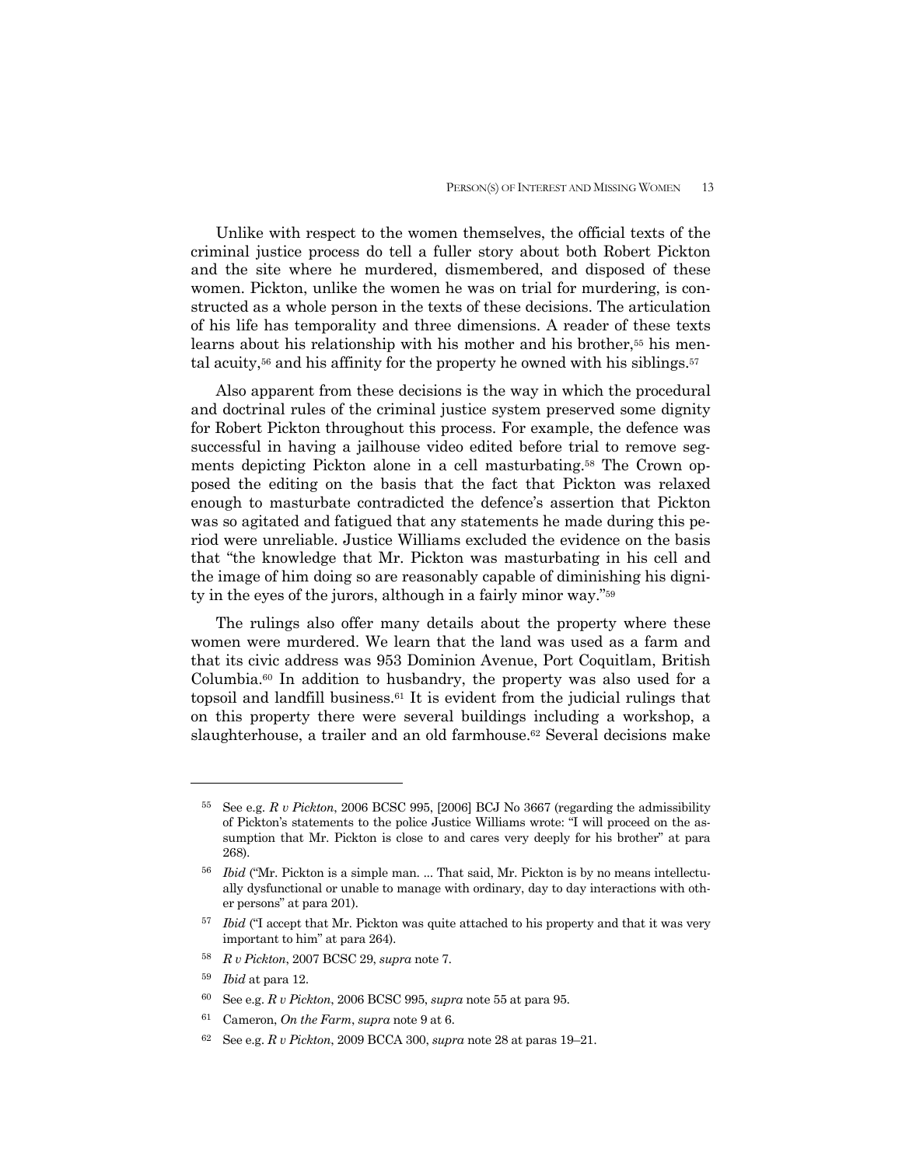Unlike with respect to the women themselves, the official texts of the criminal justice process do tell a fuller story about both Robert Pickton and the site where he murdered, dismembered, and disposed of these women. Pickton, unlike the women he was on trial for murdering, is constructed as a whole person in the texts of these decisions. The articulation of his life has temporality and three dimensions. A reader of these texts learns about his relationship with his mother and his brother,55 his mental acuity, $56$  and his affinity for the property he owned with his siblings. $57$ 

 Also apparent from these decisions is the way in which the procedural and doctrinal rules of the criminal justice system preserved some dignity for Robert Pickton throughout this process. For example, the defence was successful in having a jailhouse video edited before trial to remove segments depicting Pickton alone in a cell masturbating.58 The Crown opposed the editing on the basis that the fact that Pickton was relaxed enough to masturbate contradicted the defence's assertion that Pickton was so agitated and fatigued that any statements he made during this period were unreliable. Justice Williams excluded the evidence on the basis that "the knowledge that Mr. Pickton was masturbating in his cell and the image of him doing so are reasonably capable of diminishing his dignity in the eyes of the jurors, although in a fairly minor way."59

 The rulings also offer many details about the property where these women were murdered. We learn that the land was used as a farm and that its civic address was 953 Dominion Avenue, Port Coquitlam, British Columbia.60 In addition to husbandry, the property was also used for a topsoil and landfill business. $61$  It is evident from the judicial rulings that on this property there were several buildings including a workshop, a slaughterhouse, a trailer and an old farmhouse.<sup>62</sup> Several decisions make

- <sup>58</sup> *R v Pickton*, 2007 BCSC 29, *supra* note 7.
- <sup>59</sup> *Ibid* at para 12.

- 60 See e.g. *R v Pickton*, 2006 BCSC 995, *supra* note 55 at para 95.
- <sup>61</sup>Cameron, *On the Farm*, *supra* note 9 at 6.
- 62 See e.g. *R v Pickton*, 2009 BCCA 300, *supra* note 28 at paras 19–21.

<sup>55</sup> See e.g. *R v Pickton*, 2006 BCSC 995, [2006] BCJ No 3667 (regarding the admissibility of Pickton's statements to the police Justice Williams wrote: "I will proceed on the assumption that Mr. Pickton is close to and cares very deeply for his brother" at para 268).

<sup>56</sup> *Ibid* ("Mr. Pickton is a simple man. ... That said, Mr. Pickton is by no means intellectually dysfunctional or unable to manage with ordinary, day to day interactions with other persons" at para 201).

<sup>57</sup> *Ibid* ("I accept that Mr. Pickton was quite attached to his property and that it was very important to him" at para 264).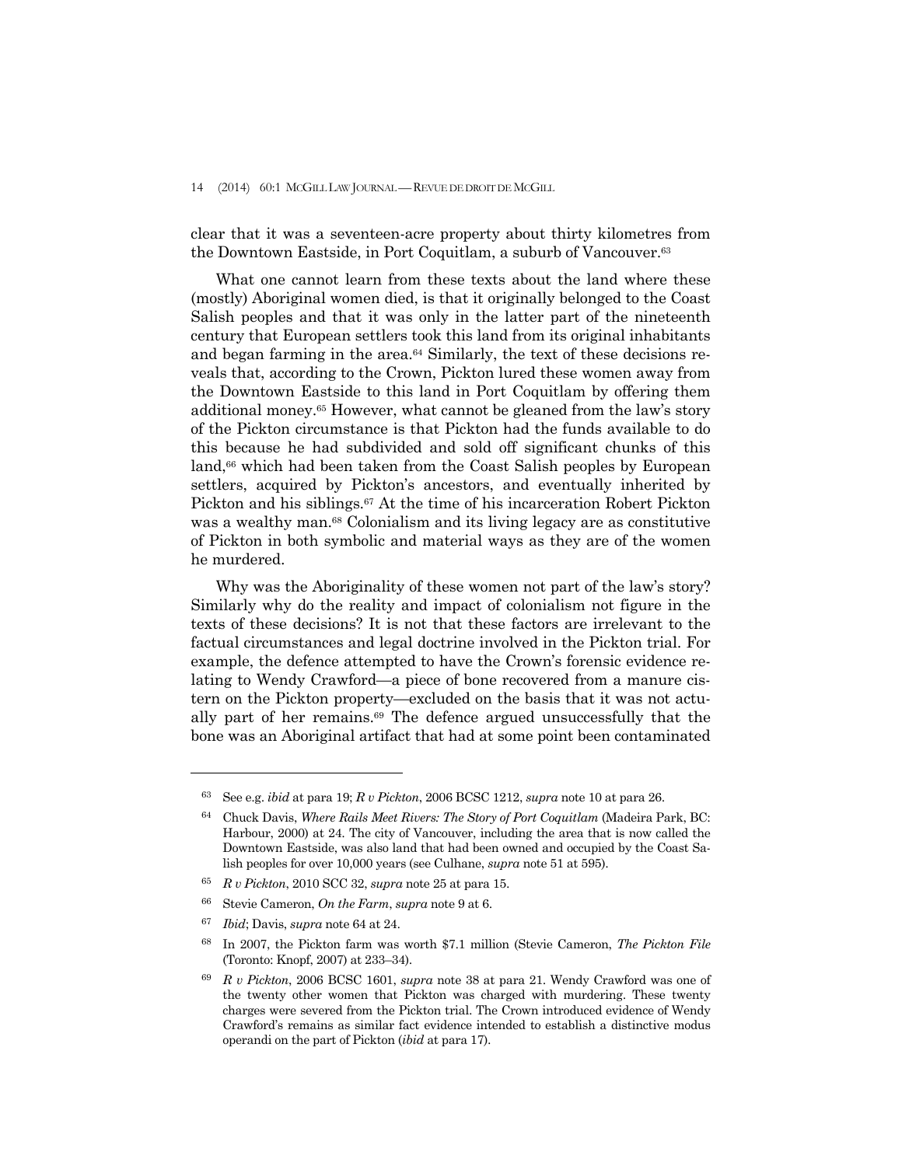#### 14 (2014) 60:1 MCGILL LAW JOURNAL —REVUE DE DROIT DE MCGILL

clear that it was a seventeen-acre property about thirty kilometres from the Downtown Eastside, in Port Coquitlam, a suburb of Vancouver.63

 What one cannot learn from these texts about the land where these (mostly) Aboriginal women died, is that it originally belonged to the Coast Salish peoples and that it was only in the latter part of the nineteenth century that European settlers took this land from its original inhabitants and began farming in the area.64 Similarly, the text of these decisions reveals that, according to the Crown, Pickton lured these women away from the Downtown Eastside to this land in Port Coquitlam by offering them additional money.65 However, what cannot be gleaned from the law's story of the Pickton circumstance is that Pickton had the funds available to do this because he had subdivided and sold off significant chunks of this land,<sup>66</sup> which had been taken from the Coast Salish peoples by European settlers, acquired by Pickton's ancestors, and eventually inherited by Pickton and his siblings.<sup>67</sup> At the time of his incarceration Robert Pickton was a wealthy man.<sup>68</sup> Colonialism and its living legacy are as constitutive of Pickton in both symbolic and material ways as they are of the women he murdered.

 Why was the Aboriginality of these women not part of the law's story? Similarly why do the reality and impact of colonialism not figure in the texts of these decisions? It is not that these factors are irrelevant to the factual circumstances and legal doctrine involved in the Pickton trial. For example, the defence attempted to have the Crown's forensic evidence relating to Wendy Crawford—a piece of bone recovered from a manure cistern on the Pickton property—excluded on the basis that it was not actually part of her remains.69 The defence argued unsuccessfully that the bone was an Aboriginal artifact that had at some point been contaminated

<sup>63</sup> See e.g. *ibid* at para 19; *R v Pickton*, 2006 BCSC 1212, *supra* note 10 at para 26.

<sup>64</sup> Chuck Davis, *Where Rails Meet Rivers: The Story of Port Coquitlam* (Madeira Park, BC: Harbour, 2000) at 24. The city of Vancouver, including the area that is now called the Downtown Eastside, was also land that had been owned and occupied by the Coast Salish peoples for over 10,000 years (see Culhane, *supra* note 51 at 595).

<sup>65</sup> *R v Pickton*, 2010 SCC 32, *supra* note 25 at para 15.

<sup>66</sup> Stevie Cameron, *On the Farm*, *supra* note 9 at 6.

<sup>67</sup> *Ibid*; Davis, *supra* note 64 at 24.

<sup>68</sup> In 2007, the Pickton farm was worth \$7.1 million (Stevie Cameron, *The Pickton File*  (Toronto: Knopf, 2007) at 233–34).

<sup>69</sup> *R v Pickton*, 2006 BCSC 1601, *supra* note 38 at para 21. Wendy Crawford was one of the twenty other women that Pickton was charged with murdering. These twenty charges were severed from the Pickton trial. The Crown introduced evidence of Wendy Crawford's remains as similar fact evidence intended to establish a distinctive modus operandi on the part of Pickton (*ibid* at para 17).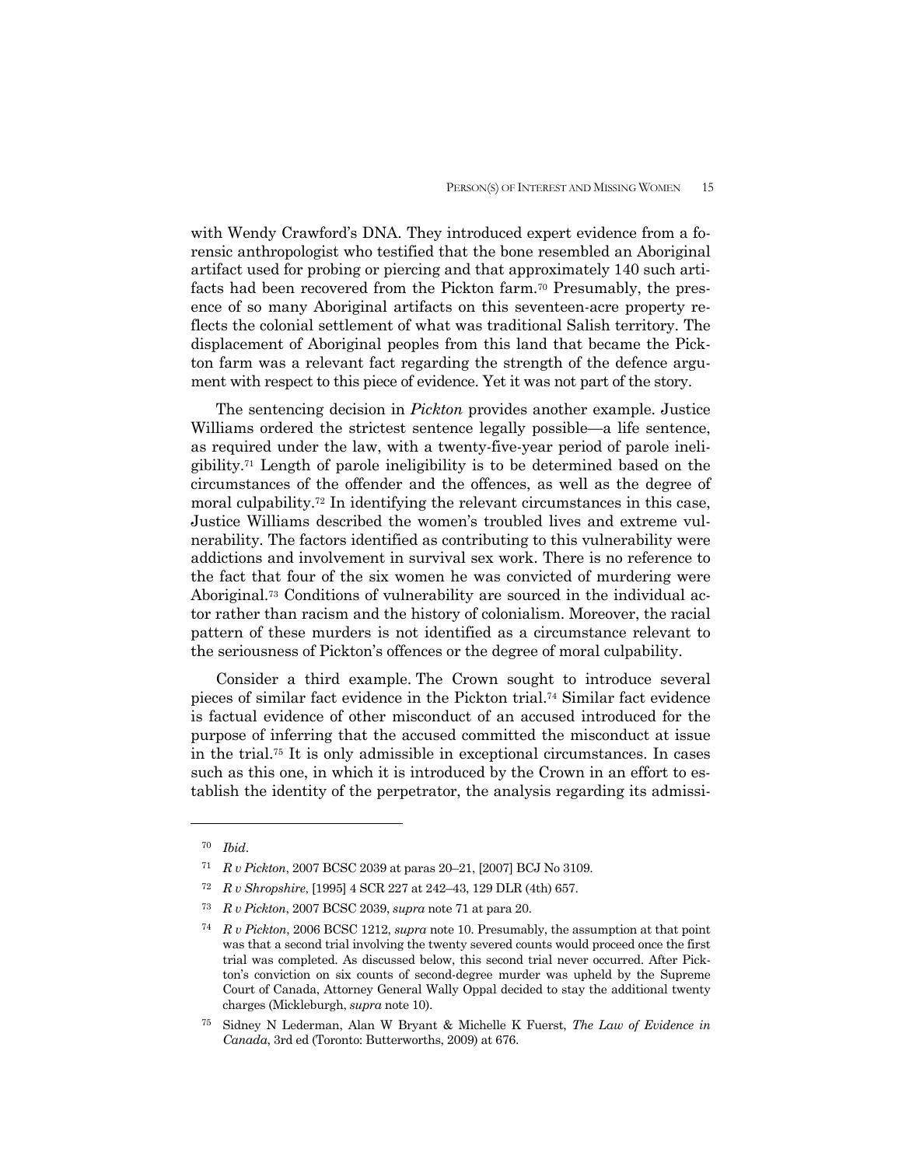with Wendy Crawford's DNA. They introduced expert evidence from a forensic anthropologist who testified that the bone resembled an Aboriginal artifact used for probing or piercing and that approximately 140 such artifacts had been recovered from the Pickton farm.70 Presumably, the presence of so many Aboriginal artifacts on this seventeen-acre property reflects the colonial settlement of what was traditional Salish territory. The displacement of Aboriginal peoples from this land that became the Pickton farm was a relevant fact regarding the strength of the defence argument with respect to this piece of evidence. Yet it was not part of the story.

 The sentencing decision in *Pickton* provides another example. Justice Williams ordered the strictest sentence legally possible—a life sentence, as required under the law, with a twenty-five-year period of parole ineligibility.71 Length of parole ineligibility is to be determined based on the circumstances of the offender and the offences, as well as the degree of moral culpability.72 In identifying the relevant circumstances in this case, Justice Williams described the women's troubled lives and extreme vulnerability. The factors identified as contributing to this vulnerability were addictions and involvement in survival sex work. There is no reference to the fact that four of the six women he was convicted of murdering were Aboriginal.73 Conditions of vulnerability are sourced in the individual actor rather than racism and the history of colonialism. Moreover, the racial pattern of these murders is not identified as a circumstance relevant to the seriousness of Pickton's offences or the degree of moral culpability.

 Consider a third example. The Crown sought to introduce several pieces of similar fact evidence in the Pickton trial.74 Similar fact evidence is factual evidence of other misconduct of an accused introduced for the purpose of inferring that the accused committed the misconduct at issue in the trial.75 It is only admissible in exceptional circumstances. In cases such as this one, in which it is introduced by the Crown in an effort to establish the identity of the perpetrator, the analysis regarding its admissi-

<sup>70</sup> *Ibid*.

<sup>71</sup> *R v Pickton*, 2007 BCSC 2039 at paras 20–21, [2007] BCJ No 3109.

<sup>72</sup> *R v Shropshire*, [1995] 4 SCR 227 at 242–43, 129 DLR (4th) 657.

<sup>73</sup> *R v Pickton*, 2007 BCSC 2039, *supra* note 71 at para 20.

<sup>74</sup> *R v Pickton*, 2006 BCSC 1212, *supra* note 10. Presumably, the assumption at that point was that a second trial involving the twenty severed counts would proceed once the first trial was completed. As discussed below, this second trial never occurred. After Pickton's conviction on six counts of second-degree murder was upheld by the Supreme Court of Canada, Attorney General Wally Oppal decided to stay the additional twenty charges (Mickleburgh, *supra* note 10).

<sup>75</sup> Sidney N Lederman, Alan W Bryant & Michelle K Fuerst, *The Law of Evidence in Canada*, 3rd ed (Toronto: Butterworths, 2009) at 676.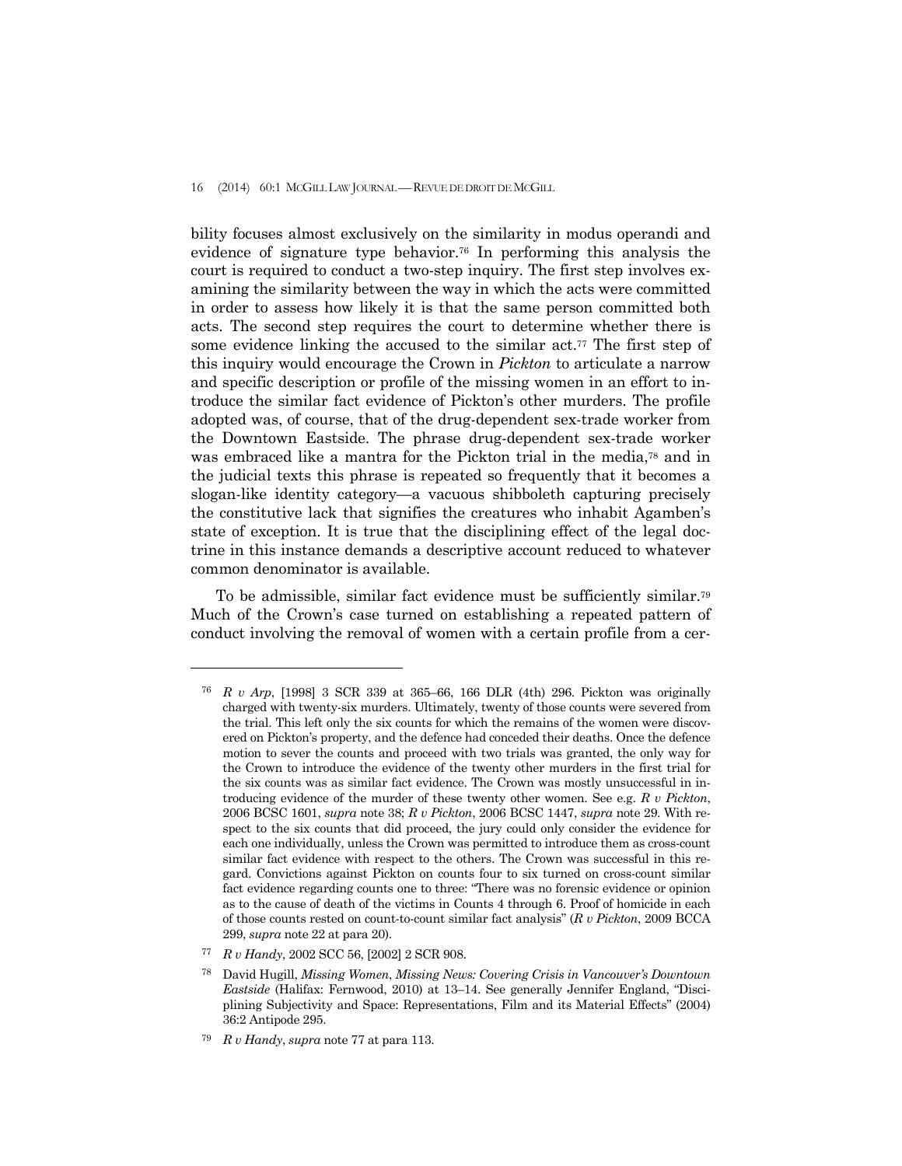bility focuses almost exclusively on the similarity in modus operandi and evidence of signature type behavior.76 In performing this analysis the court is required to conduct a two-step inquiry. The first step involves examining the similarity between the way in which the acts were committed in order to assess how likely it is that the same person committed both acts. The second step requires the court to determine whether there is some evidence linking the accused to the similar act.77 The first step of this inquiry would encourage the Crown in *Pickton* to articulate a narrow and specific description or profile of the missing women in an effort to introduce the similar fact evidence of Pickton's other murders. The profile adopted was, of course, that of the drug-dependent sex-trade worker from the Downtown Eastside. The phrase drug-dependent sex-trade worker was embraced like a mantra for the Pickton trial in the media,<sup>78</sup> and in the judicial texts this phrase is repeated so frequently that it becomes a slogan-like identity category—a vacuous shibboleth capturing precisely the constitutive lack that signifies the creatures who inhabit Agamben's state of exception. It is true that the disciplining effect of the legal doctrine in this instance demands a descriptive account reduced to whatever common denominator is available.

 To be admissible, similar fact evidence must be sufficiently similar.79 Much of the Crown's case turned on establishing a repeated pattern of conduct involving the removal of women with a certain profile from a cer-

<sup>76</sup> *R v Arp*, [1998] 3 SCR 339 at 365–66, 166 DLR (4th) 296. Pickton was originally charged with twenty-six murders. Ultimately, twenty of those counts were severed from the trial. This left only the six counts for which the remains of the women were discovered on Pickton's property, and the defence had conceded their deaths. Once the defence motion to sever the counts and proceed with two trials was granted, the only way for the Crown to introduce the evidence of the twenty other murders in the first trial for the six counts was as similar fact evidence. The Crown was mostly unsuccessful in introducing evidence of the murder of these twenty other women. See e.g. *R v Pickton*, 2006 BCSC 1601, *supra* note 38; *R v Pickton*, 2006 BCSC 1447, *supra* note 29. With respect to the six counts that did proceed, the jury could only consider the evidence for each one individually, unless the Crown was permitted to introduce them as cross-count similar fact evidence with respect to the others. The Crown was successful in this regard. Convictions against Pickton on counts four to six turned on cross-count similar fact evidence regarding counts one to three: "There was no forensic evidence or opinion as to the cause of death of the victims in Counts 4 through 6. Proof of homicide in each of those counts rested on count-to-count similar fact analysis" (*R v Pickton*, 2009 BCCA 299, *supra* note 22 at para 20).

<sup>77</sup> *R v Handy*, 2002 SCC 56, [2002] 2 SCR 908.

<sup>78</sup> David Hugill, *Missing Women*, *Missing News: Covering Crisis in Vancouver's Downtown Eastside* (Halifax: Fernwood, 2010) at 13–14. See generally Jennifer England, "Disciplining Subjectivity and Space: Representations, Film and its Material Effects" (2004) 36:2 Antipode 295.

<sup>79</sup> *R v Handy*, *supra* note 77 at para 113.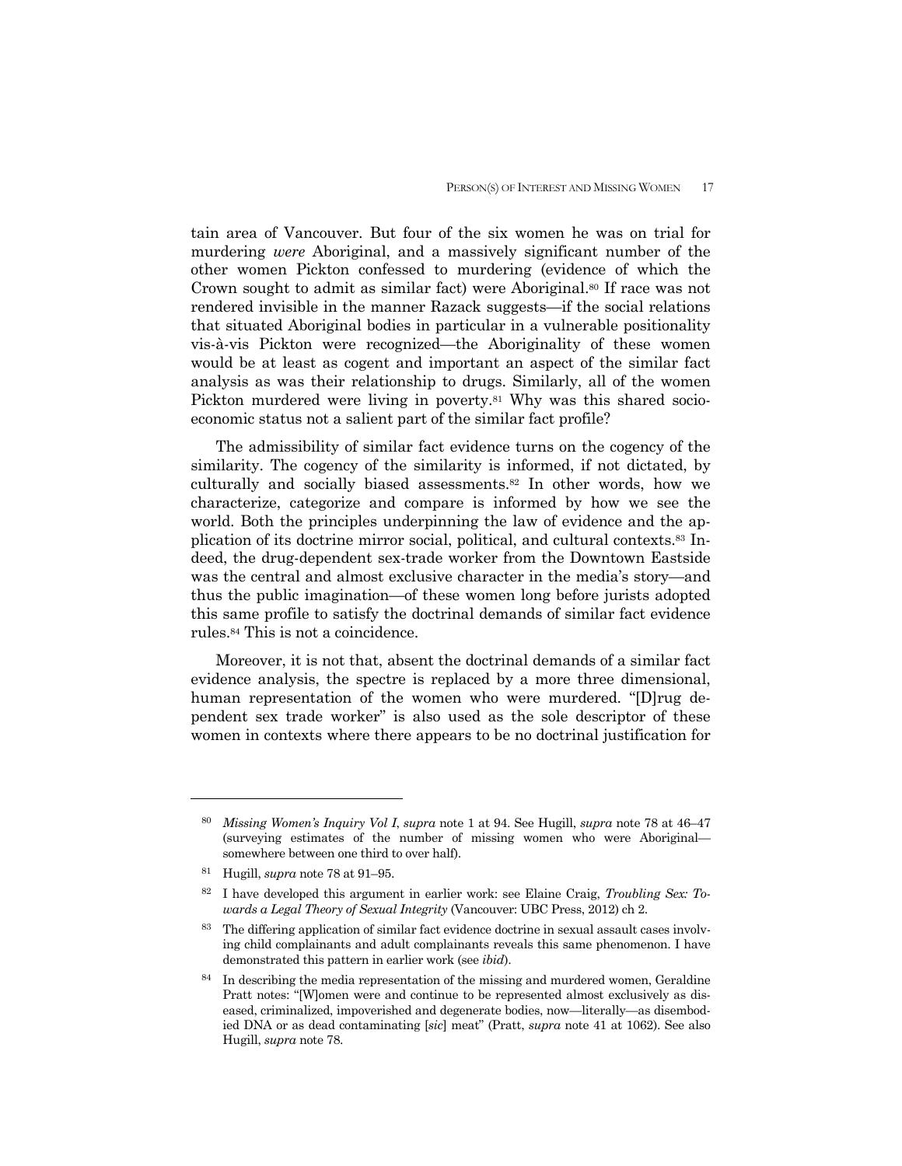tain area of Vancouver. But four of the six women he was on trial for murdering *were* Aboriginal, and a massively significant number of the other women Pickton confessed to murdering (evidence of which the Crown sought to admit as similar fact) were Aboriginal.<sup>80</sup> If race was not rendered invisible in the manner Razack suggests—if the social relations that situated Aboriginal bodies in particular in a vulnerable positionality vis-à-vis Pickton were recognized—the Aboriginality of these women would be at least as cogent and important an aspect of the similar fact analysis as was their relationship to drugs. Similarly, all of the women Pickton murdered were living in poverty.<sup>81</sup> Why was this shared socioeconomic status not a salient part of the similar fact profile?

 The admissibility of similar fact evidence turns on the cogency of the similarity. The cogency of the similarity is informed, if not dictated, by culturally and socially biased assessments.82 In other words, how we characterize, categorize and compare is informed by how we see the world. Both the principles underpinning the law of evidence and the application of its doctrine mirror social, political, and cultural contexts.83 Indeed, the drug-dependent sex-trade worker from the Downtown Eastside was the central and almost exclusive character in the media's story—and thus the public imagination—of these women long before jurists adopted this same profile to satisfy the doctrinal demands of similar fact evidence rules.84 This is not a coincidence.

 Moreover, it is not that, absent the doctrinal demands of a similar fact evidence analysis, the spectre is replaced by a more three dimensional, human representation of the women who were murdered. "[D]rug dependent sex trade worker" is also used as the sole descriptor of these women in contexts where there appears to be no doctrinal justification for

<sup>80</sup> *Missing Women's Inquiry Vol I*, *supra* note 1 at 94. See Hugill, *supra* note 78 at 46–47 (surveying estimates of the number of missing women who were Aboriginal somewhere between one third to over half).

<sup>81</sup> Hugill, *supra* note 78 at 91–95.

<sup>82</sup> I have developed this argument in earlier work: see Elaine Craig, *Troubling Sex: Towards a Legal Theory of Sexual Integrity* (Vancouver: UBC Press, 2012) ch 2.

<sup>83</sup> The differing application of similar fact evidence doctrine in sexual assault cases involving child complainants and adult complainants reveals this same phenomenon. I have demonstrated this pattern in earlier work (see *ibid*).

 $84$  In describing the media representation of the missing and murdered women, Geraldine Pratt notes: "[W]omen were and continue to be represented almost exclusively as diseased, criminalized, impoverished and degenerate bodies, now—literally—as disembodied DNA or as dead contaminating [*sic*] meat" (Pratt, *supra* note 41 at 1062). See also Hugill, *supra* note 78.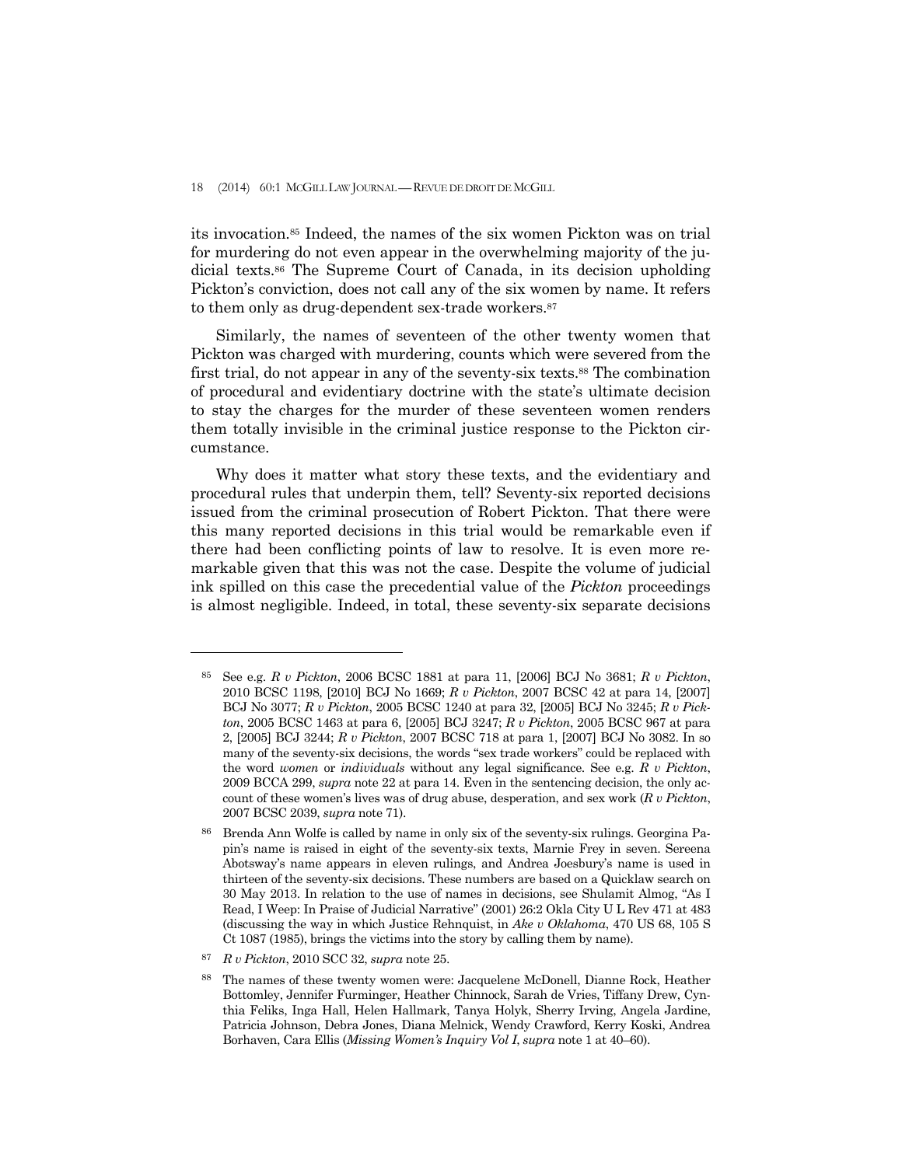18 (2014) 60:1 MCGILL LAW JOURNAL —REVUE DE DROIT DE MCGILL

its invocation.85 Indeed, the names of the six women Pickton was on trial for murdering do not even appear in the overwhelming majority of the judicial texts.86 The Supreme Court of Canada, in its decision upholding Pickton's conviction, does not call any of the six women by name. It refers to them only as drug-dependent sex-trade workers.<sup>87</sup>

 Similarly, the names of seventeen of the other twenty women that Pickton was charged with murdering, counts which were severed from the first trial, do not appear in any of the seventy-six texts.88 The combination of procedural and evidentiary doctrine with the state's ultimate decision to stay the charges for the murder of these seventeen women renders them totally invisible in the criminal justice response to the Pickton circumstance.

 Why does it matter what story these texts, and the evidentiary and procedural rules that underpin them, tell? Seventy-six reported decisions issued from the criminal prosecution of Robert Pickton. That there were this many reported decisions in this trial would be remarkable even if there had been conflicting points of law to resolve. It is even more remarkable given that this was not the case. Despite the volume of judicial ink spilled on this case the precedential value of the *Pickton* proceedings is almost negligible. Indeed, in total, these seventy-six separate decisions

<sup>85</sup> See e.g. *R v Pickton*, 2006 BCSC 1881 at para 11, [2006] BCJ No 3681; *R v Pickton*, 2010 BCSC 1198, [2010] BCJ No 1669; *R v Pickton*, 2007 BCSC 42 at para 14, [2007] BCJ No 3077; *R v Pickton*, 2005 BCSC 1240 at para 32, [2005] BCJ No 3245; *R v Pickton*, 2005 BCSC 1463 at para 6, [2005] BCJ 3247; *R v Pickton*, 2005 BCSC 967 at para 2, [2005] BCJ 3244; *R v Pickton*, 2007 BCSC 718 at para 1, [2007] BCJ No 3082. In so many of the seventy-six decisions, the words "sex trade workers" could be replaced with the word *women* or *individuals* without any legal significance. See e.g. *R v Pickton*, 2009 BCCA 299, *supra* note 22 at para 14. Even in the sentencing decision, the only account of these women's lives was of drug abuse, desperation, and sex work (*R v Pickton*, 2007 BCSC 2039, *supra* note 71).

<sup>86</sup> Brenda Ann Wolfe is called by name in only six of the seventy-six rulings. Georgina Papin's name is raised in eight of the seventy-six texts, Marnie Frey in seven. Sereena Abotsway's name appears in eleven rulings, and Andrea Joesbury's name is used in thirteen of the seventy-six decisions. These numbers are based on a Quicklaw search on 30 May 2013. In relation to the use of names in decisions, see Shulamit Almog, "As I Read, I Weep: In Praise of Judicial Narrative" (2001) 26:2 Okla City U L Rev 471 at 483 (discussing the way in which Justice Rehnquist, in *Ake v Oklahoma*, 470 US 68, 105 S Ct 1087 (1985), brings the victims into the story by calling them by name).

<sup>87</sup> *R v Pickton*, 2010 SCC 32, *supra* note 25.

<sup>88</sup> The names of these twenty women were: Jacquelene McDonell, Dianne Rock, Heather Bottomley, Jennifer Furminger, Heather Chinnock, Sarah de Vries, Tiffany Drew, Cynthia Feliks, Inga Hall, Helen Hallmark, Tanya Holyk, Sherry Irving, Angela Jardine, Patricia Johnson, Debra Jones, Diana Melnick, Wendy Crawford, Kerry Koski, Andrea Borhaven, Cara Ellis (*Missing Women's Inquiry Vol I*, *supra* note 1 at 40–60).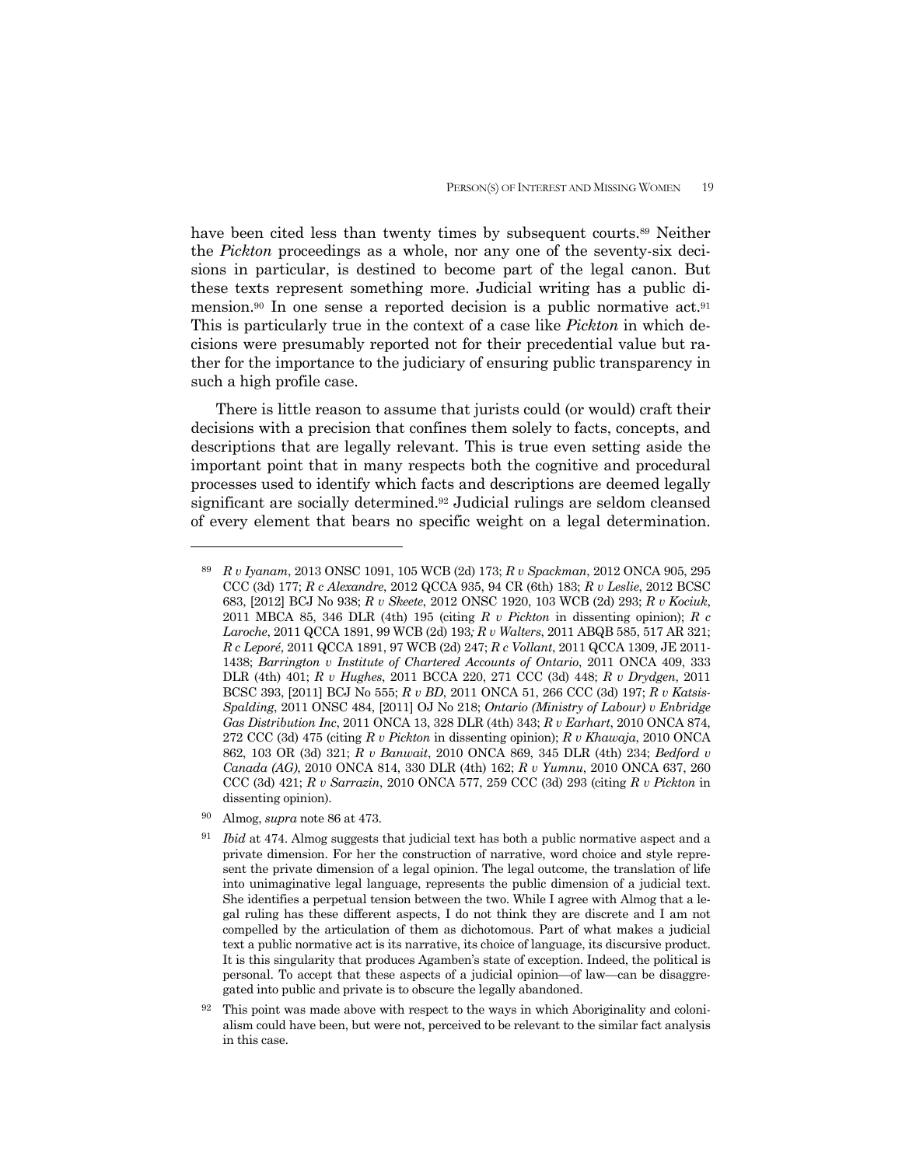have been cited less than twenty times by subsequent courts.89 Neither the *Pickton* proceedings as a whole, nor any one of the seventy-six decisions in particular, is destined to become part of the legal canon. But these texts represent something more. Judicial writing has a public dimension.<sup>90</sup> In one sense a reported decision is a public normative act.<sup>91</sup> This is particularly true in the context of a case like *Pickton* in which decisions were presumably reported not for their precedential value but rather for the importance to the judiciary of ensuring public transparency in such a high profile case.

 There is little reason to assume that jurists could (or would) craft their decisions with a precision that confines them solely to facts, concepts, and descriptions that are legally relevant. This is true even setting aside the important point that in many respects both the cognitive and procedural processes used to identify which facts and descriptions are deemed legally significant are socially determined.92 Judicial rulings are seldom cleansed of every element that bears no specific weight on a legal determination.

<sup>89</sup> *R v Iyanam*, 2013 ONSC 1091, 105 WCB (2d) 173; *R v Spackman*, 2012 ONCA 905, 295 CCC (3d) 177; *R c Alexandre*, 2012 QCCA 935, 94 CR (6th) 183; *R v Leslie*, 2012 BCSC 683, [2012] BCJ No 938; *R v Skeete*, 2012 ONSC 1920, 103 WCB (2d) 293; *R v Kociuk*, 2011 MBCA 85, 346 DLR (4th) 195 (citing *R v Pickton* in dissenting opinion); *R c Laroche*, 2011 QCCA 1891, 99 WCB (2d) 193*; R v Walters*, 2011 ABQB 585, 517 AR 321; *R c Leporé*, 2011 QCCA 1891, 97 WCB (2d) 247; *R c Vollant*, 2011 QCCA 1309, JE 2011- 1438; *Barrington v Institute of Chartered Accounts of Ontario*, 2011 ONCA 409, 333 DLR (4th) 401; *R v Hughes*, 2011 BCCA 220, 271 CCC (3d) 448; *R v Drydgen*, 2011 BCSC 393, [2011] BCJ No 555; *R v BD*, 2011 ONCA 51, 266 CCC (3d) 197; *R v Katsis-Spalding*, 2011 ONSC 484, [2011] OJ No 218; *Ontario (Ministry of Labour) v Enbridge Gas Distribution Inc*, 2011 ONCA 13, 328 DLR (4th) 343; *R v Earhart*, 2010 ONCA 874, 272 CCC (3d) 475 (citing *R v Pickton* in dissenting opinion); *R v Khawaja*, 2010 ONCA 862, 103 OR (3d) 321; *R v Banwait*, 2010 ONCA 869, 345 DLR (4th) 234; *Bedford v Canada (AG)*, 2010 ONCA 814, 330 DLR (4th) 162; *R v Yumnu*, 2010 ONCA 637, 260 CCC (3d) 421; *R v Sarrazin*, 2010 ONCA 577, 259 CCC (3d) 293 (citing *R v Pickton* in dissenting opinion).

<sup>90</sup> Almog, *supra* note 86 at 473.

<sup>91</sup> *Ibid* at 474. Almog suggests that judicial text has both a public normative aspect and a private dimension. For her the construction of narrative, word choice and style represent the private dimension of a legal opinion. The legal outcome, the translation of life into unimaginative legal language, represents the public dimension of a judicial text. She identifies a perpetual tension between the two. While I agree with Almog that a legal ruling has these different aspects, I do not think they are discrete and I am not compelled by the articulation of them as dichotomous. Part of what makes a judicial text a public normative act is its narrative, its choice of language, its discursive product. It is this singularity that produces Agamben's state of exception. Indeed, the political is personal. To accept that these aspects of a judicial opinion—of law—can be disaggregated into public and private is to obscure the legally abandoned.

 $92$  This point was made above with respect to the ways in which Aboriginality and colonialism could have been, but were not, perceived to be relevant to the similar fact analysis in this case.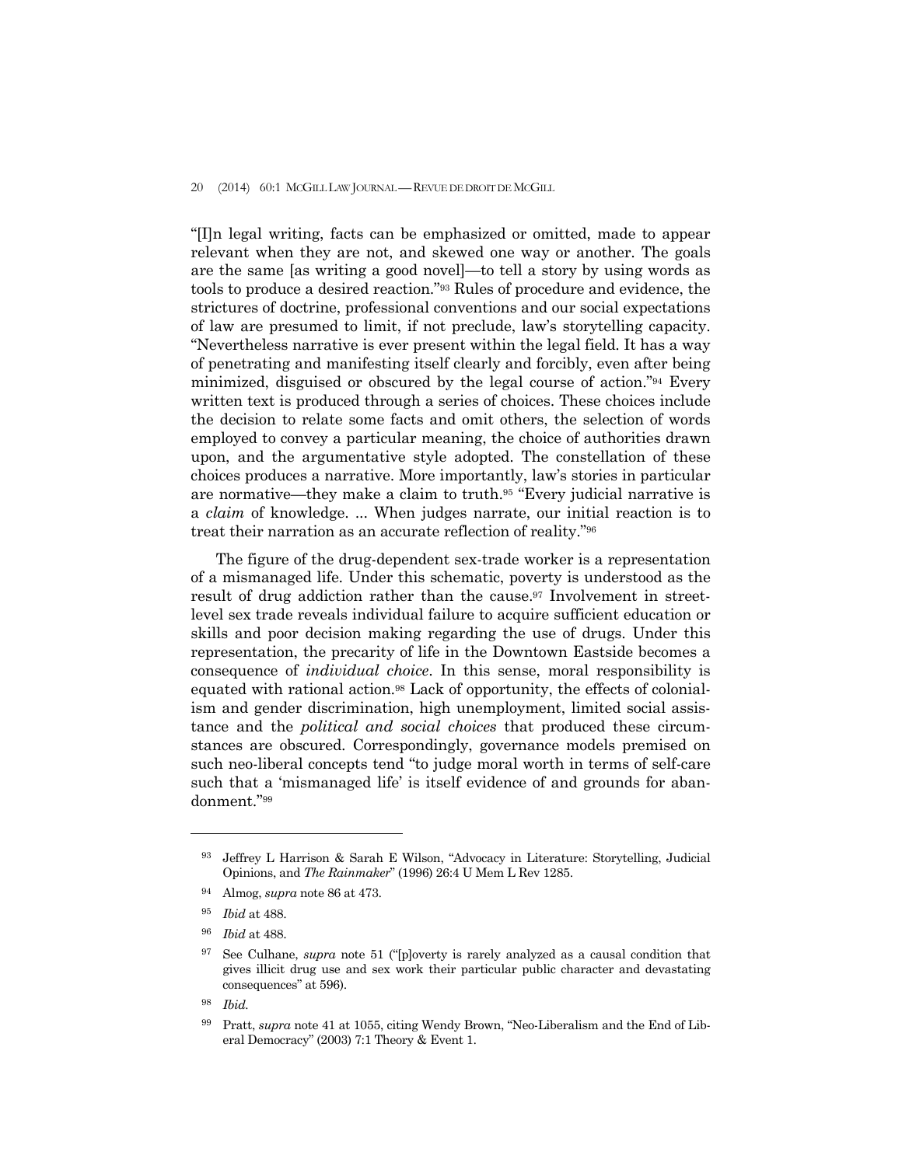#### 20 (2014) 60:1 MCGILL LAW JOURNAL — REVUE DE DROIT DE MCGILL

"[I]n legal writing, facts can be emphasized or omitted, made to appear relevant when they are not, and skewed one way or another. The goals are the same [as writing a good novel]—to tell a story by using words as tools to produce a desired reaction."93 Rules of procedure and evidence, the strictures of doctrine, professional conventions and our social expectations of law are presumed to limit, if not preclude, law's storytelling capacity. "Nevertheless narrative is ever present within the legal field. It has a way of penetrating and manifesting itself clearly and forcibly, even after being minimized, disguised or obscured by the legal course of action."94 Every written text is produced through a series of choices. These choices include the decision to relate some facts and omit others, the selection of words employed to convey a particular meaning, the choice of authorities drawn upon, and the argumentative style adopted. The constellation of these choices produces a narrative. More importantly, law's stories in particular are normative—they make a claim to truth.95 "Every judicial narrative is a *claim* of knowledge. ... When judges narrate, our initial reaction is to treat their narration as an accurate reflection of reality."96

 The figure of the drug-dependent sex-trade worker is a representation of a mismanaged life. Under this schematic, poverty is understood as the result of drug addiction rather than the cause.97 Involvement in streetlevel sex trade reveals individual failure to acquire sufficient education or skills and poor decision making regarding the use of drugs. Under this representation, the precarity of life in the Downtown Eastside becomes a consequence of *individual choice*. In this sense, moral responsibility is equated with rational action.98 Lack of opportunity, the effects of colonialism and gender discrimination, high unemployment, limited social assistance and the *political and social choices* that produced these circumstances are obscured. Correspondingly, governance models premised on such neo-liberal concepts tend "to judge moral worth in terms of self-care such that a 'mismanaged life' is itself evidence of and grounds for abandonment."99

<sup>93</sup> Jeffrey L Harrison & Sarah E Wilson, "Advocacy in Literature: Storytelling, Judicial Opinions, and *The Rainmaker*" (1996) 26:4 U Mem L Rev 1285.

<sup>94</sup> Almog, *supra* note 86 at 473.

<sup>95</sup> *Ibid* at 488.

<sup>96</sup> *Ibid* at 488.

<sup>97</sup> See Culhane, *supra* note 51 ("[p]overty is rarely analyzed as a causal condition that gives illicit drug use and sex work their particular public character and devastating consequences" at 596).

<sup>98</sup> *Ibid.* 

<sup>99</sup> Pratt, *supra* note 41 at 1055, citing Wendy Brown, "Neo-Liberalism and the End of Liberal Democracy" (2003) 7:1 Theory & Event 1.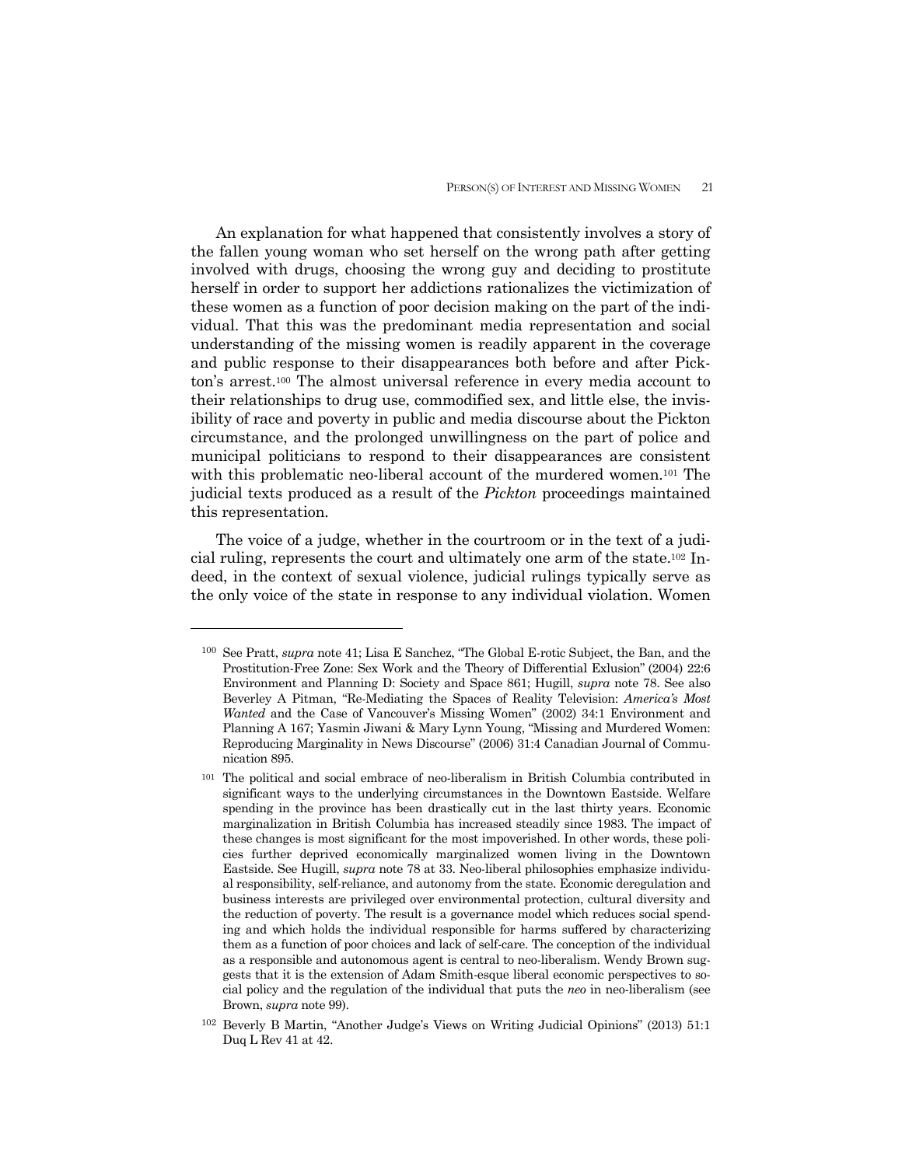An explanation for what happened that consistently involves a story of the fallen young woman who set herself on the wrong path after getting involved with drugs, choosing the wrong guy and deciding to prostitute herself in order to support her addictions rationalizes the victimization of these women as a function of poor decision making on the part of the individual. That this was the predominant media representation and social understanding of the missing women is readily apparent in the coverage and public response to their disappearances both before and after Pickton's arrest.100 The almost universal reference in every media account to their relationships to drug use, commodified sex, and little else, the invisibility of race and poverty in public and media discourse about the Pickton circumstance, and the prolonged unwillingness on the part of police and municipal politicians to respond to their disappearances are consistent with this problematic neo-liberal account of the murdered women.<sup>101</sup> The judicial texts produced as a result of the *Pickton* proceedings maintained this representation.

 The voice of a judge, whether in the courtroom or in the text of a judicial ruling, represents the court and ultimately one arm of the state.102 Indeed, in the context of sexual violence, judicial rulings typically serve as the only voice of the state in response to any individual violation. Women

<sup>100</sup> See Pratt, *supra* note 41; Lisa E Sanchez, "The Global E-rotic Subject, the Ban, and the Prostitution-Free Zone: Sex Work and the Theory of Differential Exlusion" (2004) 22:6 Environment and Planning D: Society and Space 861; Hugill, *supra* note 78. See also Beverley A Pitman, "Re-Mediating the Spaces of Reality Television: *America's Most Wanted* and the Case of Vancouver's Missing Women" (2002) 34:1 Environment and Planning A 167; Yasmin Jiwani & Mary Lynn Young, "Missing and Murdered Women: Reproducing Marginality in News Discourse" (2006) 31:4 Canadian Journal of Communication 895.

<sup>101</sup> The political and social embrace of neo-liberalism in British Columbia contributed in significant ways to the underlying circumstances in the Downtown Eastside. Welfare spending in the province has been drastically cut in the last thirty years. Economic marginalization in British Columbia has increased steadily since 1983. The impact of these changes is most significant for the most impoverished. In other words, these policies further deprived economically marginalized women living in the Downtown Eastside. See Hugill, *supra* note 78 at 33. Neo-liberal philosophies emphasize individual responsibility, self-reliance, and autonomy from the state. Economic deregulation and business interests are privileged over environmental protection, cultural diversity and the reduction of poverty. The result is a governance model which reduces social spending and which holds the individual responsible for harms suffered by characterizing them as a function of poor choices and lack of self-care. The conception of the individual as a responsible and autonomous agent is central to neo-liberalism. Wendy Brown suggests that it is the extension of Adam Smith-esque liberal economic perspectives to social policy and the regulation of the individual that puts the *neo* in neo-liberalism (see Brown, *supra* note 99).

<sup>102</sup> Beverly B Martin, "Another Judge's Views on Writing Judicial Opinions" (2013) 51:1 Duq L Rev 41 at 42.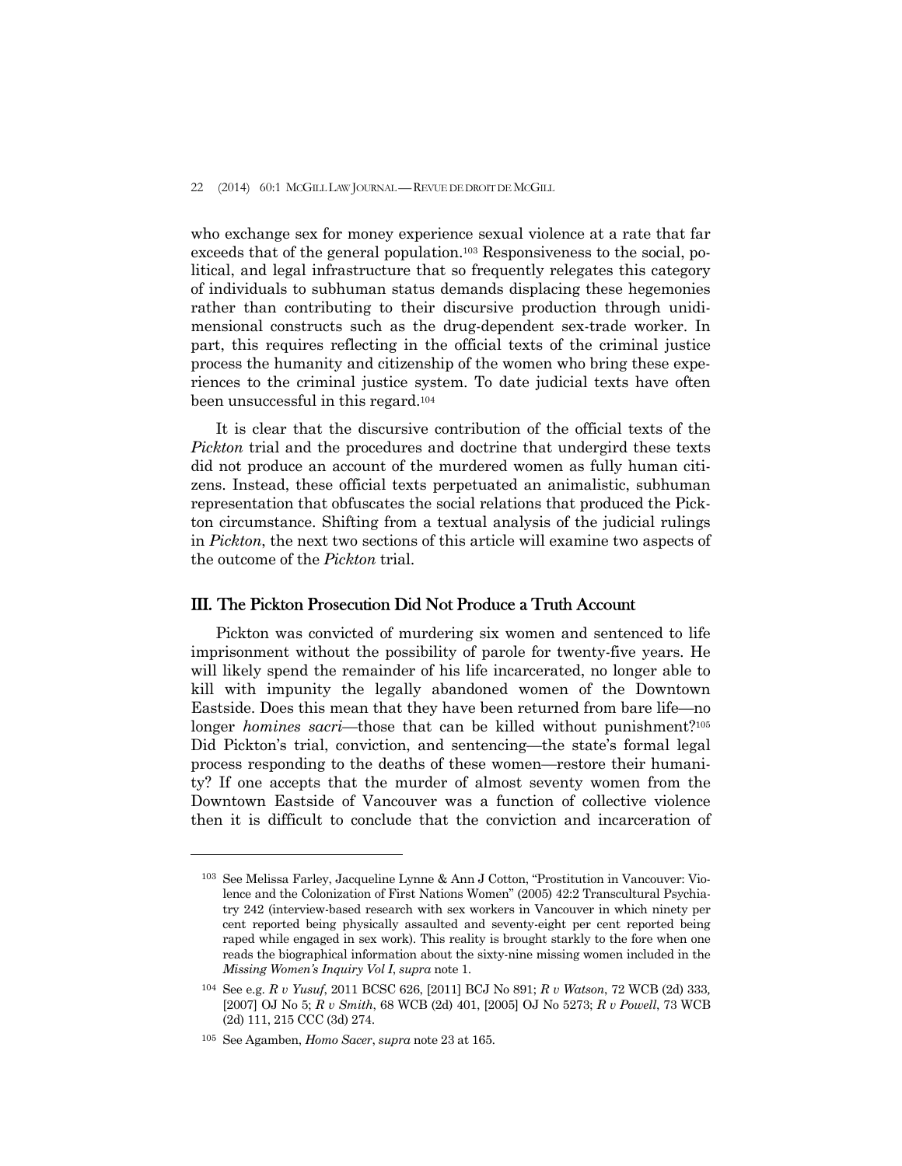who exchange sex for money experience sexual violence at a rate that far exceeds that of the general population.103 Responsiveness to the social, political, and legal infrastructure that so frequently relegates this category of individuals to subhuman status demands displacing these hegemonies rather than contributing to their discursive production through unidimensional constructs such as the drug-dependent sex-trade worker. In part, this requires reflecting in the official texts of the criminal justice process the humanity and citizenship of the women who bring these experiences to the criminal justice system. To date judicial texts have often been unsuccessful in this regard.104

 It is clear that the discursive contribution of the official texts of the *Pickton* trial and the procedures and doctrine that undergird these texts did not produce an account of the murdered women as fully human citizens. Instead, these official texts perpetuated an animalistic, subhuman representation that obfuscates the social relations that produced the Pickton circumstance. Shifting from a textual analysis of the judicial rulings in *Pickton*, the next two sections of this article will examine two aspects of the outcome of the *Pickton* trial.

## III. The Pickton Prosecution Did Not Produce a Truth Account

 Pickton was convicted of murdering six women and sentenced to life imprisonment without the possibility of parole for twenty-five years. He will likely spend the remainder of his life incarcerated, no longer able to kill with impunity the legally abandoned women of the Downtown Eastside. Does this mean that they have been returned from bare life—no longer *homines sacri*—those that can be killed without punishment?<sup>105</sup> Did Pickton's trial, conviction, and sentencing—the state's formal legal process responding to the deaths of these women—restore their humanity? If one accepts that the murder of almost seventy women from the Downtown Eastside of Vancouver was a function of collective violence then it is difficult to conclude that the conviction and incarceration of

<sup>103</sup> See Melissa Farley, Jacqueline Lynne & Ann J Cotton, "Prostitution in Vancouver: Violence and the Colonization of First Nations Women" (2005) 42:2 Transcultural Psychiatry 242 (interview-based research with sex workers in Vancouver in which ninety per cent reported being physically assaulted and seventy-eight per cent reported being raped while engaged in sex work). This reality is brought starkly to the fore when one reads the biographical information about the sixty-nine missing women included in the *Missing Women's Inquiry Vol I*, *supra* note 1.

<sup>104</sup> See e.g. *R v Yusuf*, 2011 BCSC 626, [2011] BCJ No 891; *R v Watson*, 72 WCB (2d) 333*,*  [2007] OJ No 5; *R v Smith*, 68 WCB (2d) 401, [2005] OJ No 5273; *R v Powell*, 73 WCB (2d) 111, 215 CCC (3d) 274.

<sup>105</sup> See Agamben, *Homo Sacer*, *supra* note 23 at 165.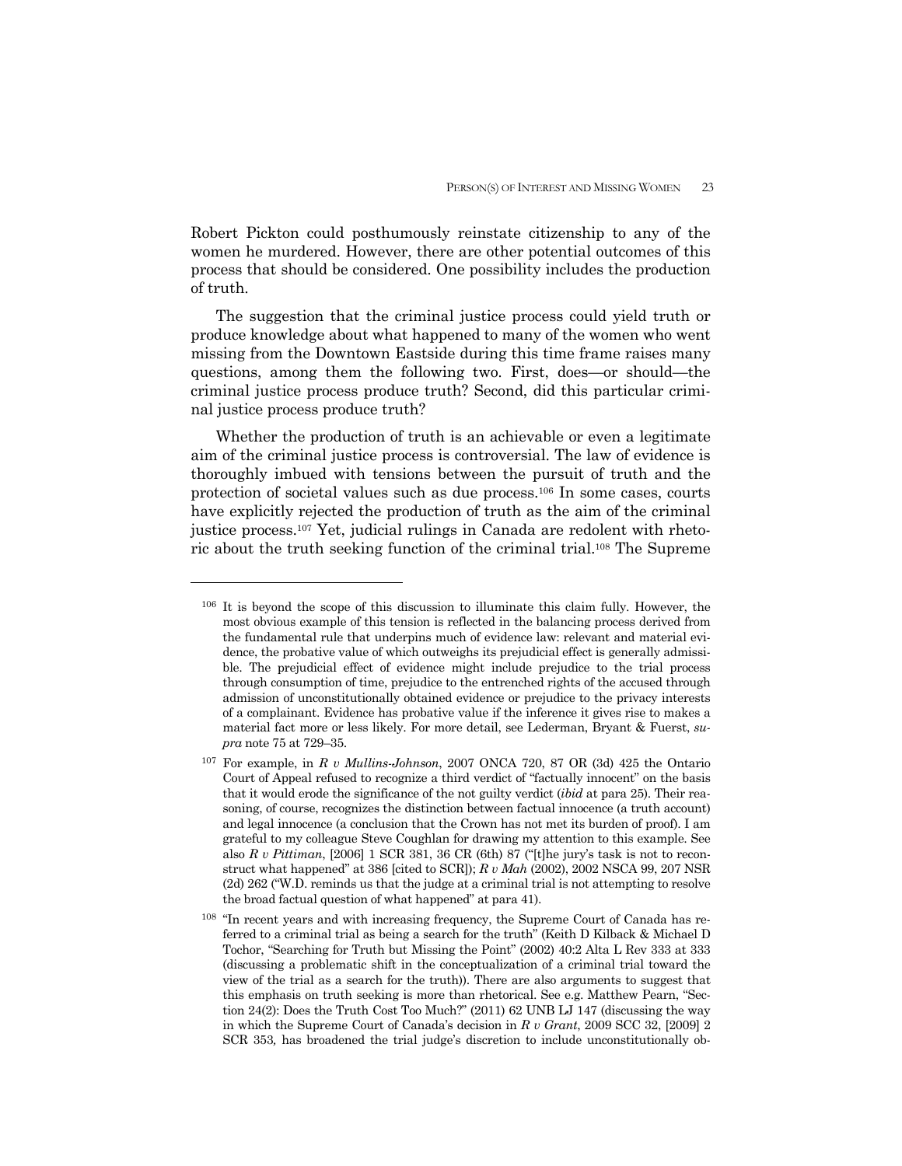Robert Pickton could posthumously reinstate citizenship to any of the women he murdered. However, there are other potential outcomes of this process that should be considered. One possibility includes the production of truth.

 The suggestion that the criminal justice process could yield truth or produce knowledge about what happened to many of the women who went missing from the Downtown Eastside during this time frame raises many questions, among them the following two. First, does—or should—the criminal justice process produce truth? Second, did this particular criminal justice process produce truth?

 Whether the production of truth is an achievable or even a legitimate aim of the criminal justice process is controversial. The law of evidence is thoroughly imbued with tensions between the pursuit of truth and the protection of societal values such as due process.106 In some cases, courts have explicitly rejected the production of truth as the aim of the criminal justice process.107 Yet, judicial rulings in Canada are redolent with rhetoric about the truth seeking function of the criminal trial.108 The Supreme

<sup>106</sup> It is beyond the scope of this discussion to illuminate this claim fully. However, the most obvious example of this tension is reflected in the balancing process derived from the fundamental rule that underpins much of evidence law: relevant and material evidence, the probative value of which outweighs its prejudicial effect is generally admissible. The prejudicial effect of evidence might include prejudice to the trial process through consumption of time, prejudice to the entrenched rights of the accused through admission of unconstitutionally obtained evidence or prejudice to the privacy interests of a complainant. Evidence has probative value if the inference it gives rise to makes a material fact more or less likely. For more detail, see Lederman, Bryant & Fuerst, *supra* note 75 at 729–35.

<sup>107</sup> For example, in *R v Mullins-Johnson*, 2007 ONCA 720, 87 OR (3d) 425 the Ontario Court of Appeal refused to recognize a third verdict of "factually innocent" on the basis that it would erode the significance of the not guilty verdict (*ibid* at para 25). Their reasoning, of course, recognizes the distinction between factual innocence (a truth account) and legal innocence (a conclusion that the Crown has not met its burden of proof). I am grateful to my colleague Steve Coughlan for drawing my attention to this example. See also *R v Pittiman*, [2006] 1 SCR 381, 36 CR (6th) 87 ("[t]he jury's task is not to reconstruct what happened" at 386 [cited to SCR]); *R v Mah* (2002), 2002 NSCA 99, 207 NSR (2d) 262 ("W.D. reminds us that the judge at a criminal trial is not attempting to resolve the broad factual question of what happened" at para 41).

<sup>108 &</sup>quot;In recent years and with increasing frequency, the Supreme Court of Canada has referred to a criminal trial as being a search for the truth" (Keith D Kilback & Michael D Tochor, "Searching for Truth but Missing the Point" (2002) 40:2 Alta L Rev 333 at 333 (discussing a problematic shift in the conceptualization of a criminal trial toward the view of the trial as a search for the truth)). There are also arguments to suggest that this emphasis on truth seeking is more than rhetorical. See e.g. Matthew Pearn, "Section 24(2): Does the Truth Cost Too Much?" (2011) 62 UNB LJ 147 (discussing the way in which the Supreme Court of Canada's decision in *R v Grant*, 2009 SCC 32, [2009] 2 SCR 353*,* has broadened the trial judge's discretion to include unconstitutionally ob-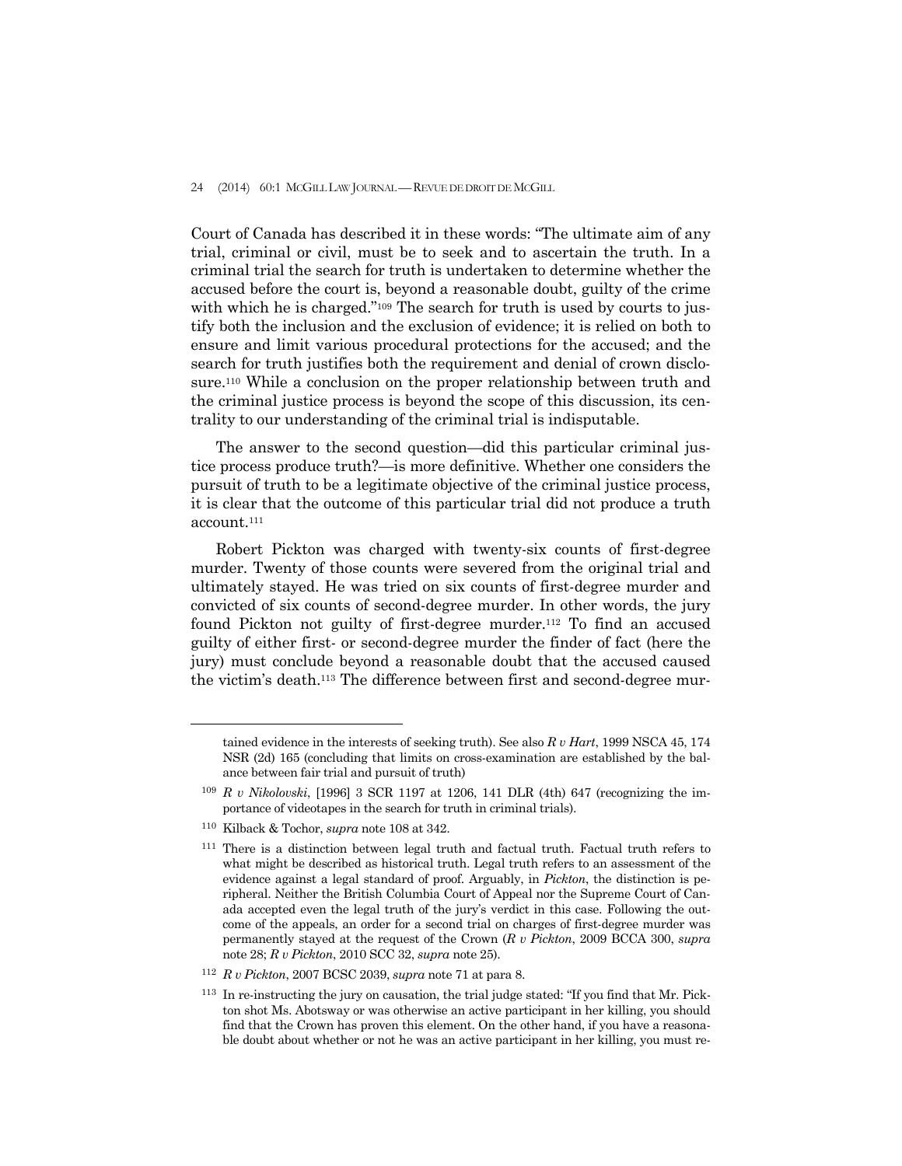Court of Canada has described it in these words: "The ultimate aim of any trial, criminal or civil, must be to seek and to ascertain the truth. In a criminal trial the search for truth is undertaken to determine whether the accused before the court is, beyond a reasonable doubt, guilty of the crime with which he is charged."<sup>109</sup> The search for truth is used by courts to justify both the inclusion and the exclusion of evidence; it is relied on both to ensure and limit various procedural protections for the accused; and the search for truth justifies both the requirement and denial of crown disclosure.110 While a conclusion on the proper relationship between truth and the criminal justice process is beyond the scope of this discussion, its centrality to our understanding of the criminal trial is indisputable.

 The answer to the second question—did this particular criminal justice process produce truth?—is more definitive. Whether one considers the pursuit of truth to be a legitimate objective of the criminal justice process, it is clear that the outcome of this particular trial did not produce a truth account.111

 Robert Pickton was charged with twenty-six counts of first-degree murder. Twenty of those counts were severed from the original trial and ultimately stayed. He was tried on six counts of first-degree murder and convicted of six counts of second-degree murder. In other words, the jury found Pickton not guilty of first-degree murder.<sup>112</sup> To find an accused guilty of either first- or second-degree murder the finder of fact (here the jury) must conclude beyond a reasonable doubt that the accused caused the victim's death.113 The difference between first and second-degree mur-

 $\overline{a}$ 

tained evidence in the interests of seeking truth). See also *R v Hart*, 1999 NSCA 45, 174 NSR (2d) 165 (concluding that limits on cross-examination are established by the balance between fair trial and pursuit of truth)

<sup>109</sup> *R v Nikolovski*, [1996] 3 SCR 1197 at 1206, 141 DLR (4th) 647 (recognizing the importance of videotapes in the search for truth in criminal trials).

<sup>110</sup> Kilback & Tochor, *supra* note 108 at 342.

<sup>111</sup> There is a distinction between legal truth and factual truth. Factual truth refers to what might be described as historical truth. Legal truth refers to an assessment of the evidence against a legal standard of proof. Arguably, in *Pickton*, the distinction is peripheral. Neither the British Columbia Court of Appeal nor the Supreme Court of Canada accepted even the legal truth of the jury's verdict in this case. Following the outcome of the appeals, an order for a second trial on charges of first-degree murder was permanently stayed at the request of the Crown (*R v Pickton*, 2009 BCCA 300, *supra* note 28; *R v Pickton*, 2010 SCC 32, *supra* note 25).

<sup>112</sup> *R v Pickton*, 2007 BCSC 2039, *supra* note 71 at para 8.

<sup>113</sup> In re-instructing the jury on causation, the trial judge stated: "If you find that Mr. Pickton shot Ms. Abotsway or was otherwise an active participant in her killing, you should find that the Crown has proven this element. On the other hand, if you have a reasonable doubt about whether or not he was an active participant in her killing, you must re-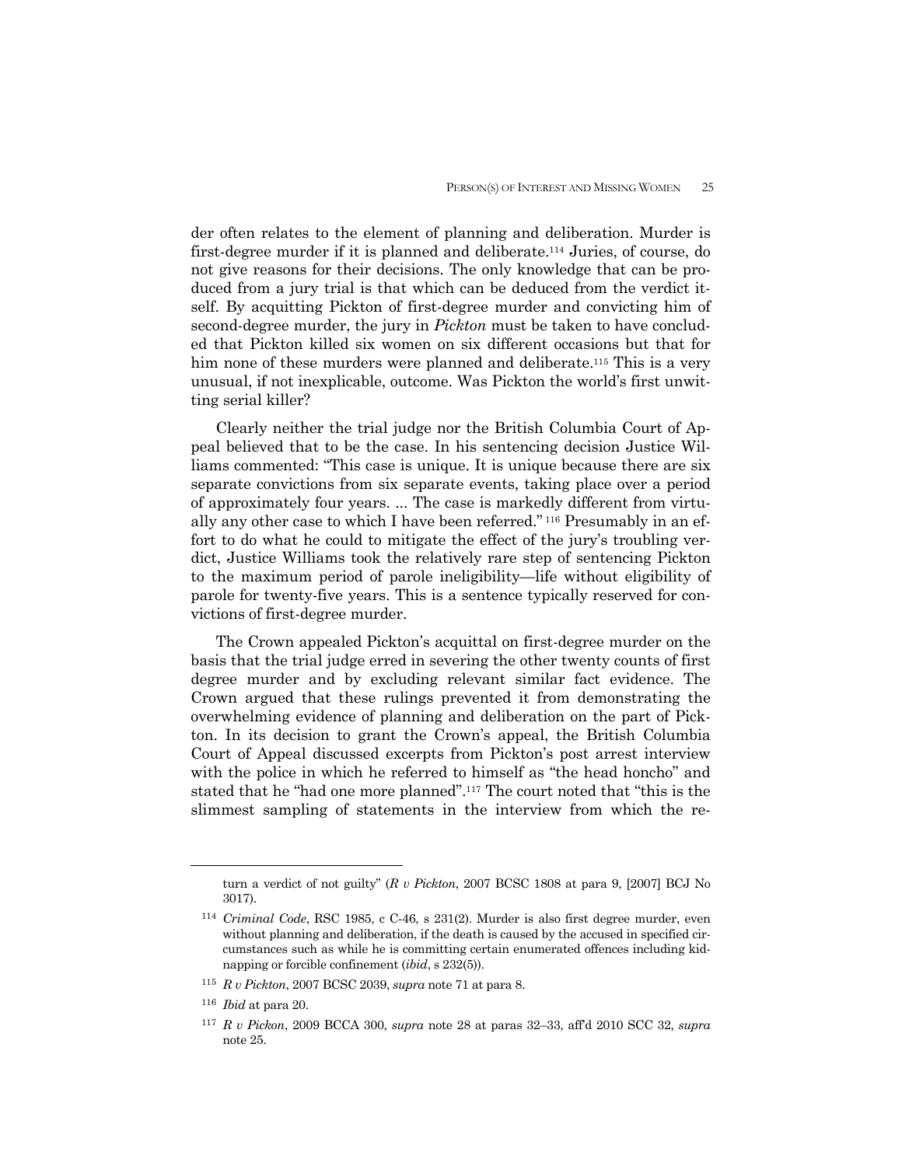der often relates to the element of planning and deliberation. Murder is first-degree murder if it is planned and deliberate.114 Juries, of course, do not give reasons for their decisions. The only knowledge that can be produced from a jury trial is that which can be deduced from the verdict itself. By acquitting Pickton of first-degree murder and convicting him of second-degree murder, the jury in *Pickton* must be taken to have concluded that Pickton killed six women on six different occasions but that for him none of these murders were planned and deliberate.<sup>115</sup> This is a very unusual, if not inexplicable, outcome. Was Pickton the world's first unwitting serial killer?

 Clearly neither the trial judge nor the British Columbia Court of Appeal believed that to be the case. In his sentencing decision Justice Williams commented: "This case is unique. It is unique because there are six separate convictions from six separate events, taking place over a period of approximately four years. ... The case is markedly different from virtually any other case to which I have been referred." 116 Presumably in an effort to do what he could to mitigate the effect of the jury's troubling verdict, Justice Williams took the relatively rare step of sentencing Pickton to the maximum period of parole ineligibility—life without eligibility of parole for twenty-five years. This is a sentence typically reserved for convictions of first-degree murder.

 The Crown appealed Pickton's acquittal on first-degree murder on the basis that the trial judge erred in severing the other twenty counts of first degree murder and by excluding relevant similar fact evidence. The Crown argued that these rulings prevented it from demonstrating the overwhelming evidence of planning and deliberation on the part of Pickton. In its decision to grant the Crown's appeal, the British Columbia Court of Appeal discussed excerpts from Pickton's post arrest interview with the police in which he referred to himself as "the head honcho" and stated that he "had one more planned".117 The court noted that "this is the slimmest sampling of statements in the interview from which the re-

 $\overline{a}$ 

turn a verdict of not guilty" (*R v Pickton*, 2007 BCSC 1808 at para 9, [2007] BCJ No 3017).

<sup>114</sup> *Criminal Code*, RSC 1985, c C-46, s 231(2). Murder is also first degree murder, even without planning and deliberation, if the death is caused by the accused in specified circumstances such as while he is committing certain enumerated offences including kidnapping or forcible confinement (*ibid*, s 232(5)).

<sup>115</sup> *R v Pickton*, 2007 BCSC 2039, *supra* note 71 at para 8.

<sup>116</sup> *Ibid* at para 20.

<sup>117</sup> *R v Pickon*, 2009 BCCA 300, *supra* note 28 at paras 32–33, aff'd 2010 SCC 32, *supra* note 25.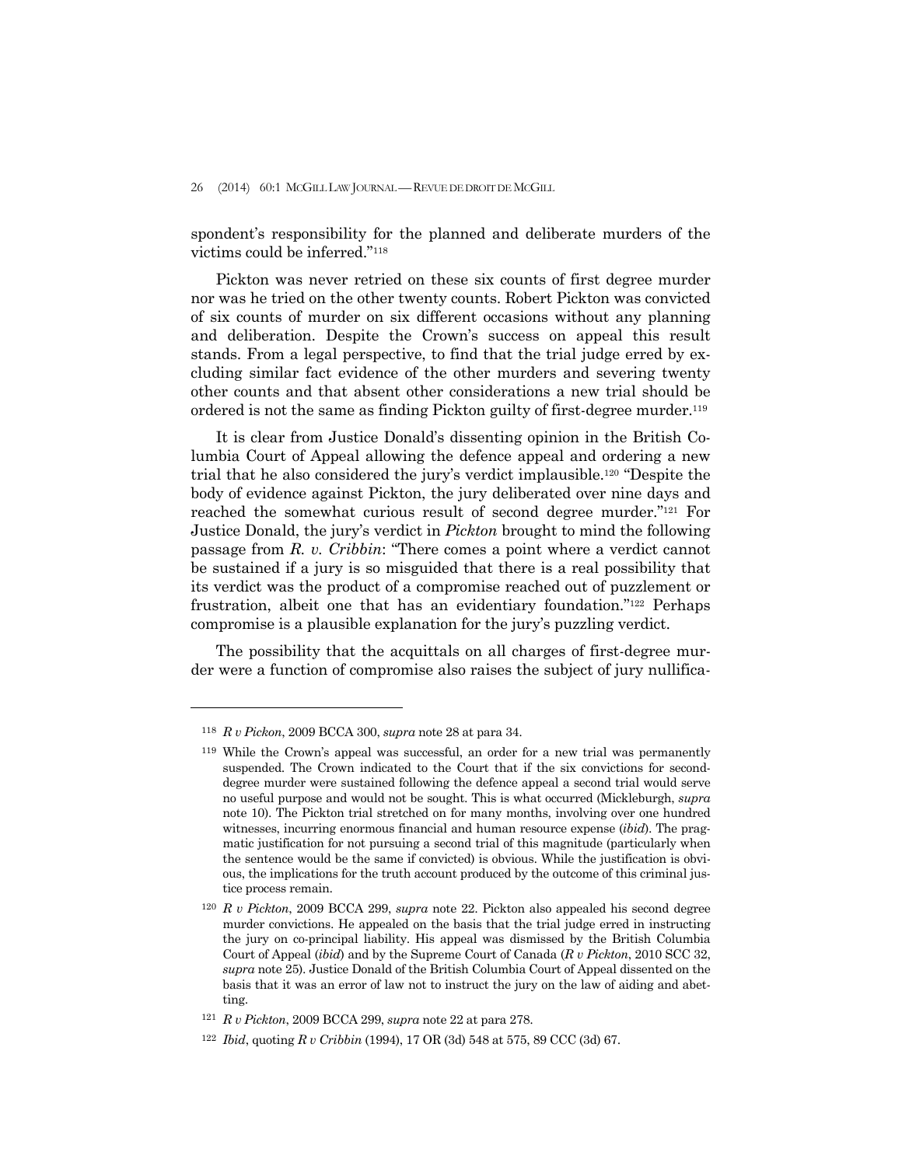spondent's responsibility for the planned and deliberate murders of the victims could be inferred."118

 Pickton was never retried on these six counts of first degree murder nor was he tried on the other twenty counts. Robert Pickton was convicted of six counts of murder on six different occasions without any planning and deliberation. Despite the Crown's success on appeal this result stands. From a legal perspective, to find that the trial judge erred by excluding similar fact evidence of the other murders and severing twenty other counts and that absent other considerations a new trial should be ordered is not the same as finding Pickton guilty of first-degree murder.119

 It is clear from Justice Donald's dissenting opinion in the British Columbia Court of Appeal allowing the defence appeal and ordering a new trial that he also considered the jury's verdict implausible.120 "Despite the body of evidence against Pickton, the jury deliberated over nine days and reached the somewhat curious result of second degree murder."121 For Justice Donald, the jury's verdict in *Pickton* brought to mind the following passage from *R. v. Cribbin*: "There comes a point where a verdict cannot be sustained if a jury is so misguided that there is a real possibility that its verdict was the product of a compromise reached out of puzzlement or frustration, albeit one that has an evidentiary foundation."122 Perhaps compromise is a plausible explanation for the jury's puzzling verdict.

 The possibility that the acquittals on all charges of first-degree murder were a function of compromise also raises the subject of jury nullifica-

<sup>118</sup> *R v Pickon*, 2009 BCCA 300, *supra* note 28 at para 34.

<sup>119</sup> While the Crown's appeal was successful, an order for a new trial was permanently suspended. The Crown indicated to the Court that if the six convictions for seconddegree murder were sustained following the defence appeal a second trial would serve no useful purpose and would not be sought. This is what occurred (Mickleburgh, *supra*  note 10). The Pickton trial stretched on for many months, involving over one hundred witnesses, incurring enormous financial and human resource expense (*ibid*). The pragmatic justification for not pursuing a second trial of this magnitude (particularly when the sentence would be the same if convicted) is obvious. While the justification is obvious, the implications for the truth account produced by the outcome of this criminal justice process remain.

<sup>120</sup> *R v Pickton*, 2009 BCCA 299, *supra* note 22. Pickton also appealed his second degree murder convictions. He appealed on the basis that the trial judge erred in instructing the jury on co-principal liability. His appeal was dismissed by the British Columbia Court of Appeal (*ibid*) and by the Supreme Court of Canada (*R v Pickton*, 2010 SCC 32, *supra* note 25). Justice Donald of the British Columbia Court of Appeal dissented on the basis that it was an error of law not to instruct the jury on the law of aiding and abetting.

<sup>121</sup> *R v Pickton*, 2009 BCCA 299, *supra* note 22 at para 278.

<sup>122</sup> *Ibid*, quoting *R v Cribbin* (1994), 17 OR (3d) 548 at 575, 89 CCC (3d) 67.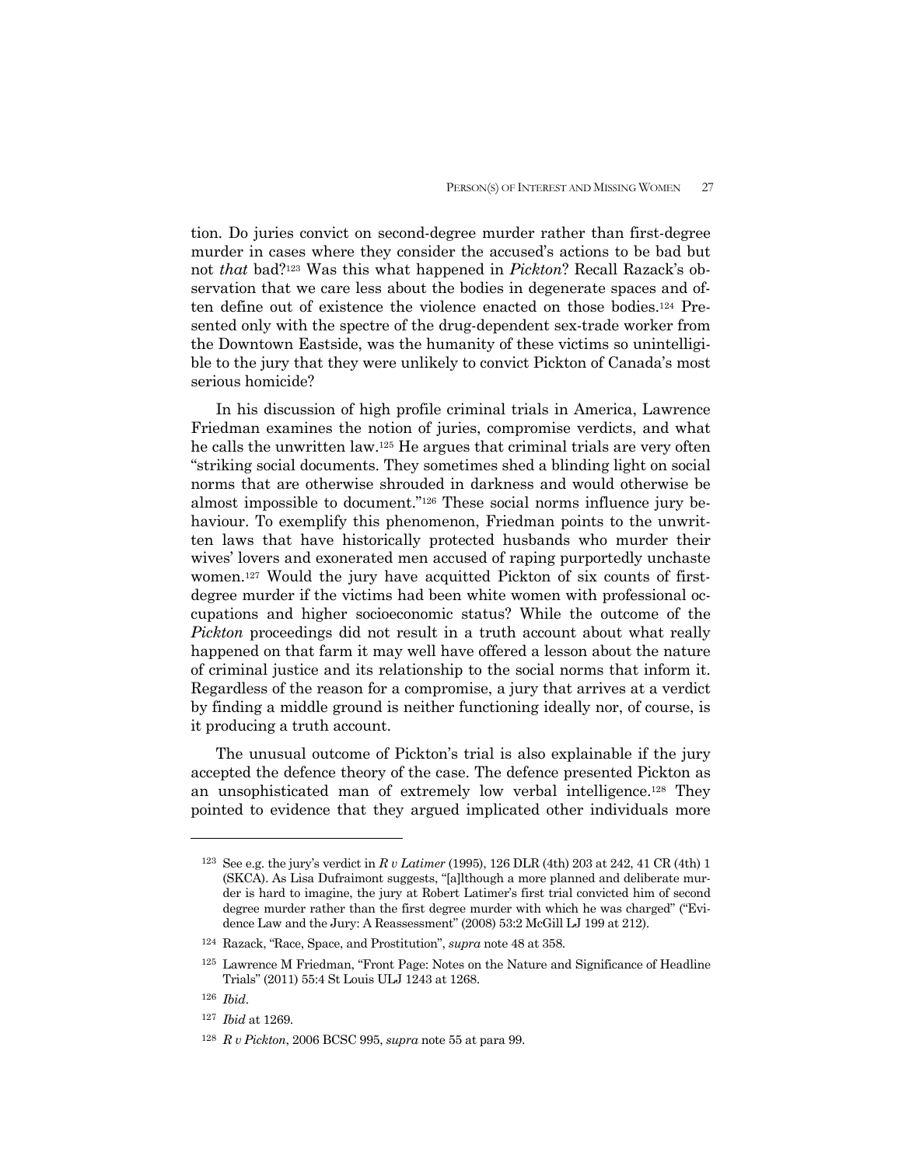tion. Do juries convict on second-degree murder rather than first-degree murder in cases where they consider the accused's actions to be bad but not *that* bad?123 Was this what happened in *Pickton*? Recall Razack's observation that we care less about the bodies in degenerate spaces and often define out of existence the violence enacted on those bodies.124 Presented only with the spectre of the drug-dependent sex-trade worker from the Downtown Eastside, was the humanity of these victims so unintelligible to the jury that they were unlikely to convict Pickton of Canada's most serious homicide?

 In his discussion of high profile criminal trials in America, Lawrence Friedman examines the notion of juries, compromise verdicts, and what he calls the unwritten law.125 He argues that criminal trials are very often "striking social documents. They sometimes shed a blinding light on social norms that are otherwise shrouded in darkness and would otherwise be almost impossible to document."126 These social norms influence jury behaviour. To exemplify this phenomenon, Friedman points to the unwritten laws that have historically protected husbands who murder their wives' lovers and exonerated men accused of raping purportedly unchaste women.127 Would the jury have acquitted Pickton of six counts of firstdegree murder if the victims had been white women with professional occupations and higher socioeconomic status? While the outcome of the *Pickton* proceedings did not result in a truth account about what really happened on that farm it may well have offered a lesson about the nature of criminal justice and its relationship to the social norms that inform it. Regardless of the reason for a compromise, a jury that arrives at a verdict by finding a middle ground is neither functioning ideally nor, of course, is it producing a truth account.

 The unusual outcome of Pickton's trial is also explainable if the jury accepted the defence theory of the case. The defence presented Pickton as an unsophisticated man of extremely low verbal intelligence.128 They pointed to evidence that they argued implicated other individuals more

<sup>123</sup> See e.g. the jury's verdict in *R v Latimer* (1995), 126 DLR (4th) 203 at 242, 41 CR (4th) 1 (SKCA). As Lisa Dufraimont suggests, "[a]lthough a more planned and deliberate murder is hard to imagine, the jury at Robert Latimer's first trial convicted him of second degree murder rather than the first degree murder with which he was charged" ("Evidence Law and the Jury: A Reassessment" (2008) 53:2 McGill LJ 199 at 212).

<sup>124</sup> Razack, "Race, Space, and Prostitution", *supra* note 48 at 358.

<sup>125</sup> Lawrence M Friedman, "Front Page: Notes on the Nature and Significance of Headline Trials" (2011) 55:4 St Louis ULJ 1243 at 1268.

<sup>126</sup> *Ibid*.

<sup>127</sup> *Ibid* at 1269.

<sup>128</sup> *R v Pickton*, 2006 BCSC 995, *supra* note 55 at para 99.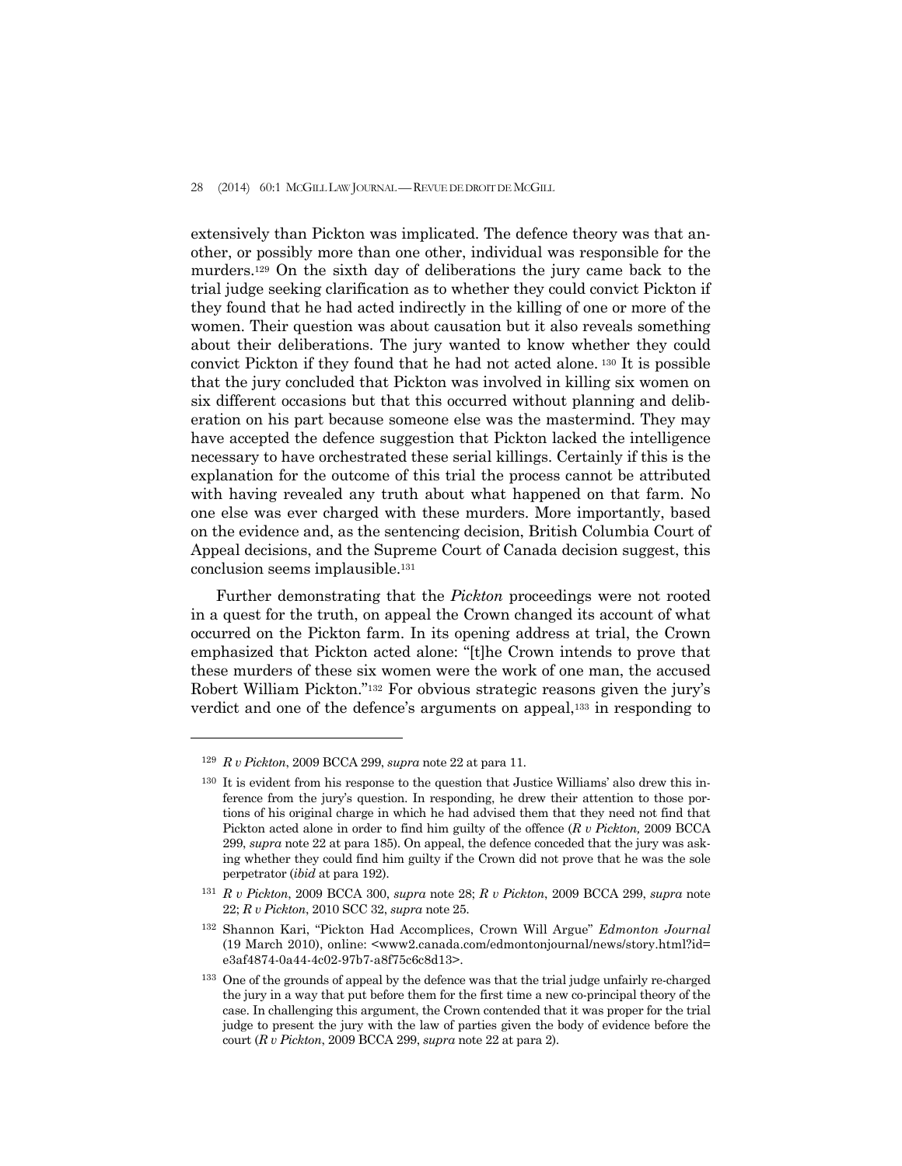extensively than Pickton was implicated. The defence theory was that another, or possibly more than one other, individual was responsible for the murders.129 On the sixth day of deliberations the jury came back to the trial judge seeking clarification as to whether they could convict Pickton if they found that he had acted indirectly in the killing of one or more of the women. Their question was about causation but it also reveals something about their deliberations. The jury wanted to know whether they could convict Pickton if they found that he had not acted alone. 130 It is possible that the jury concluded that Pickton was involved in killing six women on six different occasions but that this occurred without planning and deliberation on his part because someone else was the mastermind. They may have accepted the defence suggestion that Pickton lacked the intelligence necessary to have orchestrated these serial killings. Certainly if this is the explanation for the outcome of this trial the process cannot be attributed with having revealed any truth about what happened on that farm. No one else was ever charged with these murders. More importantly, based on the evidence and, as the sentencing decision, British Columbia Court of Appeal decisions, and the Supreme Court of Canada decision suggest, this conclusion seems implausible.131

 Further demonstrating that the *Pickton* proceedings were not rooted in a quest for the truth, on appeal the Crown changed its account of what occurred on the Pickton farm. In its opening address at trial, the Crown emphasized that Pickton acted alone: "[t]he Crown intends to prove that these murders of these six women were the work of one man, the accused Robert William Pickton."132 For obvious strategic reasons given the jury's verdict and one of the defence's arguments on appeal,133 in responding to

<sup>129</sup> *R v Pickton*, 2009 BCCA 299, *supra* note 22 at para 11.

<sup>&</sup>lt;sup>130</sup> It is evident from his response to the question that Justice Williams' also drew this inference from the jury's question. In responding, he drew their attention to those portions of his original charge in which he had advised them that they need not find that Pickton acted alone in order to find him guilty of the offence (*R v Pickton,* 2009 BCCA 299, *supra* note 22 at para 185). On appeal, the defence conceded that the jury was asking whether they could find him guilty if the Crown did not prove that he was the sole perpetrator (*ibid* at para 192).

<sup>131</sup> *R v Pickton*, 2009 BCCA 300, *supra* note 28; *R v Pickton*, 2009 BCCA 299, *supra* note 22; *R v Pickton*, 2010 SCC 32, *supra* note 25.

<sup>132</sup> Shannon Kari, "Pickton Had Accomplices, Crown Will Argue" *Edmonton Journal* (19 March 2010), online: <www2.canada.com/edmontonjournal/news/story.html?id= e3af4874-0a44-4c02-97b7-a8f75c6c8d13>.

<sup>&</sup>lt;sup>133</sup> One of the grounds of appeal by the defence was that the trial judge unfairly re-charged the jury in a way that put before them for the first time a new co-principal theory of the case. In challenging this argument, the Crown contended that it was proper for the trial judge to present the jury with the law of parties given the body of evidence before the court (*R v Pickton*, 2009 BCCA 299, *supra* note 22 at para 2).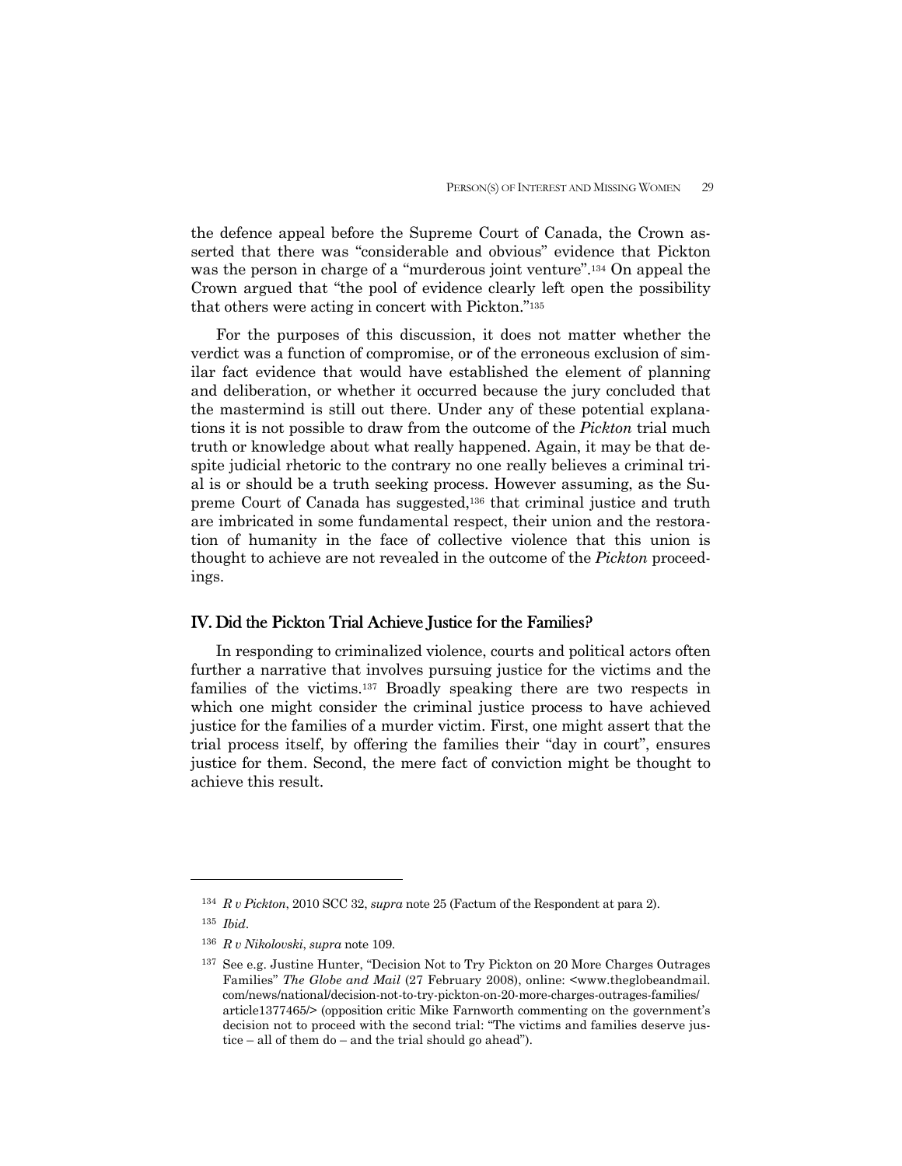the defence appeal before the Supreme Court of Canada, the Crown asserted that there was "considerable and obvious" evidence that Pickton was the person in charge of a "murderous joint venture".134 On appeal the Crown argued that "the pool of evidence clearly left open the possibility that others were acting in concert with Pickton."135

 For the purposes of this discussion, it does not matter whether the verdict was a function of compromise, or of the erroneous exclusion of similar fact evidence that would have established the element of planning and deliberation, or whether it occurred because the jury concluded that the mastermind is still out there. Under any of these potential explanations it is not possible to draw from the outcome of the *Pickton* trial much truth or knowledge about what really happened. Again, it may be that despite judicial rhetoric to the contrary no one really believes a criminal trial is or should be a truth seeking process. However assuming, as the Supreme Court of Canada has suggested,<sup>136</sup> that criminal justice and truth are imbricated in some fundamental respect, their union and the restoration of humanity in the face of collective violence that this union is thought to achieve are not revealed in the outcome of the *Pickton* proceedings.

## IV. Did the Pickton Trial Achieve Justice for the Families?

 In responding to criminalized violence, courts and political actors often further a narrative that involves pursuing justice for the victims and the families of the victims.137 Broadly speaking there are two respects in which one might consider the criminal justice process to have achieved justice for the families of a murder victim. First, one might assert that the trial process itself, by offering the families their "day in court", ensures justice for them. Second, the mere fact of conviction might be thought to achieve this result.

<sup>134</sup> *R v Pickton*, 2010 SCC 32, *supra* note 25 (Factum of the Respondent at para 2).

<sup>135</sup> *Ibid*.

<sup>136</sup> *R v Nikolovski*, *supra* note 109.

<sup>137</sup> See e.g. Justine Hunter, "Decision Not to Try Pickton on 20 More Charges Outrages Families" *The Globe and Mail* (27 February 2008), online: <www.theglobeandmail. com/news/national/decision-not-to-try-pickton-on-20-more-charges-outrages-families/ article1377465/> (opposition critic Mike Farnworth commenting on the government's decision not to proceed with the second trial: "The victims and families deserve justice – all of them do – and the trial should go ahead").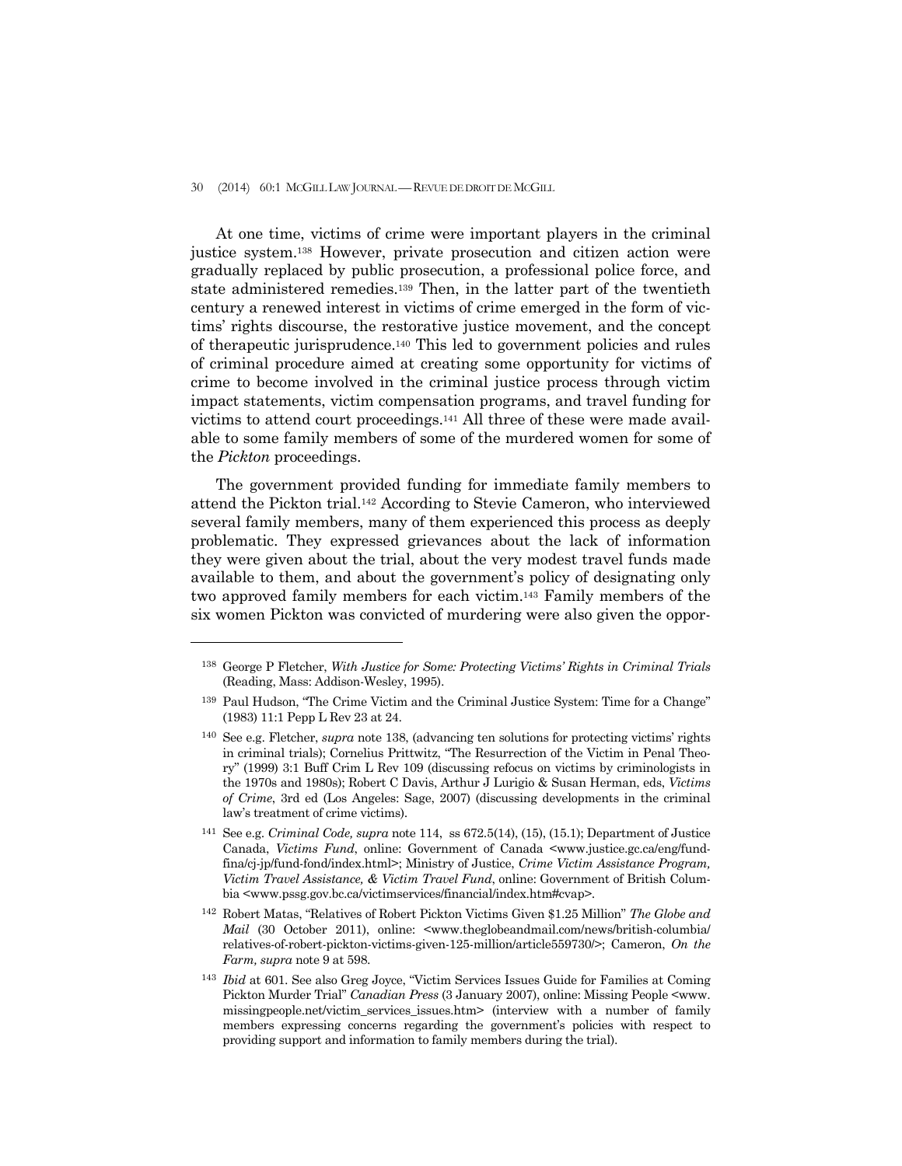## 30 (2014) 60:1 MCGILL LAW JOURNAL —REVUE DE DROIT DE MCGILL

 At one time, victims of crime were important players in the criminal justice system.138 However, private prosecution and citizen action were gradually replaced by public prosecution, a professional police force, and state administered remedies.139 Then, in the latter part of the twentieth century a renewed interest in victims of crime emerged in the form of victims' rights discourse, the restorative justice movement, and the concept of therapeutic jurisprudence.140 This led to government policies and rules of criminal procedure aimed at creating some opportunity for victims of crime to become involved in the criminal justice process through victim impact statements, victim compensation programs, and travel funding for victims to attend court proceedings.141 All three of these were made available to some family members of some of the murdered women for some of the *Pickton* proceedings.

 The government provided funding for immediate family members to attend the Pickton trial.142 According to Stevie Cameron, who interviewed several family members, many of them experienced this process as deeply problematic. They expressed grievances about the lack of information they were given about the trial, about the very modest travel funds made available to them, and about the government's policy of designating only two approved family members for each victim.143 Family members of the six women Pickton was convicted of murdering were also given the oppor-

<sup>138</sup> George P Fletcher, *With Justice for Some: Protecting Victims' Rights in Criminal Trials*  (Reading, Mass: Addison-Wesley, 1995).

<sup>139</sup> Paul Hudson, "The Crime Victim and the Criminal Justice System: Time for a Change" (1983) 11:1 Pepp L Rev 23 at 24.

<sup>140</sup> See e.g. Fletcher, *supra* note 138, (advancing ten solutions for protecting victims' rights in criminal trials); Cornelius Prittwitz, "The Resurrection of the Victim in Penal Theory" (1999) 3:1 Buff Crim L Rev 109 (discussing refocus on victims by criminologists in the 1970s and 1980s); Robert C Davis, Arthur J Lurigio & Susan Herman, eds, *Victims of Crime*, 3rd ed (Los Angeles: Sage, 2007) (discussing developments in the criminal law's treatment of crime victims).

<sup>141</sup> See e.g. *Criminal Code, supra* note 114, ss 672.5(14), (15), (15.1); Department of Justice Canada, *Victims Fund*, online: Government of Canada <www.justice.gc.ca/eng/fundfina/cj-jp/fund-fond/index.html>; Ministry of Justice, *Crime Victim Assistance Program, Victim Travel Assistance, & Victim Travel Fund*, online: Government of British Columbia <www.pssg.gov.bc.ca/victimservices/financial/index.htm#cvap>.

<sup>142</sup> Robert Matas, "Relatives of Robert Pickton Victims Given \$1.25 Million" *The Globe and Mail* (30 October 2011), online: <www.theglobeandmail.com/news/british-columbia/ relatives-of-robert-pickton-victims-given-125-million/article559730/>; Cameron, *On the Farm, supra* note 9 at 598.

<sup>143</sup> *Ibid* at 601. See also Greg Joyce, "Victim Services Issues Guide for Families at Coming Pickton Murder Trial" *Canadian Press* (3 January 2007), online: Missing People <www. missingpeople.net/victim\_services\_issues.htm> (interview with a number of family members expressing concerns regarding the government's policies with respect to providing support and information to family members during the trial).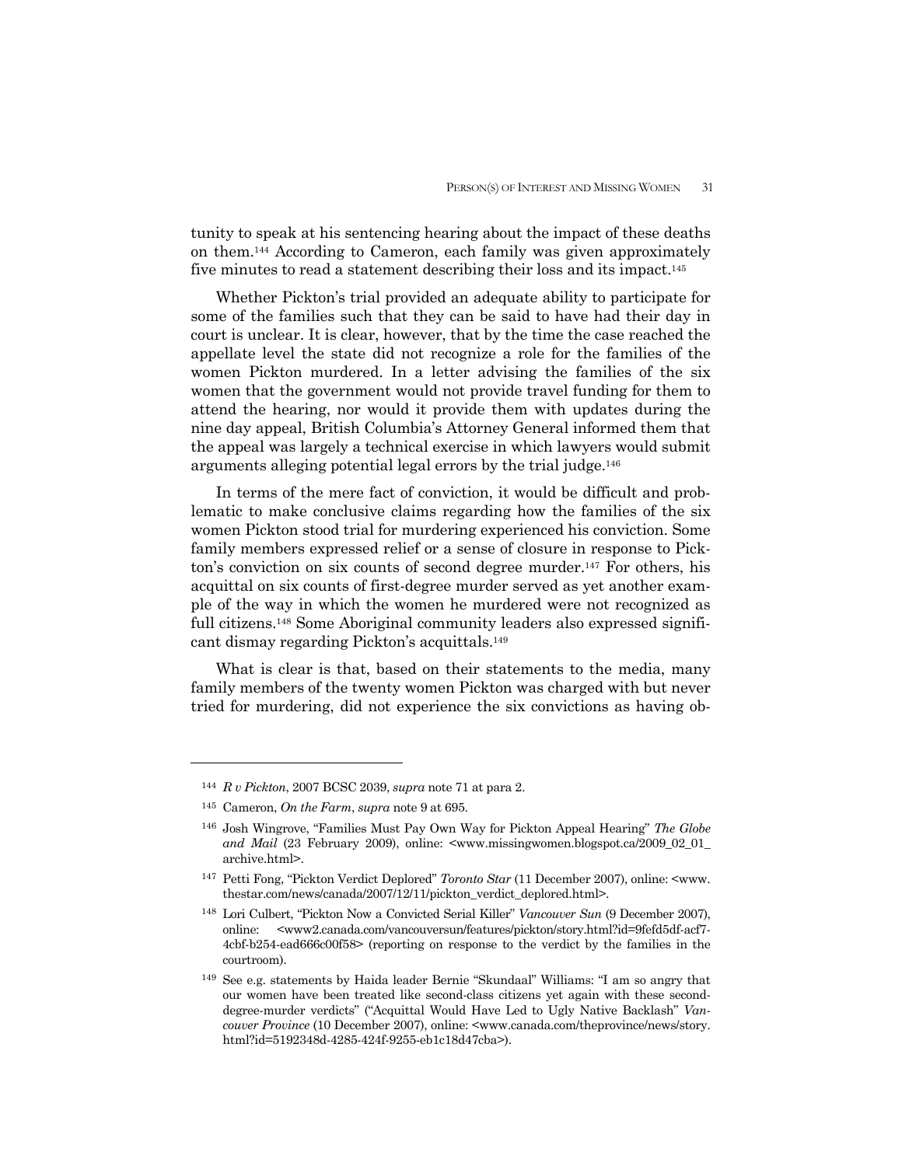tunity to speak at his sentencing hearing about the impact of these deaths on them.144 According to Cameron, each family was given approximately five minutes to read a statement describing their loss and its impact.145

 Whether Pickton's trial provided an adequate ability to participate for some of the families such that they can be said to have had their day in court is unclear. It is clear, however, that by the time the case reached the appellate level the state did not recognize a role for the families of the women Pickton murdered. In a letter advising the families of the six women that the government would not provide travel funding for them to attend the hearing, nor would it provide them with updates during the nine day appeal, British Columbia's Attorney General informed them that the appeal was largely a technical exercise in which lawyers would submit arguments alleging potential legal errors by the trial judge.146

 In terms of the mere fact of conviction, it would be difficult and problematic to make conclusive claims regarding how the families of the six women Pickton stood trial for murdering experienced his conviction. Some family members expressed relief or a sense of closure in response to Pickton's conviction on six counts of second degree murder.147 For others, his acquittal on six counts of first-degree murder served as yet another example of the way in which the women he murdered were not recognized as full citizens.<sup>148</sup> Some Aboriginal community leaders also expressed significant dismay regarding Pickton's acquittals.149

 What is clear is that, based on their statements to the media, many family members of the twenty women Pickton was charged with but never tried for murdering, did not experience the six convictions as having ob-

<sup>144</sup> *R v Pickton*, 2007 BCSC 2039, *supra* note 71 at para 2.

<sup>145</sup> Cameron, *On the Farm*, *supra* note 9 at 695.

<sup>146</sup> Josh Wingrove, "Families Must Pay Own Way for Pickton Appeal Hearing" *The Globe and Mail* (23 February 2009), online: <www.missingwomen.blogspot.ca/2009\_02\_01\_ archive.html>.

<sup>147</sup> Petti Fong, "Pickton Verdict Deplored" *Toronto Star* (11 December 2007), online: <www. thestar.com/news/canada/2007/12/11/pickton\_verdict\_deplored.html>.

<sup>148</sup> Lori Culbert, "Pickton Now a Convicted Serial Killer" *Vancouver Sun* (9 December 2007), online: <www2.canada.com/vancouversun/features/pickton/story.html?id=9fefd5df-acf7- 4cbf-b254-ead666c00f58> (reporting on response to the verdict by the families in the courtroom).

<sup>149</sup> See e.g. statements by Haida leader Bernie "Skundaal" Williams: "I am so angry that our women have been treated like second-class citizens yet again with these seconddegree-murder verdicts" ("Acquittal Would Have Led to Ugly Native Backlash" *Vancouver Province* (10 December 2007), online: <www.canada.com/theprovince/news/story. html?id=5192348d-4285-424f-9255-eb1c18d47cba>).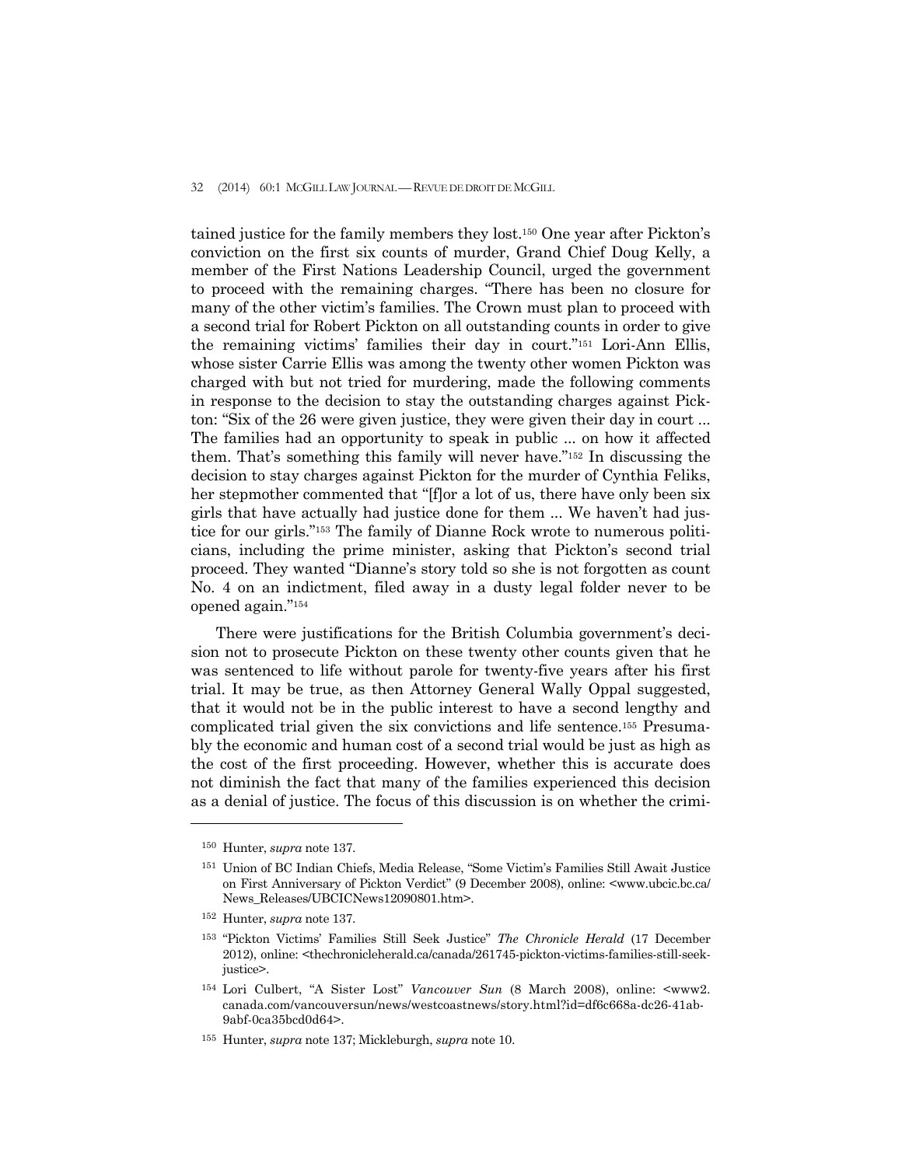## 32 (2014) 60:1 MCGILL LAW JOURNAL — REVUE DE DROIT DE MCGILL

tained justice for the family members they lost.150 One year after Pickton's conviction on the first six counts of murder, Grand Chief Doug Kelly, a member of the First Nations Leadership Council, urged the government to proceed with the remaining charges. "There has been no closure for many of the other victim's families. The Crown must plan to proceed with a second trial for Robert Pickton on all outstanding counts in order to give the remaining victims' families their day in court."151 Lori-Ann Ellis, whose sister Carrie Ellis was among the twenty other women Pickton was charged with but not tried for murdering, made the following comments in response to the decision to stay the outstanding charges against Pickton: "Six of the 26 were given justice, they were given their day in court ... The families had an opportunity to speak in public ... on how it affected them. That's something this family will never have."152 In discussing the decision to stay charges against Pickton for the murder of Cynthia Feliks, her stepmother commented that "[f]or a lot of us, there have only been six girls that have actually had justice done for them ... We haven't had justice for our girls."153 The family of Dianne Rock wrote to numerous politicians, including the prime minister, asking that Pickton's second trial proceed. They wanted "Dianne's story told so she is not forgotten as count No. 4 on an indictment, filed away in a dusty legal folder never to be opened again."154

 There were justifications for the British Columbia government's decision not to prosecute Pickton on these twenty other counts given that he was sentenced to life without parole for twenty-five years after his first trial. It may be true, as then Attorney General Wally Oppal suggested, that it would not be in the public interest to have a second lengthy and complicated trial given the six convictions and life sentence.155 Presumably the economic and human cost of a second trial would be just as high as the cost of the first proceeding. However, whether this is accurate does not diminish the fact that many of the families experienced this decision as a denial of justice. The focus of this discussion is on whether the crimi-

<sup>150</sup> Hunter, *supra* note 137.

<sup>151</sup> Union of BC Indian Chiefs, Media Release, "Some Victim's Families Still Await Justice on First Anniversary of Pickton Verdict" (9 December 2008), online: <www.ubcic.bc.ca/ News\_Releases/UBCICNews12090801.htm>.

<sup>152</sup> Hunter, *supra* note 137.

<sup>153 &</sup>quot;Pickton Victims' Families Still Seek Justice" *The Chronicle Herald* (17 December 2012), online: <thechronicleherald.ca/canada/261745-pickton-victims-families-still-seekjustice>.

<sup>154</sup> Lori Culbert, "A Sister Lost" *Vancouver Sun* (8 March 2008), online: <www2. canada.com/vancouversun/news/westcoastnews/story.html?id=df6c668a-dc26-41ab-9abf-0ca35bcd0d64>.

<sup>155</sup> Hunter, *supra* note 137; Mickleburgh, *supra* note 10.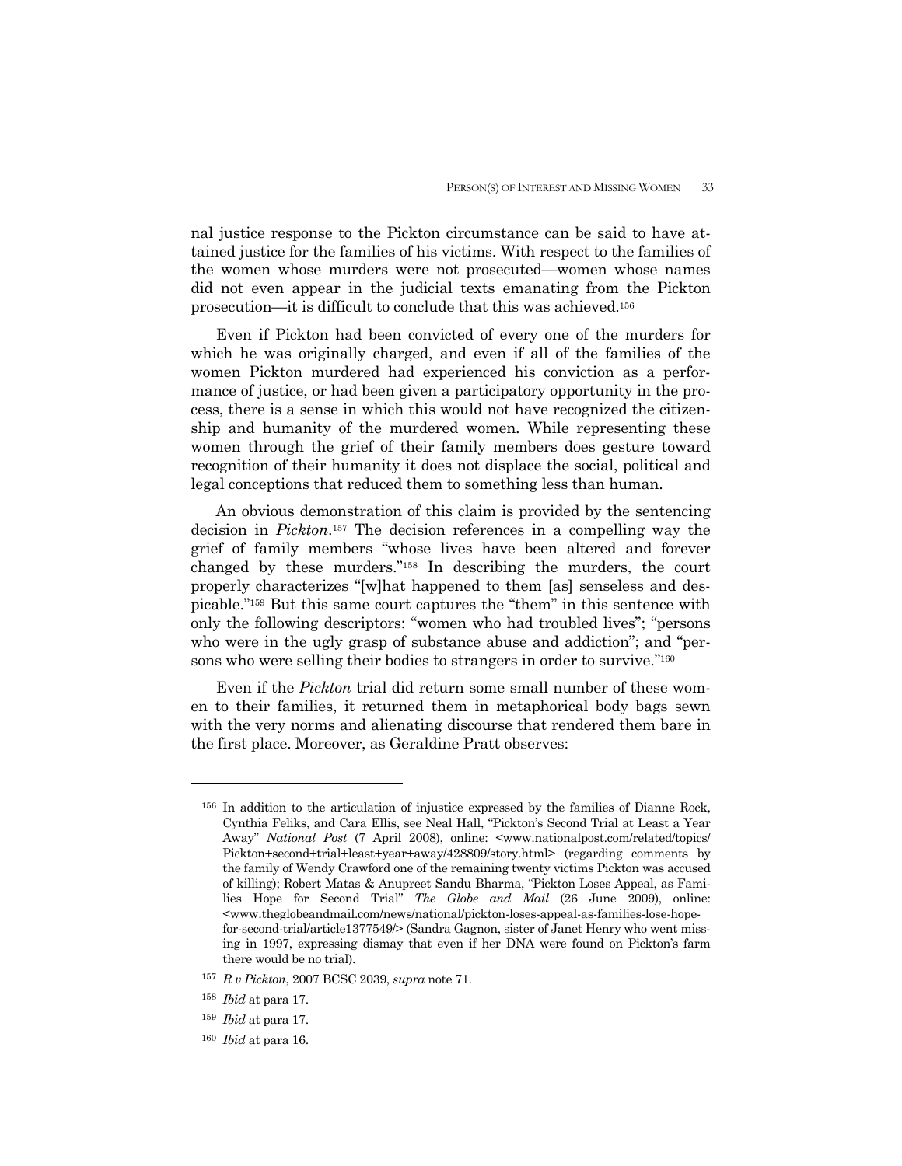nal justice response to the Pickton circumstance can be said to have attained justice for the families of his victims. With respect to the families of the women whose murders were not prosecuted—women whose names did not even appear in the judicial texts emanating from the Pickton prosecution—it is difficult to conclude that this was achieved.156

 Even if Pickton had been convicted of every one of the murders for which he was originally charged, and even if all of the families of the women Pickton murdered had experienced his conviction as a performance of justice, or had been given a participatory opportunity in the process, there is a sense in which this would not have recognized the citizenship and humanity of the murdered women. While representing these women through the grief of their family members does gesture toward recognition of their humanity it does not displace the social, political and legal conceptions that reduced them to something less than human.

 An obvious demonstration of this claim is provided by the sentencing decision in *Pickton*.157 The decision references in a compelling way the grief of family members "whose lives have been altered and forever changed by these murders."158 In describing the murders, the court properly characterizes "[w]hat happened to them [as] senseless and despicable."159 But this same court captures the "them" in this sentence with only the following descriptors: "women who had troubled lives"; "persons who were in the ugly grasp of substance abuse and addiction"; and "persons who were selling their bodies to strangers in order to survive."160

 Even if the *Pickton* trial did return some small number of these women to their families, it returned them in metaphorical body bags sewn with the very norms and alienating discourse that rendered them bare in the first place. Moreover, as Geraldine Pratt observes:

<sup>156</sup> In addition to the articulation of injustice expressed by the families of Dianne Rock, Cynthia Feliks, and Cara Ellis, see Neal Hall, "Pickton's Second Trial at Least a Year Away" *National Post* (7 April 2008), online: <www.nationalpost.com/related/topics/ Pickton+second+trial+least+year+away/428809/story.html> (regarding comments by the family of Wendy Crawford one of the remaining twenty victims Pickton was accused of killing); Robert Matas & Anupreet Sandu Bharma, "Pickton Loses Appeal, as Families Hope for Second Trial" *The Globe and Mail* (26 June 2009), online: <www.theglobeandmail.com/news/national/pickton-loses-appeal-as-families-lose-hopefor-second-trial/article1377549/> (Sandra Gagnon, sister of Janet Henry who went missing in 1997, expressing dismay that even if her DNA were found on Pickton's farm there would be no trial).

<sup>157</sup> *R v Pickton*, 2007 BCSC 2039, *supra* note 71.

<sup>158</sup> *Ibid* at para 17.

<sup>159</sup> *Ibid* at para 17.

<sup>160</sup> *Ibid* at para 16.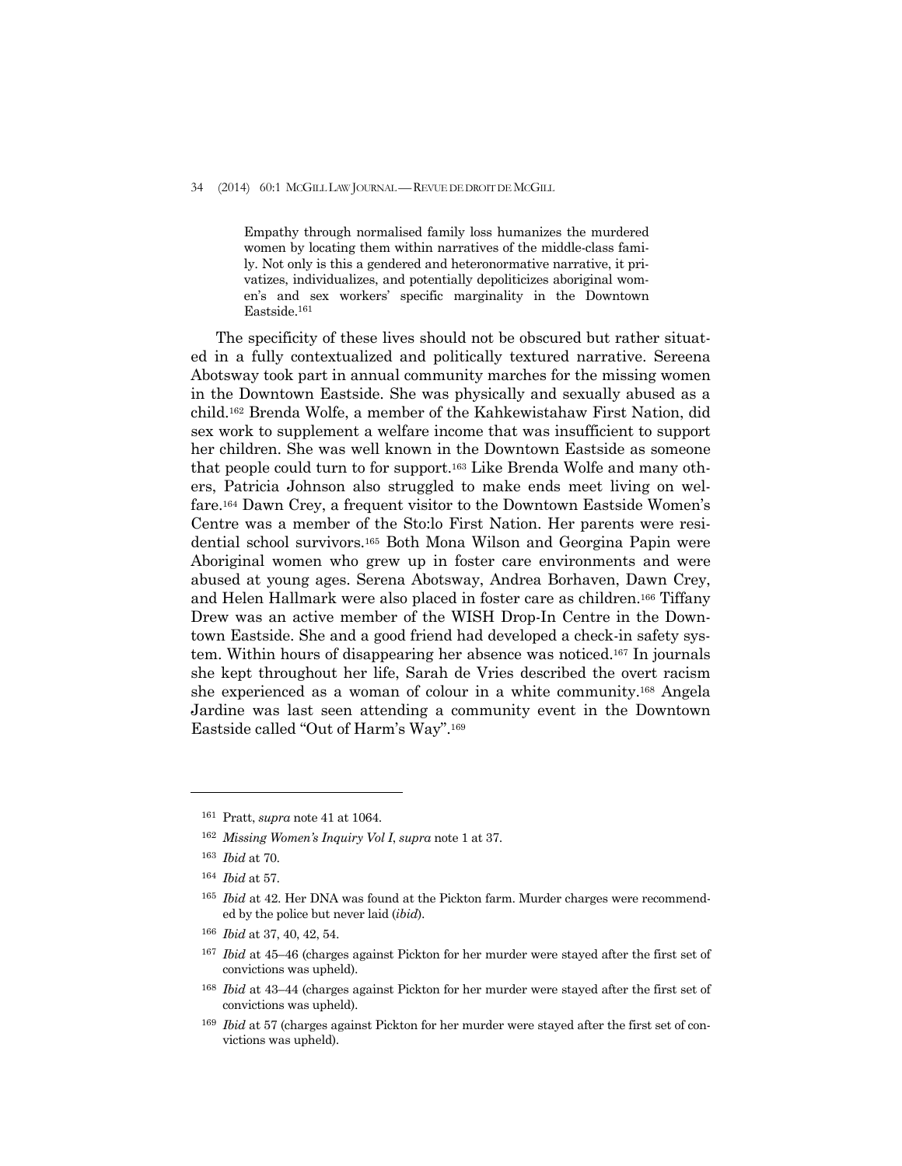#### 34 (2014) 60:1 MCGILL LAW JOURNAL — REVUE DE DROIT DE MCGILL

Empathy through normalised family loss humanizes the murdered women by locating them within narratives of the middle-class family. Not only is this a gendered and heteronormative narrative, it privatizes, individualizes, and potentially depoliticizes aboriginal women's and sex workers' specific marginality in the Downtown Eastside.161

 The specificity of these lives should not be obscured but rather situated in a fully contextualized and politically textured narrative. Sereena Abotsway took part in annual community marches for the missing women in the Downtown Eastside. She was physically and sexually abused as a child.162 Brenda Wolfe, a member of the Kahkewistahaw First Nation, did sex work to supplement a welfare income that was insufficient to support her children. She was well known in the Downtown Eastside as someone that people could turn to for support.163 Like Brenda Wolfe and many others, Patricia Johnson also struggled to make ends meet living on welfare.164 Dawn Crey, a frequent visitor to the Downtown Eastside Women's Centre was a member of the Sto:lo First Nation. Her parents were residential school survivors.165 Both Mona Wilson and Georgina Papin were Aboriginal women who grew up in foster care environments and were abused at young ages. Serena Abotsway, Andrea Borhaven, Dawn Crey, and Helen Hallmark were also placed in foster care as children.166 Tiffany Drew was an active member of the WISH Drop-In Centre in the Downtown Eastside. She and a good friend had developed a check-in safety system. Within hours of disappearing her absence was noticed.167 In journals she kept throughout her life, Sarah de Vries described the overt racism she experienced as a woman of colour in a white community.168 Angela Jardine was last seen attending a community event in the Downtown Eastside called "Out of Harm's Way".169

<sup>161</sup> Pratt, *supra* note 41 at 1064.

<sup>162</sup> *Missing Women's Inquiry Vol I*, *supra* note 1 at 37.

<sup>163</sup> *Ibid* at 70.

<sup>164</sup> *Ibid* at 57.

<sup>165</sup> *Ibid* at 42. Her DNA was found at the Pickton farm. Murder charges were recommended by the police but never laid (*ibid*).

<sup>166</sup> *Ibid* at 37, 40, 42, 54.

<sup>167</sup> *Ibid* at 45–46 (charges against Pickton for her murder were stayed after the first set of convictions was upheld).

<sup>168</sup> *Ibid* at 43–44 (charges against Pickton for her murder were stayed after the first set of convictions was upheld).

<sup>169</sup> *Ibid* at 57 (charges against Pickton for her murder were stayed after the first set of convictions was upheld).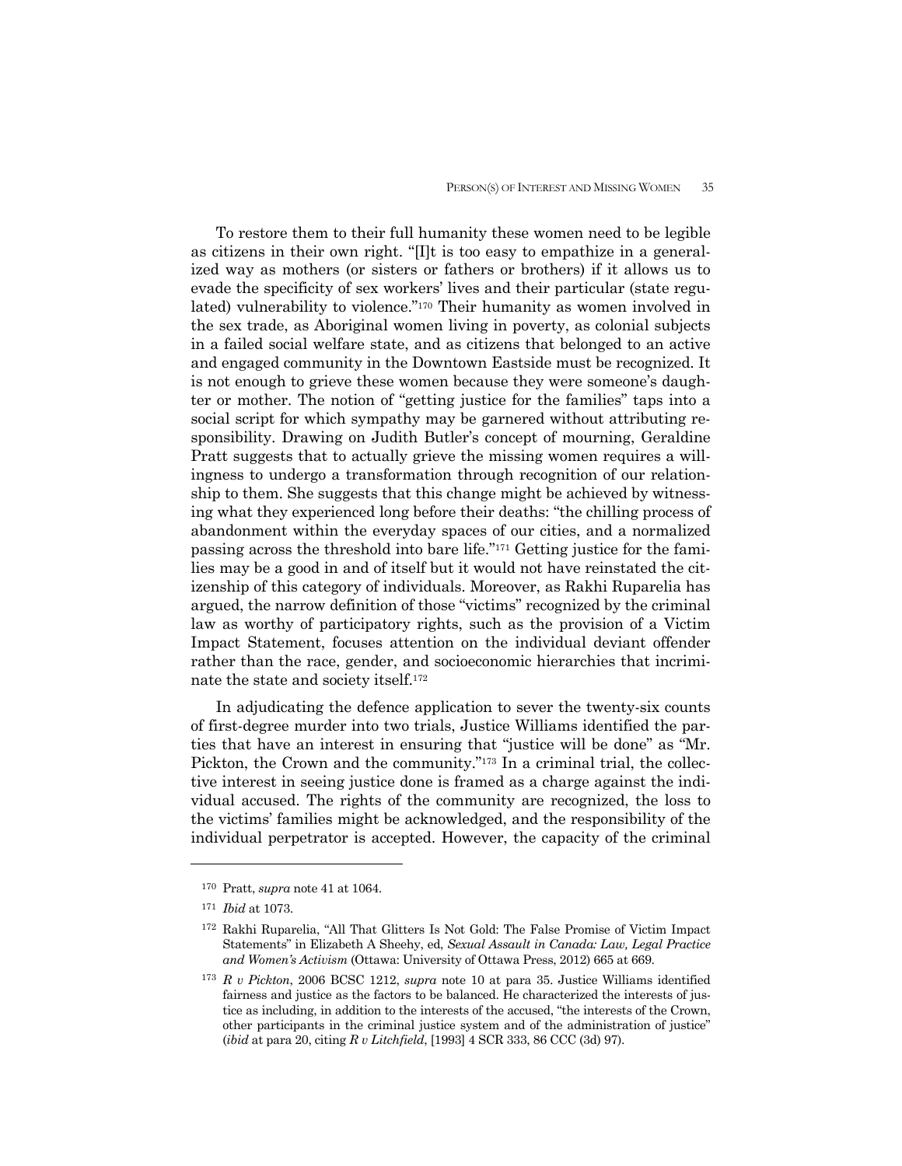To restore them to their full humanity these women need to be legible as citizens in their own right. "[I]t is too easy to empathize in a generalized way as mothers (or sisters or fathers or brothers) if it allows us to evade the specificity of sex workers' lives and their particular (state regulated) vulnerability to violence."170 Their humanity as women involved in the sex trade, as Aboriginal women living in poverty, as colonial subjects in a failed social welfare state, and as citizens that belonged to an active and engaged community in the Downtown Eastside must be recognized. It is not enough to grieve these women because they were someone's daughter or mother. The notion of "getting justice for the families" taps into a social script for which sympathy may be garnered without attributing responsibility. Drawing on Judith Butler's concept of mourning, Geraldine Pratt suggests that to actually grieve the missing women requires a willingness to undergo a transformation through recognition of our relationship to them. She suggests that this change might be achieved by witnessing what they experienced long before their deaths: "the chilling process of abandonment within the everyday spaces of our cities, and a normalized passing across the threshold into bare life."171 Getting justice for the families may be a good in and of itself but it would not have reinstated the citizenship of this category of individuals. Moreover, as Rakhi Ruparelia has argued, the narrow definition of those "victims" recognized by the criminal law as worthy of participatory rights, such as the provision of a Victim Impact Statement, focuses attention on the individual deviant offender rather than the race, gender, and socioeconomic hierarchies that incriminate the state and society itself.172

 In adjudicating the defence application to sever the twenty-six counts of first-degree murder into two trials, Justice Williams identified the parties that have an interest in ensuring that "justice will be done" as "Mr. Pickton, the Crown and the community."173 In a criminal trial, the collective interest in seeing justice done is framed as a charge against the individual accused. The rights of the community are recognized, the loss to the victims' families might be acknowledged, and the responsibility of the individual perpetrator is accepted. However, the capacity of the criminal

<sup>170</sup> Pratt, *supra* note 41 at 1064.

<sup>171</sup> *Ibid* at 1073.

<sup>172</sup> Rakhi Ruparelia, "All That Glitters Is Not Gold: The False Promise of Victim Impact Statements" in Elizabeth A Sheehy, ed, *Sexual Assault in Canada: Law, Legal Practice and Women's Activism* (Ottawa: University of Ottawa Press, 2012) 665 at 669.

<sup>173</sup> *R v Pickton*, 2006 BCSC 1212, *supra* note 10 at para 35. Justice Williams identified fairness and justice as the factors to be balanced. He characterized the interests of justice as including, in addition to the interests of the accused, "the interests of the Crown, other participants in the criminal justice system and of the administration of justice" (*ibid* at para 20, citing *R v Litchfield*, [1993] 4 SCR 333, 86 CCC (3d) 97).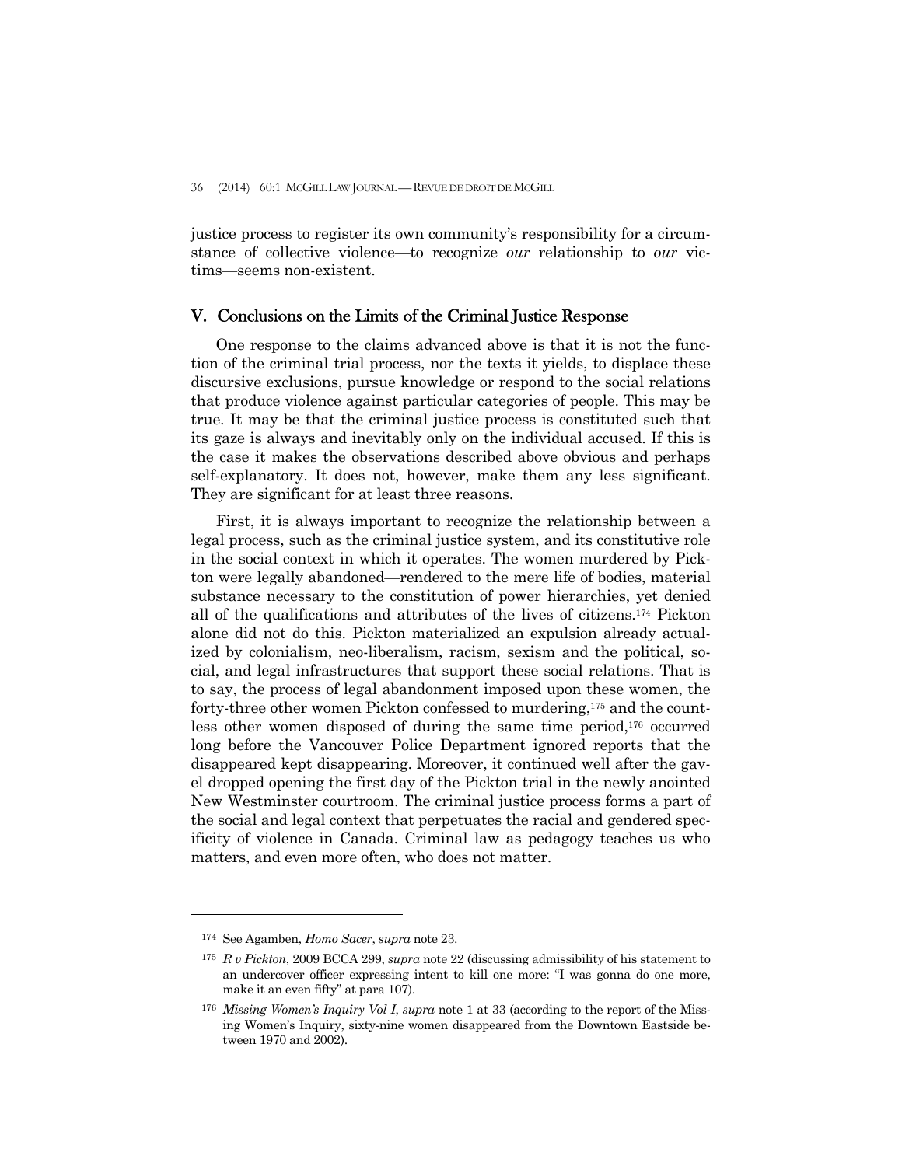justice process to register its own community's responsibility for a circumstance of collective violence—to recognize *our* relationship to *our* victims—seems non-existent.

## V. Conclusions on the Limits of the Criminal Justice Response

 One response to the claims advanced above is that it is not the function of the criminal trial process, nor the texts it yields, to displace these discursive exclusions, pursue knowledge or respond to the social relations that produce violence against particular categories of people. This may be true. It may be that the criminal justice process is constituted such that its gaze is always and inevitably only on the individual accused. If this is the case it makes the observations described above obvious and perhaps self-explanatory. It does not, however, make them any less significant. They are significant for at least three reasons.

 First, it is always important to recognize the relationship between a legal process, such as the criminal justice system, and its constitutive role in the social context in which it operates. The women murdered by Pickton were legally abandoned—rendered to the mere life of bodies, material substance necessary to the constitution of power hierarchies, yet denied all of the qualifications and attributes of the lives of citizens.174 Pickton alone did not do this. Pickton materialized an expulsion already actualized by colonialism, neo-liberalism, racism, sexism and the political, social, and legal infrastructures that support these social relations. That is to say, the process of legal abandonment imposed upon these women, the forty-three other women Pickton confessed to murdering,175 and the countless other women disposed of during the same time period,176 occurred long before the Vancouver Police Department ignored reports that the disappeared kept disappearing. Moreover, it continued well after the gavel dropped opening the first day of the Pickton trial in the newly anointed New Westminster courtroom. The criminal justice process forms a part of the social and legal context that perpetuates the racial and gendered specificity of violence in Canada. Criminal law as pedagogy teaches us who matters, and even more often, who does not matter.

<sup>174</sup> See Agamben, *Homo Sacer*, *supra* note 23.

<sup>175</sup> *R v Pickton*, 2009 BCCA 299, *supra* note 22 (discussing admissibility of his statement to an undercover officer expressing intent to kill one more: "I was gonna do one more, make it an even fifty" at para 107).

<sup>176</sup> *Missing Women's Inquiry Vol I*, *supra* note 1 at 33 (according to the report of the Missing Women's Inquiry, sixty-nine women disappeared from the Downtown Eastside between 1970 and 2002).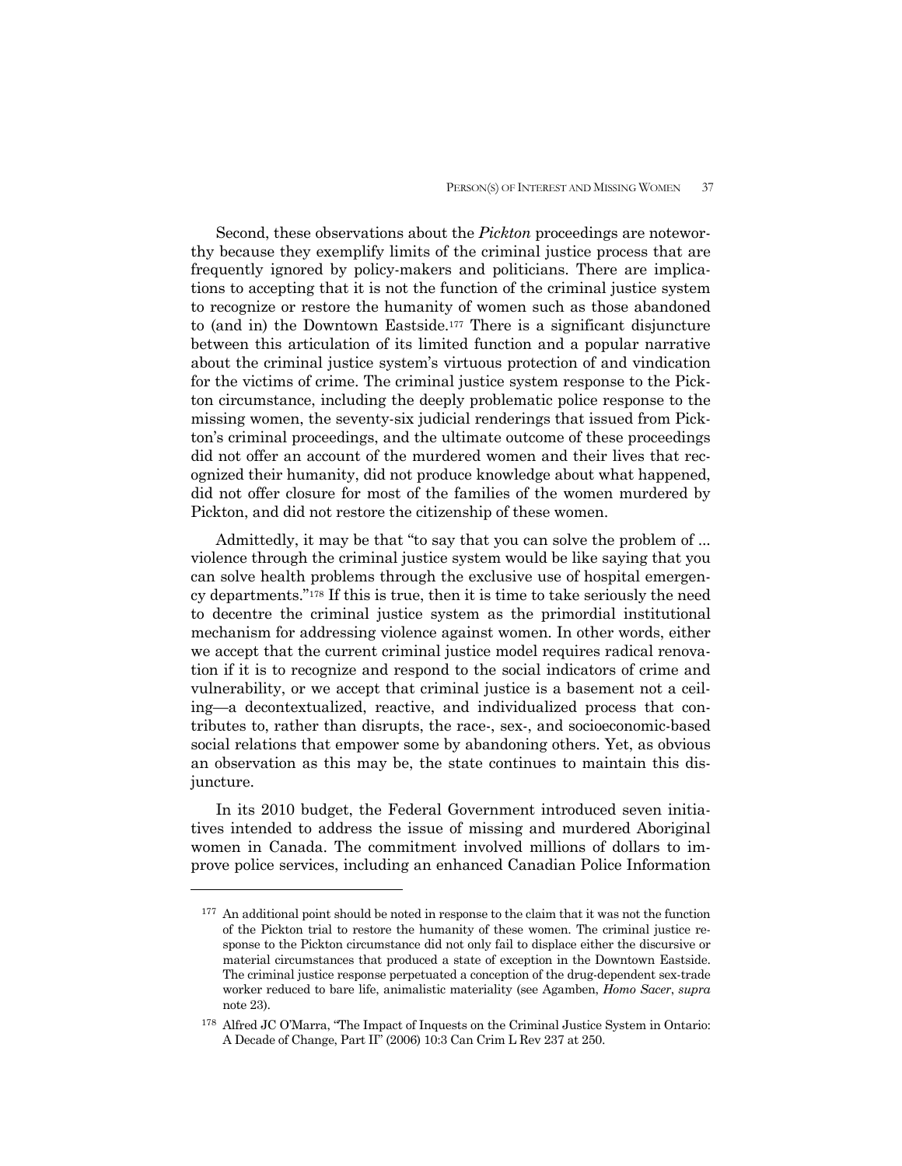Second, these observations about the *Pickton* proceedings are noteworthy because they exemplify limits of the criminal justice process that are frequently ignored by policy-makers and politicians. There are implications to accepting that it is not the function of the criminal justice system to recognize or restore the humanity of women such as those abandoned to (and in) the Downtown Eastside.177 There is a significant disjuncture between this articulation of its limited function and a popular narrative about the criminal justice system's virtuous protection of and vindication for the victims of crime. The criminal justice system response to the Pickton circumstance, including the deeply problematic police response to the missing women, the seventy-six judicial renderings that issued from Pickton's criminal proceedings, and the ultimate outcome of these proceedings did not offer an account of the murdered women and their lives that recognized their humanity, did not produce knowledge about what happened, did not offer closure for most of the families of the women murdered by Pickton, and did not restore the citizenship of these women.

 Admittedly, it may be that "to say that you can solve the problem of ... violence through the criminal justice system would be like saying that you can solve health problems through the exclusive use of hospital emergency departments."178 If this is true, then it is time to take seriously the need to decentre the criminal justice system as the primordial institutional mechanism for addressing violence against women. In other words, either we accept that the current criminal justice model requires radical renovation if it is to recognize and respond to the social indicators of crime and vulnerability, or we accept that criminal justice is a basement not a ceiling—a decontextualized, reactive, and individualized process that contributes to, rather than disrupts, the race-, sex-, and socioeconomic-based social relations that empower some by abandoning others. Yet, as obvious an observation as this may be, the state continues to maintain this disjuncture.

 In its 2010 budget, the Federal Government introduced seven initiatives intended to address the issue of missing and murdered Aboriginal women in Canada. The commitment involved millions of dollars to improve police services, including an enhanced Canadian Police Information

<sup>&</sup>lt;sup>177</sup> An additional point should be noted in response to the claim that it was not the function of the Pickton trial to restore the humanity of these women. The criminal justice response to the Pickton circumstance did not only fail to displace either the discursive or material circumstances that produced a state of exception in the Downtown Eastside. The criminal justice response perpetuated a conception of the drug-dependent sex-trade worker reduced to bare life, animalistic materiality (see Agamben, *Homo Sacer*, *supra* note 23).

<sup>178</sup> Alfred JC O'Marra, "The Impact of Inquests on the Criminal Justice System in Ontario: A Decade of Change, Part II" (2006) 10:3 Can Crim L Rev 237 at 250.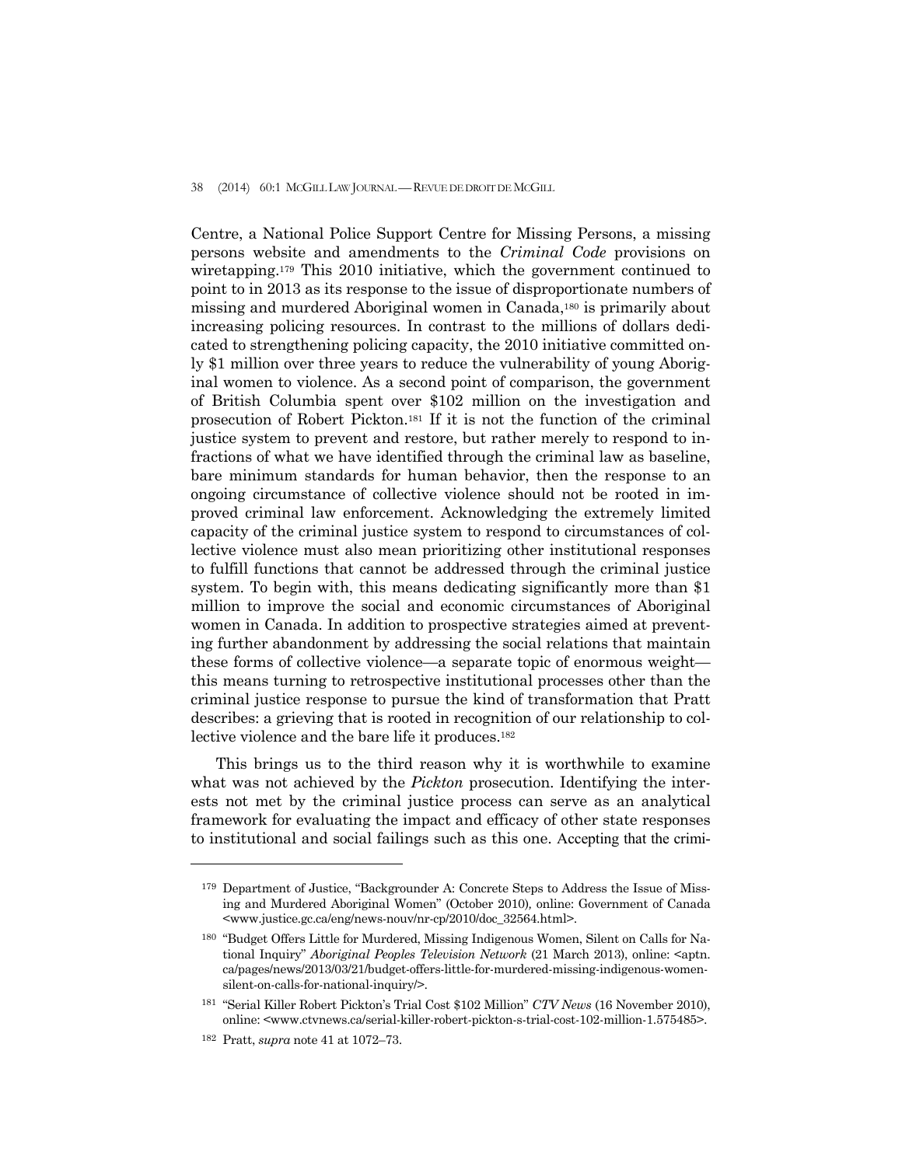#### 38 (2014) 60:1 MCGILL LAW JOURNAL —REVUE DE DROIT DE MCGILL

Centre, a National Police Support Centre for Missing Persons, a missing persons website and amendments to the *Criminal Code* provisions on wiretapping.179 This 2010 initiative, which the government continued to point to in 2013 as its response to the issue of disproportionate numbers of missing and murdered Aboriginal women in Canada,180 is primarily about increasing policing resources. In contrast to the millions of dollars dedicated to strengthening policing capacity, the 2010 initiative committed only \$1 million over three years to reduce the vulnerability of young Aboriginal women to violence. As a second point of comparison, the government of British Columbia spent over \$102 million on the investigation and prosecution of Robert Pickton.181 If it is not the function of the criminal justice system to prevent and restore, but rather merely to respond to infractions of what we have identified through the criminal law as baseline, bare minimum standards for human behavior, then the response to an ongoing circumstance of collective violence should not be rooted in improved criminal law enforcement. Acknowledging the extremely limited capacity of the criminal justice system to respond to circumstances of collective violence must also mean prioritizing other institutional responses to fulfill functions that cannot be addressed through the criminal justice system. To begin with, this means dedicating significantly more than \$1 million to improve the social and economic circumstances of Aboriginal women in Canada. In addition to prospective strategies aimed at preventing further abandonment by addressing the social relations that maintain these forms of collective violence—a separate topic of enormous weight this means turning to retrospective institutional processes other than the criminal justice response to pursue the kind of transformation that Pratt describes: a grieving that is rooted in recognition of our relationship to collective violence and the bare life it produces.182

 This brings us to the third reason why it is worthwhile to examine what was not achieved by the *Pickton* prosecution. Identifying the interests not met by the criminal justice process can serve as an analytical framework for evaluating the impact and efficacy of other state responses to institutional and social failings such as this one. Accepting that the crimi-

<sup>179</sup> Department of Justice, "Backgrounder A: Concrete Steps to Address the Issue of Missing and Murdered Aboriginal Women" (October 2010)*,* online: Government of Canada <www.justice.gc.ca/eng/news-nouv/nr-cp/2010/doc\_32564.html>.

<sup>180 &</sup>quot;Budget Offers Little for Murdered, Missing Indigenous Women, Silent on Calls for National Inquiry" *Aboriginal Peoples Television Network* (21 March 2013), online: <aptn. ca/pages/news/2013/03/21/budget-offers-little-for-murdered-missing-indigenous-womensilent-on-calls-for-national-inquiry/>.

<sup>181 &</sup>quot;Serial Killer Robert Pickton's Trial Cost \$102 Million" *CTV News* (16 November 2010), online: <www.ctvnews.ca/serial-killer-robert-pickton-s-trial-cost-102-million-1.575485>.

<sup>182</sup> Pratt, *supra* note 41 at 1072–73.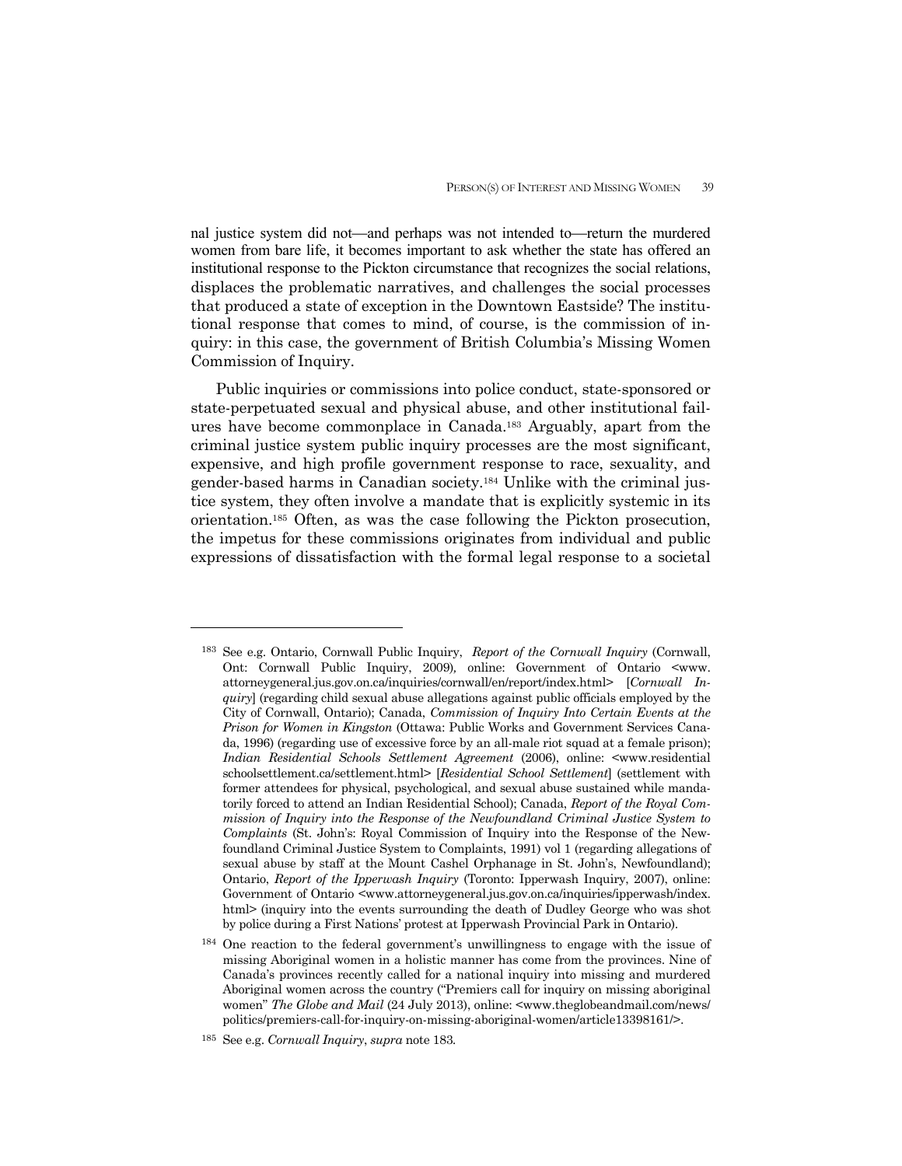nal justice system did not—and perhaps was not intended to—return the murdered women from bare life, it becomes important to ask whether the state has offered an institutional response to the Pickton circumstance that recognizes the social relations, displaces the problematic narratives, and challenges the social processes that produced a state of exception in the Downtown Eastside? The institutional response that comes to mind, of course, is the commission of inquiry: in this case, the government of British Columbia's Missing Women Commission of Inquiry.

 Public inquiries or commissions into police conduct, state-sponsored or state-perpetuated sexual and physical abuse, and other institutional failures have become commonplace in Canada.183 Arguably, apart from the criminal justice system public inquiry processes are the most significant, expensive, and high profile government response to race, sexuality, and gender-based harms in Canadian society.184 Unlike with the criminal justice system, they often involve a mandate that is explicitly systemic in its orientation.185 Often, as was the case following the Pickton prosecution, the impetus for these commissions originates from individual and public expressions of dissatisfaction with the formal legal response to a societal

<sup>183</sup> See e.g. Ontario, Cornwall Public Inquiry, *Report of the Cornwall Inquiry* (Cornwall, Ont: Cornwall Public Inquiry, 2009)*,* online: Government of Ontario <www. attorneygeneral.jus.gov.on.ca/inquiries/cornwall/en/report/index.html> [*Cornwall Inquiry*] (regarding child sexual abuse allegations against public officials employed by the City of Cornwall, Ontario); Canada, *Commission of Inquiry Into Certain Events at the Prison for Women in Kingston* (Ottawa: Public Works and Government Services Canada, 1996) (regarding use of excessive force by an all-male riot squad at a female prison); *Indian Residential Schools Settlement Agreement* (2006), online: <www.residential schoolsettlement.ca/settlement.html> [*Residential School Settlement*] (settlement with former attendees for physical, psychological, and sexual abuse sustained while mandatorily forced to attend an Indian Residential School); Canada, *Report of the Royal Commission of Inquiry into the Response of the Newfoundland Criminal Justice System to Complaints* (St. John's: Royal Commission of Inquiry into the Response of the Newfoundland Criminal Justice System to Complaints, 1991) vol 1 (regarding allegations of sexual abuse by staff at the Mount Cashel Orphanage in St. John's, Newfoundland); Ontario, *Report of the Ipperwash Inquiry* (Toronto: Ipperwash Inquiry, 2007), online: Government of Ontario <www.attorneygeneral.jus.gov.on.ca/inquiries/ipperwash/index. html> (inquiry into the events surrounding the death of Dudley George who was shot by police during a First Nations' protest at Ipperwash Provincial Park in Ontario).

<sup>184</sup> One reaction to the federal government's unwillingness to engage with the issue of missing Aboriginal women in a holistic manner has come from the provinces. Nine of Canada's provinces recently called for a national inquiry into missing and murdered Aboriginal women across the country ("Premiers call for inquiry on missing aboriginal women" *The Globe and Mail* (24 July 2013), online: <www.theglobeandmail.com/news/ politics/premiers-call-for-inquiry-on-missing-aboriginal-women/article13398161/>.

<sup>185</sup> See e.g. *Cornwall Inquiry*, *supra* note 183*.*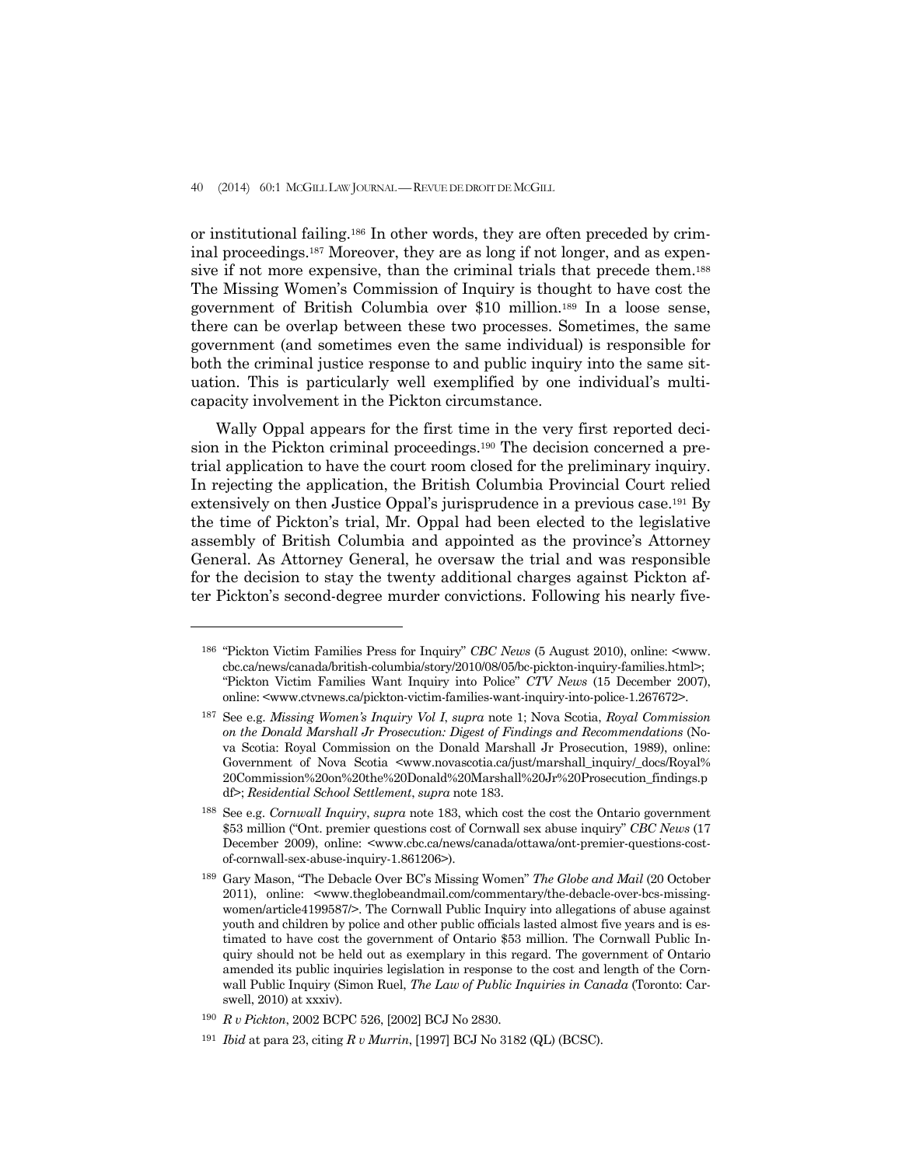or institutional failing.186 In other words, they are often preceded by criminal proceedings.187 Moreover, they are as long if not longer, and as expensive if not more expensive, than the criminal trials that precede them.188 The Missing Women's Commission of Inquiry is thought to have cost the government of British Columbia over \$10 million.189 In a loose sense, there can be overlap between these two processes. Sometimes, the same government (and sometimes even the same individual) is responsible for both the criminal justice response to and public inquiry into the same situation. This is particularly well exemplified by one individual's multicapacity involvement in the Pickton circumstance.

 Wally Oppal appears for the first time in the very first reported decision in the Pickton criminal proceedings.190 The decision concerned a pretrial application to have the court room closed for the preliminary inquiry. In rejecting the application, the British Columbia Provincial Court relied extensively on then Justice Oppal's jurisprudence in a previous case.191 By the time of Pickton's trial, Mr. Oppal had been elected to the legislative assembly of British Columbia and appointed as the province's Attorney General. As Attorney General, he oversaw the trial and was responsible for the decision to stay the twenty additional charges against Pickton after Pickton's second-degree murder convictions. Following his nearly five-

<sup>186 &</sup>quot;Pickton Victim Families Press for Inquiry" *CBC News* (5 August 2010), online: <www. cbc.ca/news/canada/british-columbia/story/2010/08/05/bc-pickton-inquiry-families.html>; "Pickton Victim Families Want Inquiry into Police" *CTV News* (15 December 2007), online: <www.ctvnews.ca/pickton-victim-families-want-inquiry-into-police-1.267672>.

<sup>187</sup> See e.g. *Missing Women's Inquiry Vol I*, *supra* note 1; Nova Scotia, *Royal Commission on the Donald Marshall Jr Prosecution: Digest of Findings and Recommendations* (Nova Scotia: Royal Commission on the Donald Marshall Jr Prosecution, 1989), online: Government of Nova Scotia <www.novascotia.ca/just/marshall\_inquiry/\_docs/Royal% 20Commission%20on%20the%20Donald%20Marshall%20Jr%20Prosecution\_findings.p df>; *Residential School Settlement*, *supra* note 183.

<sup>188</sup> See e.g. *Cornwall Inquiry*, *supra* note 183, which cost the cost the Ontario government \$53 million ("Ont. premier questions cost of Cornwall sex abuse inquiry" *CBC News* (17 December 2009), online: <www.cbc.ca/news/canada/ottawa/ont-premier-questions-costof-cornwall-sex-abuse-inquiry-1.861206>).

<sup>189</sup> Gary Mason, "The Debacle Over BC's Missing Women" *The Globe and Mail* (20 October 2011), online: <www.theglobeandmail.com/commentary/the-debacle-over-bcs-missingwomen/article4199587/>. The Cornwall Public Inquiry into allegations of abuse against youth and children by police and other public officials lasted almost five years and is estimated to have cost the government of Ontario \$53 million. The Cornwall Public Inquiry should not be held out as exemplary in this regard. The government of Ontario amended its public inquiries legislation in response to the cost and length of the Cornwall Public Inquiry (Simon Ruel, *The Law of Public Inquiries in Canada* (Toronto: Carswell, 2010) at xxxiv).

<sup>190</sup> *R v Pickton*, 2002 BCPC 526, [2002] BCJ No 2830.

<sup>191</sup> *Ibid* at para 23, citing *R v Murrin*, [1997] BCJ No 3182 (QL) (BCSC).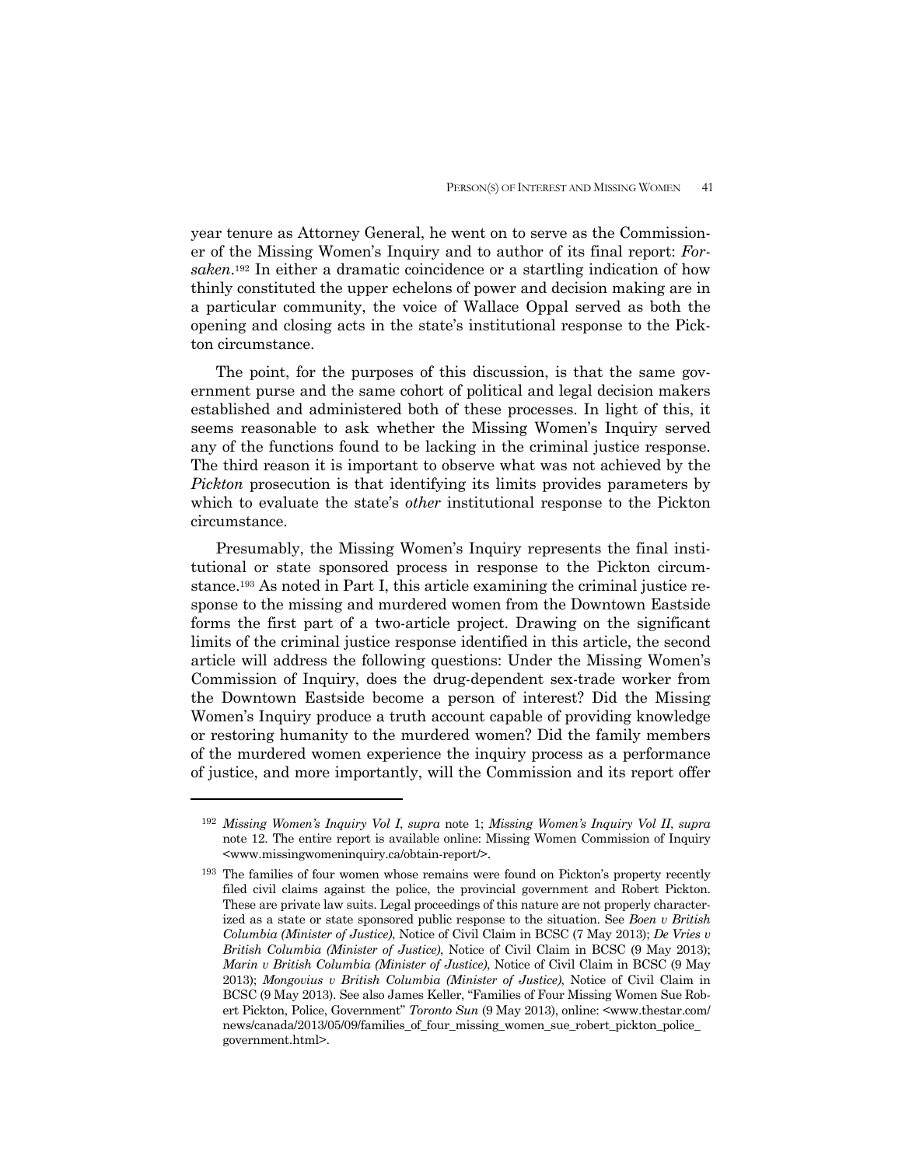year tenure as Attorney General, he went on to serve as the Commissioner of the Missing Women's Inquiry and to author of its final report: *Forsaken*.192 In either a dramatic coincidence or a startling indication of how thinly constituted the upper echelons of power and decision making are in a particular community, the voice of Wallace Oppal served as both the opening and closing acts in the state's institutional response to the Pickton circumstance.

 The point, for the purposes of this discussion, is that the same government purse and the same cohort of political and legal decision makers established and administered both of these processes. In light of this, it seems reasonable to ask whether the Missing Women's Inquiry served any of the functions found to be lacking in the criminal justice response. The third reason it is important to observe what was not achieved by the *Pickton* prosecution is that identifying its limits provides parameters by which to evaluate the state's *other* institutional response to the Pickton circumstance.

 Presumably, the Missing Women's Inquiry represents the final institutional or state sponsored process in response to the Pickton circumstance.193 As noted in Part I, this article examining the criminal justice response to the missing and murdered women from the Downtown Eastside forms the first part of a two-article project. Drawing on the significant limits of the criminal justice response identified in this article, the second article will address the following questions: Under the Missing Women's Commission of Inquiry, does the drug-dependent sex-trade worker from the Downtown Eastside become a person of interest? Did the Missing Women's Inquiry produce a truth account capable of providing knowledge or restoring humanity to the murdered women? Did the family members of the murdered women experience the inquiry process as a performance of justice, and more importantly, will the Commission and its report offer

<sup>192</sup> *Missing Women's Inquiry Vol I*, *supra* note 1; *Missing Women's Inquiry Vol II*, *supra*  note 12. The entire report is available online: Missing Women Commission of Inquiry <www.missingwomeninquiry.ca/obtain-report/>.

<sup>193</sup> The families of four women whose remains were found on Pickton's property recently filed civil claims against the police, the provincial government and Robert Pickton. These are private law suits. Legal proceedings of this nature are not properly characterized as a state or state sponsored public response to the situation. See *Boen v British Columbia (Minister of Justice)*, Notice of Civil Claim in BCSC (7 May 2013); *De Vries v British Columbia (Minister of Justice)*, Notice of Civil Claim in BCSC (9 May 2013); *Marin v British Columbia (Minister of Justice)*, Notice of Civil Claim in BCSC (9 May 2013); *Mongovius v British Columbia (Minister of Justice)*, Notice of Civil Claim in BCSC (9 May 2013). See also James Keller, "Families of Four Missing Women Sue Robert Pickton, Police, Government" *Toronto Sun* (9 May 2013), online: <www.thestar.com/ news/canada/2013/05/09/families\_of\_four\_missing\_women\_sue\_robert\_pickton\_police\_ government.html>.